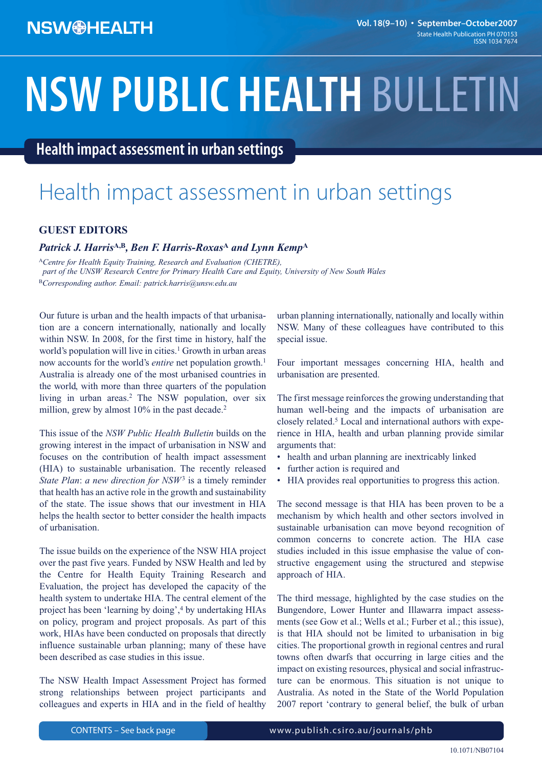# **NSW PUBLIC HEALTH** BULLETIN

**Health impact assessment in urban settings**

### Health impact assessment in urban settings

#### **GUEST EDITORS**

#### *Patrick J. Harris***A,B***, Ben F. Harris-Roxas***<sup>A</sup>** *and Lynn Kemp***<sup>A</sup>**

<sup>A</sup>*Centre for Health Equity Training, Research and Evaluation (CHETRE), part of the UNSW Research Centre for Primary Health Care and Equity, University of New South Wales* <sup>B</sup>*Corresponding author. Email: patrick.harris@unsw.edu.au*

Our future is urban and the health impacts of that urbanisation are a concern internationally, nationally and locally within NSW. In 2008, for the first time in history, half the world's population will live in cities.<sup>1</sup> Growth in urban areas now accounts for the world's *entire* net population growth.<sup>1</sup> Australia is already one of the most urbanised countries in the world, with more than three quarters of the population living in urban areas.<sup>2</sup> The NSW population, over six million, grew by almost 10% in the past decade.<sup>2</sup>

This issue of the *NSW Public Health Bulletin* builds on the growing interest in the impact of urbanisation in NSW and focuses on the contribution of health impact assessment (HIA) to sustainable urbanisation. The recently released *State Plan*: *a new direction for NSW*<sup>3</sup> is a timely reminder that health has an active role in the growth and sustainability of the state. The issue shows that our investment in HIA helps the health sector to better consider the health impacts of urbanisation.

The issue builds on the experience of the NSW HIA project over the past five years. Funded by NSW Health and led by the Centre for Health Equity Training Research and Evaluation, the project has developed the capacity of the health system to undertake HIA. The central element of the project has been 'learning by doing',4 by undertaking HIAs on policy, program and project proposals. As part of this work, HIAs have been conducted on proposals that directly influence sustainable urban planning; many of these have been described as case studies in this issue.

The NSW Health Impact Assessment Project has formed strong relationships between project participants and colleagues and experts in HIA and in the field of healthy urban planning internationally, nationally and locally within NSW. Many of these colleagues have contributed to this special issue.

Four important messages concerning HIA, health and urbanisation are presented.

The first message reinforces the growing understanding that human well-being and the impacts of urbanisation are closely related.5 Local and international authors with experience in HIA, health and urban planning provide similar arguments that:

- health and urban planning are inextricably linked
- further action is required and
- HIA provides real opportunities to progress this action.

The second message is that HIA has been proven to be a mechanism by which health and other sectors involved in sustainable urbanisation can move beyond recognition of common concerns to concrete action. The HIA case studies included in this issue emphasise the value of constructive engagement using the structured and stepwise approach of HIA.

The third message, highlighted by the case studies on the Bungendore, Lower Hunter and Illawarra impact assessments (see Gow et al.; Wells et al.; Furber et al.; this issue), is that HIA should not be limited to urbanisation in big cities. The proportional growth in regional centres and rural towns often dwarfs that occurring in large cities and the impact on existing resources, physical and social infrastructure can be enormous. This situation is not unique to Australia. As noted in the State of the World Population 2007 report 'contrary to general belief, the bulk of urban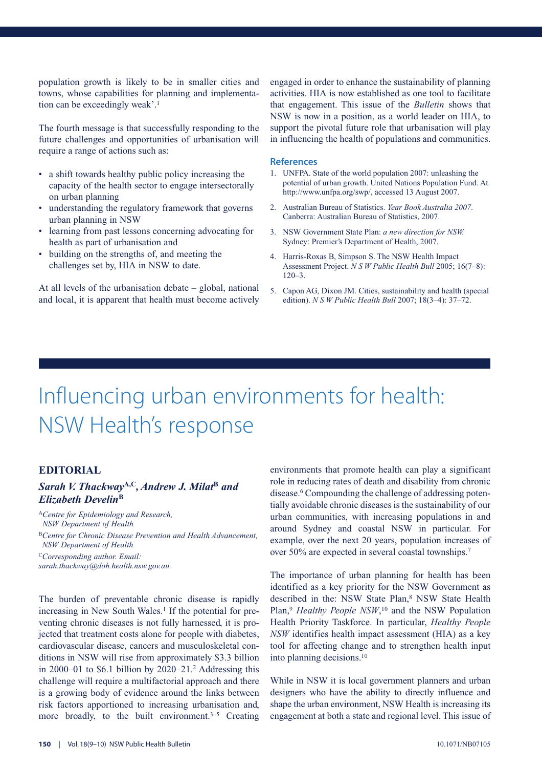population growth is likely to be in smaller cities and towns, whose capabilities for planning and implementation can be exceedingly weak'.<sup>1</sup>

The fourth message is that successfully responding to the future challenges and opportunities of urbanisation will require a range of actions such as:

- a shift towards healthy public policy increasing the capacity of the health sector to engage intersectorally on urban planning
- understanding the regulatory framework that governs urban planning in NSW
- learning from past lessons concerning advocating for health as part of urbanisation and
- building on the strengths of, and meeting the challenges set by, HIA in NSW to date.

At all levels of the urbanisation debate – global, national and local, it is apparent that health must become actively

engaged in order to enhance the sustainability of planning activities. HIA is now established as one tool to facilitate that engagement. This issue of the *Bulletin* shows that NSW is now in a position, as a world leader on HIA, to support the pivotal future role that urbanisation will play in influencing the health of populations and communities.

#### **References**

- 1. UNFPA. State of the world population 2007: unleashing the potential of urban growth. United Nations Population Fund. At http://www.unfpa.org/swp/, accessed 13 August 2007.
- 2. Australian Bureau of Statistics. *Year Book Australia 2007*. Canberra: Australian Bureau of Statistics, 2007.
- 3. NSW Government State Plan: *a new direction for NSW.* Sydney: Premier's Department of Health, 2007.
- 4. Harris-Roxas B, Simpson S. The NSW Health Impact Assessment Project. *N S W Public Health Bull* 2005; 16(7–8):  $120 - 3$ .
- 5. Capon AG, Dixon JM. Cities, sustainability and health (special edition). *N S W Public Health Bull* 2007; 18(3–4): 37–72.

### Influencing urban environments for health: NSW Health's response

#### **EDITORIAL**

#### *Sarah V. Thackway***A,C***, Andrew J. Milat***<sup>B</sup>** *and Elizabeth Develin***<sup>B</sup>**

<sup>A</sup>*Centre for Epidemiology and Research, NSW Department of Health* <sup>B</sup>*Centre for Chronic Disease Prevention and Health Advancement, NSW Department of Health* <sup>C</sup>*Corresponding author. Email:*

*sarah.thackway@doh.health.nsw.gov.au*

The burden of preventable chronic disease is rapidly increasing in New South Wales.<sup>1</sup> If the potential for preventing chronic diseases is not fully harnessed, it is projected that treatment costs alone for people with diabetes, cardiovascular disease, cancers and musculoskeletal conditions in NSW will rise from approximately \$3.3 billion in 2000–01 to \$6.1 billion by 2020–21.<sup>2</sup> Addressing this challenge will require a multifactorial approach and there is a growing body of evidence around the links between risk factors apportioned to increasing urbanisation and, more broadly, to the built environment.<sup> $3-5$ </sup> Creating environments that promote health can play a significant role in reducing rates of death and disability from chronic disease.<sup>6</sup> Compounding the challenge of addressing potentially avoidable chronic diseases is the sustainability of our urban communities, with increasing populations in and around Sydney and coastal NSW in particular. For example, over the next 20 years, population increases of over 50% are expected in several coastal townships.7

The importance of urban planning for health has been identified as a key priority for the NSW Government as described in the: NSW State Plan,<sup>8</sup> NSW State Health Plan,<sup>9</sup> Healthy People NSW,<sup>10</sup> and the NSW Population Health Priority Taskforce. In particular, *Healthy People NSW* identifies health impact assessment (HIA) as a key tool for affecting change and to strengthen health input into planning decisions.10

While in NSW it is local government planners and urban designers who have the ability to directly influence and shape the urban environment, NSW Health is increasing its engagement at both a state and regional level. This issue of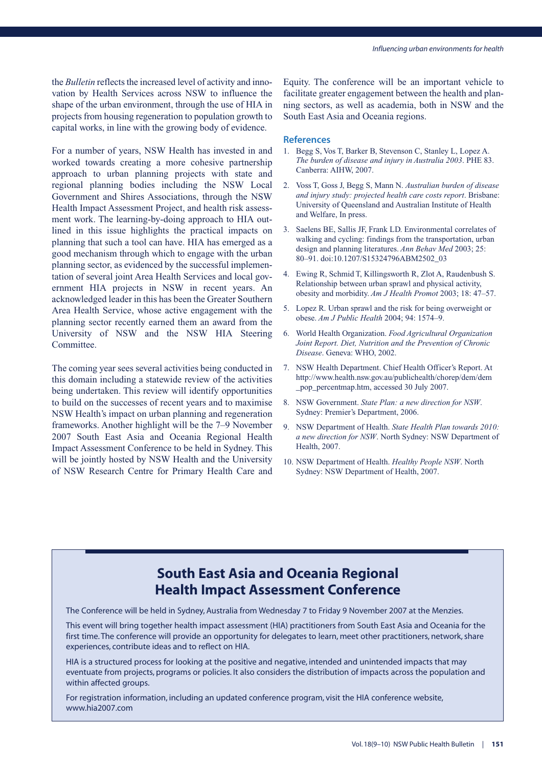the *Bulletin* reflects the increased level of activity and innovation by Health Services across NSW to influence the shape of the urban environment, through the use of HIA in projects from housing regeneration to population growth to capital works, in line with the growing body of evidence.

For a number of years, NSW Health has invested in and worked towards creating a more cohesive partnership approach to urban planning projects with state and regional planning bodies including the NSW Local Government and Shires Associations, through the NSW Health Impact Assessment Project, and health risk assessment work. The learning-by-doing approach to HIA outlined in this issue highlights the practical impacts on planning that such a tool can have. HIA has emerged as a good mechanism through which to engage with the urban planning sector, as evidenced by the successful implementation of several joint Area Health Services and local government HIA projects in NSW in recent years. An acknowledged leader in this has been the Greater Southern Area Health Service, whose active engagement with the planning sector recently earned them an award from the University of NSW and the NSW HIA Steering **Committee** 

The coming year sees several activities being conducted in this domain including a statewide review of the activities being undertaken. This review will identify opportunities to build on the successes of recent years and to maximise NSW Health's impact on urban planning and regeneration frameworks. Another highlight will be the 7–9 November 2007 South East Asia and Oceania Regional Health Impact Assessment Conference to be held in Sydney. This will be jointly hosted by NSW Health and the University of NSW Research Centre for Primary Health Care and Equity. The conference will be an important vehicle to facilitate greater engagement between the health and planning sectors, as well as academia, both in NSW and the South East Asia and Oceania regions.

#### **References**

- 1. Begg S, Vos T, Barker B, Stevenson C, Stanley L, Lopez A. *The burden of disease and injury in Australia 2003*. PHE 83. Canberra: AIHW, 2007.
- 2. Voss T, Goss J, Begg S, Mann N. *Australian burden of disease and injury study: projected health care costs report*. Brisbane: University of Queensland and Australian Institute of Health and Welfare, In press.
- 3. Saelens BE, Sallis JF, Frank LD. Environmental correlates of walking and cycling: findings from the transportation, urban design and planning literatures. *Ann Behav Med* 2003; 25: 80–91. doi:10.1207/S15324796ABM2502\_03
- 4. Ewing R, Schmid T, Killingsworth R, Zlot A, Raudenbush S. Relationship between urban sprawl and physical activity, obesity and morbidity. *Am J Health Promot* 2003; 18: 47–57.
- 5. Lopez R. Urban sprawl and the risk for being overweight or obese. *Am J Public Health* 2004; 94: 1574–9.
- 6. World Health Organization. *Food Agricultural Organization Joint Report. Diet, Nutrition and the Prevention of Chronic Disease*. Geneva: WHO, 2002.
- 7. NSW Health Department. Chief Health Officer's Report. At http://www.health.nsw.gov.au/publichealth/chorep/dem/dem \_pop\_percentmap.htm, accessed 30 July 2007.
- 8. NSW Government. *State Plan: a new direction for NSW*. Sydney: Premier's Department, 2006.
- 9. NSW Department of Health. *State Health Plan towards 2010: a new direction for NSW*. North Sydney: NSW Department of Health, 2007.
- 10. NSW Department of Health. *Healthy People NSW*. North Sydney: NSW Department of Health, 2007.

### **South East Asia and Oceania Regional Health Impact Assessment Conference**

The Conference will be held in Sydney, Australia from Wednesday 7 to Friday 9 November 2007 at the Menzies.

This event will bring together health impact assessment (HIA) practitioners from South East Asia and Oceania for the first time. The conference will provide an opportunity for delegates to learn, meet other practitioners, network, share experiences, contribute ideas and to reflect on HIA.

HIA is a structured process for looking at the positive and negative, intended and unintended impacts that may eventuate from projects, programs or policies. It also considers the distribution of impacts across the population and within affected groups.

For registration information, including an updated conference program, visit the HIA conference website, www.hia2007.com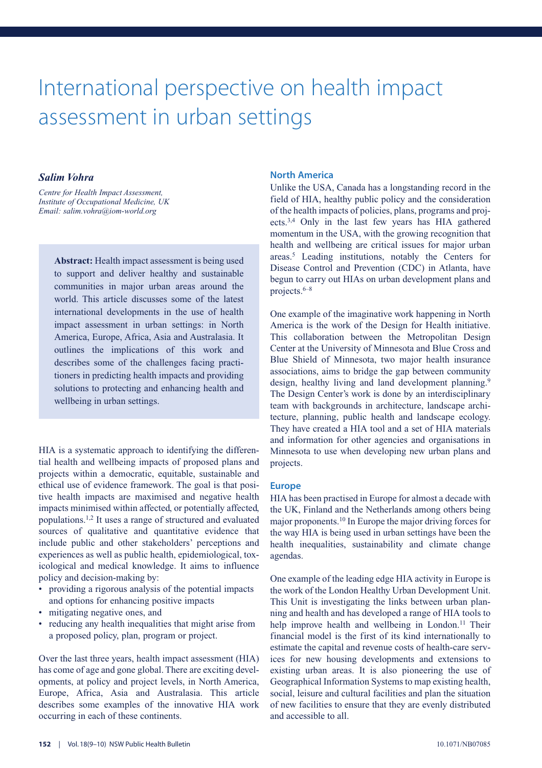### International perspective on health impact assessment in urban settings

#### *Salim Vohra*

*Centre for Health Impact Assessment, Institute of Occupational Medicine, UK Email: salim.vohra@iom-world.org*

> **Abstract:** Health impact assessment is being used to support and deliver healthy and sustainable communities in major urban areas around the world. This article discusses some of the latest international developments in the use of health impact assessment in urban settings: in North America, Europe, Africa, Asia and Australasia. It outlines the implications of this work and describes some of the challenges facing practitioners in predicting health impacts and providing solutions to protecting and enhancing health and wellbeing in urban settings.

HIA is a systematic approach to identifying the differential health and wellbeing impacts of proposed plans and projects within a democratic, equitable, sustainable and ethical use of evidence framework. The goal is that positive health impacts are maximised and negative health impacts minimised within affected, or potentially affected, populations.1,2 It uses a range of structured and evaluated sources of qualitative and quantitative evidence that include public and other stakeholders' perceptions and experiences as well as public health, epidemiological, toxicological and medical knowledge. It aims to influence policy and decision-making by:

- providing a rigorous analysis of the potential impacts and options for enhancing positive impacts
- mitigating negative ones, and
- reducing any health inequalities that might arise from a proposed policy, plan, program or project.

Over the last three years, health impact assessment (HIA) has come of age and gone global. There are exciting developments, at policy and project levels, in North America, Europe, Africa, Asia and Australasia. This article describes some examples of the innovative HIA work occurring in each of these continents.

#### **North America**

Unlike the USA, Canada has a longstanding record in the field of HIA, healthy public policy and the consideration of the health impacts of policies, plans, programs and projects.3,4 Only in the last few years has HIA gathered momentum in the USA, with the growing recognition that health and wellbeing are critical issues for major urban areas.5 Leading institutions, notably the Centers for Disease Control and Prevention (CDC) in Atlanta, have begun to carry out HIAs on urban development plans and projects.6–8

One example of the imaginative work happening in North America is the work of the Design for Health initiative. This collaboration between the Metropolitan Design Center at the University of Minnesota and Blue Cross and Blue Shield of Minnesota, two major health insurance associations, aims to bridge the gap between community design, healthy living and land development planning.<sup>9</sup> The Design Center's work is done by an interdisciplinary team with backgrounds in architecture, landscape architecture, planning, public health and landscape ecology. They have created a HIA tool and a set of HIA materials and information for other agencies and organisations in Minnesota to use when developing new urban plans and projects.

#### **Europe**

HIA has been practised in Europe for almost a decade with the UK, Finland and the Netherlands among others being major proponents.10 In Europe the major driving forces for the way HIA is being used in urban settings have been the health inequalities, sustainability and climate change agendas.

One example of the leading edge HIA activity in Europe is the work of the London Healthy Urban Development Unit. This Unit is investigating the links between urban planning and health and has developed a range of HIA tools to help improve health and wellbeing in London.<sup>11</sup> Their financial model is the first of its kind internationally to estimate the capital and revenue costs of health-care services for new housing developments and extensions to existing urban areas. It is also pioneering the use of Geographical Information Systems to map existing health, social, leisure and cultural facilities and plan the situation of new facilities to ensure that they are evenly distributed and accessible to all.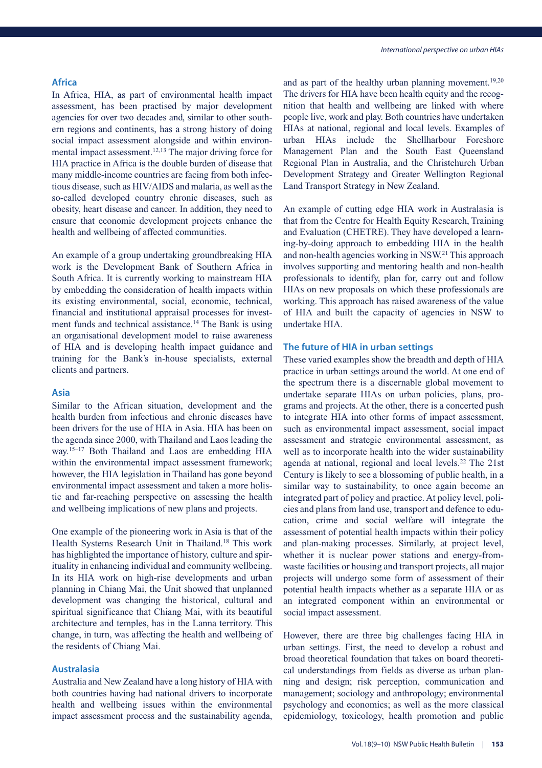#### **Africa**

In Africa, HIA, as part of environmental health impact assessment, has been practised by major development agencies for over two decades and, similar to other southern regions and continents, has a strong history of doing social impact assessment alongside and within environmental impact assessment.<sup>12,13</sup> The major driving force for HIA practice in Africa is the double burden of disease that many middle-income countries are facing from both infectious disease, such as HIV/AIDS and malaria, as well as the so-called developed country chronic diseases, such as obesity, heart disease and cancer. In addition, they need to ensure that economic development projects enhance the health and wellbeing of affected communities.

An example of a group undertaking groundbreaking HIA work is the Development Bank of Southern Africa in South Africa. It is currently working to mainstream HIA by embedding the consideration of health impacts within its existing environmental, social, economic, technical, financial and institutional appraisal processes for investment funds and technical assistance.<sup>14</sup> The Bank is using an organisational development model to raise awareness of HIA and is developing health impact guidance and training for the Bank's in-house specialists, external clients and partners.

#### **Asia**

Similar to the African situation, development and the health burden from infectious and chronic diseases have been drivers for the use of HIA in Asia. HIA has been on the agenda since 2000, with Thailand and Laos leading the way.<sup>15-17</sup> Both Thailand and Laos are embedding HIA within the environmental impact assessment framework; however, the HIA legislation in Thailand has gone beyond environmental impact assessment and taken a more holistic and far-reaching perspective on assessing the health and wellbeing implications of new plans and projects.

One example of the pioneering work in Asia is that of the Health Systems Research Unit in Thailand.<sup>18</sup> This work has highlighted the importance of history, culture and spirituality in enhancing individual and community wellbeing. In its HIA work on high-rise developments and urban planning in Chiang Mai, the Unit showed that unplanned development was changing the historical, cultural and spiritual significance that Chiang Mai, with its beautiful architecture and temples, has in the Lanna territory. This change, in turn, was affecting the health and wellbeing of the residents of Chiang Mai.

#### **Australasia**

Australia and New Zealand have a long history of HIA with both countries having had national drivers to incorporate health and wellbeing issues within the environmental impact assessment process and the sustainability agenda,

and as part of the healthy urban planning movement.<sup>19,20</sup> The drivers for HIA have been health equity and the recognition that health and wellbeing are linked with where people live, work and play. Both countries have undertaken HIAs at national, regional and local levels. Examples of urban HIAs include the Shellharbour Foreshore Management Plan and the South East Queensland Regional Plan in Australia, and the Christchurch Urban Development Strategy and Greater Wellington Regional Land Transport Strategy in New Zealand.

An example of cutting edge HIA work in Australasia is that from the Centre for Health Equity Research, Training and Evaluation (CHETRE). They have developed a learning-by-doing approach to embedding HIA in the health and non-health agencies working in NSW.21 This approach involves supporting and mentoring health and non-health professionals to identify, plan for, carry out and follow HIAs on new proposals on which these professionals are working. This approach has raised awareness of the value of HIA and built the capacity of agencies in NSW to undertake HIA.

#### **The future of HIA in urban settings**

These varied examples show the breadth and depth of HIA practice in urban settings around the world. At one end of the spectrum there is a discernable global movement to undertake separate HIAs on urban policies, plans, programs and projects. At the other, there is a concerted push to integrate HIA into other forms of impact assessment, such as environmental impact assessment, social impact assessment and strategic environmental assessment, as well as to incorporate health into the wider sustainability agenda at national, regional and local levels.<sup>22</sup> The 21st Century is likely to see a blossoming of public health, in a similar way to sustainability, to once again become an integrated part of policy and practice. At policy level, policies and plans from land use, transport and defence to education, crime and social welfare will integrate the assessment of potential health impacts within their policy and plan-making processes. Similarly, at project level, whether it is nuclear power stations and energy-fromwaste facilities or housing and transport projects, all major projects will undergo some form of assessment of their potential health impacts whether as a separate HIA or as an integrated component within an environmental or social impact assessment.

However, there are three big challenges facing HIA in urban settings. First, the need to develop a robust and broad theoretical foundation that takes on board theoretical understandings from fields as diverse as urban planning and design; risk perception, communication and management; sociology and anthropology; environmental psychology and economics; as well as the more classical epidemiology, toxicology, health promotion and public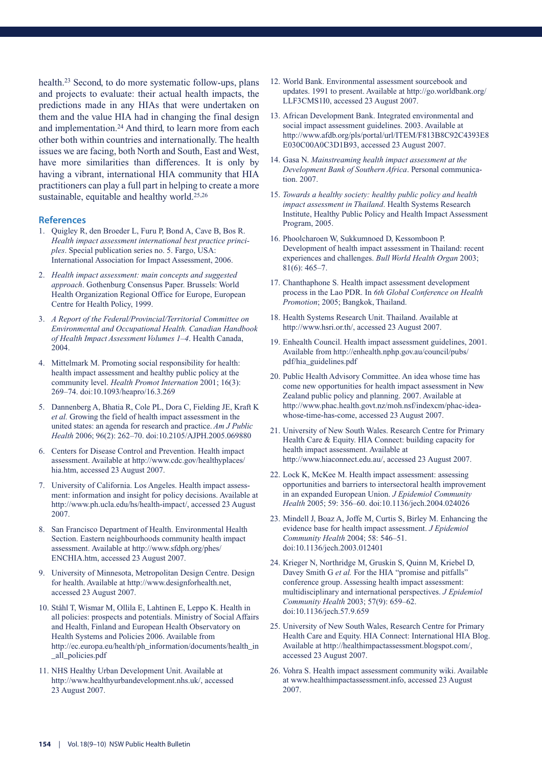health.23 Second, to do more systematic follow-ups, plans and projects to evaluate: their actual health impacts, the predictions made in any HIAs that were undertaken on them and the value HIA had in changing the final design and implementation.24 And third, to learn more from each other both within countries and internationally. The health issues we are facing, both North and South, East and West, have more similarities than differences. It is only by having a vibrant, international HIA community that HIA practitioners can play a full part in helping to create a more sustainable, equitable and healthy world.<sup>25,26</sup>

- 1. Quigley R, den Broeder L, Furu P, Bond A, Cave B, Bos R. *Health impact assessment international best practice principles*. Special publication series no. 5. Fargo, USA: International Association for Impact Assessment, 2006.
- 2. *Health impact assessment: main concepts and suggested approach*. Gothenburg Consensus Paper. Brussels: World Health Organization Regional Office for Europe, European Centre for Health Policy, 1999.
- 3. *A Report of the Federal/Provincial/Territorial Committee on Environmental and Occupational Health. Canadian Handbook of Health Impact Assessment Volumes 1–4*. Health Canada, 2004.
- 4. Mittelmark M. Promoting social responsibility for health: health impact assessment and healthy public policy at the community level. *Health Promot Internation* 2001; 16(3): 269–74. doi:10.1093/heapro/16.3.269
- 5. Dannenberg A, Bhatia R, Cole PL, Dora C, Fielding JE, Kraft K *et al.* Growing the field of health impact assessment in the united states: an agenda for research and practice. *Am J Public Health* 2006; 96(2): 262–70. doi:10.2105/AJPH.2005.069880
- 6. Centers for Disease Control and Prevention. Health impact assessment. Available at http://www.cdc.gov/healthyplaces/ hia.htm, accessed 23 August 2007.
- 7. University of California. Los Angeles. Health impact assessment: information and insight for policy decisions. Available at http://www.ph.ucla.edu/hs/health-impact/, accessed 23 August 2007.
- 8. San Francisco Department of Health. Environmental Health Section. Eastern neighbourhoods community health impact assessment. Available at http://www.sfdph.org/phes/ ENCHIA.htm, accessed 23 August 2007.
- 9. University of Minnesota, Metropolitan Design Centre. Design for health. Available at http://www.designforhealth.net, accessed 23 August 2007.
- 10. Ståhl T, Wismar M, Ollila E, Lahtinen E, Leppo K. Health in all policies: prospects and potentials. Ministry of Social Affairs and Health, Finland and European Health Observatory on Health Systems and Policies 2006. Available from http://ec.europa.eu/health/ph\_information/documents/health\_in \_all\_policies.pdf
- 11. NHS Healthy Urban Development Unit. Available at http://www.healthyurbandevelopment.nhs.uk/, accessed 23 August 2007.
- 12. World Bank. Environmental assessment sourcebook and updates. 1991 to present. Available at http://go.worldbank.org/ LLF3CMS1I0, accessed 23 August 2007.
- 13. African Development Bank. Integrated environmental and social impact assessment guidelines. 2003. Available at http://www.afdb.org/pls/portal/url/ITEM/F813B8C92C4393E8 E030C00A0C3D1B93, accessed 23 August 2007.
- 14. Gasa N. *Mainstreaming health impact assessment at the Development Bank of Southern Africa*. Personal communication. 2007.
- 15. *Towards a healthy society: healthy public policy and health impact assessment in Thailand*. Health Systems Research Institute, Healthy Public Policy and Health Impact Assessment Program, 2005.
- 16. Phoolcharoen W, Sukkumnoed D, Kessomboon P. Development of health impact assessment in Thailand: recent experiences and challenges. *Bull World Health Organ* 2003; 81(6): 465–7.
- 17. Chanthaphone S. Health impact assessment development process in the Lao PDR. In *6th Global Conference on Health Promotion*; 2005; Bangkok, Thailand.
- 18. Health Systems Research Unit. Thailand. Available at http://www.hsri.or.th/, accessed 23 August 2007.
- 19. Enhealth Council. Health impact assessment guidelines, 2001. Available from http://enhealth.nphp.gov.au/council/pubs/ pdf/hia\_guidelines.pdf
- 20. Public Health Advisory Committee. An idea whose time has come new opportunities for health impact assessment in New Zealand public policy and planning. 2007. Available at http://www.phac.health.govt.nz/moh.nsf/indexcm/phac-ideawhose-time-has-come, accessed 23 August 2007.
- 21. University of New South Wales. Research Centre for Primary Health Care & Equity. HIA Connect: building capacity for health impact assessment. Available at http://www.hiaconnect.edu.au/, accessed 23 August 2007.
- 22. Lock K, McKee M. Health impact assessment: assessing opportunities and barriers to intersectoral health improvement in an expanded European Union. *J Epidemiol Community Health* 2005; 59: 356–60. doi:10.1136/jech.2004.024026
- 23. Mindell J, Boaz A, Joffe M, Curtis S, Birley M. Enhancing the evidence base for health impact assessment. *J Epidemiol Community Health* 2004; 58: 546–51. doi:10.1136/jech.2003.012401
- 24. Krieger N, Northridge M, Gruskin S, Quinn M, Kriebel D, Davey Smith G et al. For the HIA "promise and pitfalls" conference group. Assessing health impact assessment: multidisciplinary and international perspectives. *J Epidemiol Community Health* 2003; 57(9): 659–62. doi:10.1136/jech.57.9.659
- 25. University of New South Wales, Research Centre for Primary Health Care and Equity. HIA Connect: International HIA Blog. Available at http://healthimpactassessment.blogspot.com/, accessed 23 August 2007.
- 26. Vohra S. Health impact assessment community wiki. Available at www.healthimpactassessment.info, accessed 23 August 2007.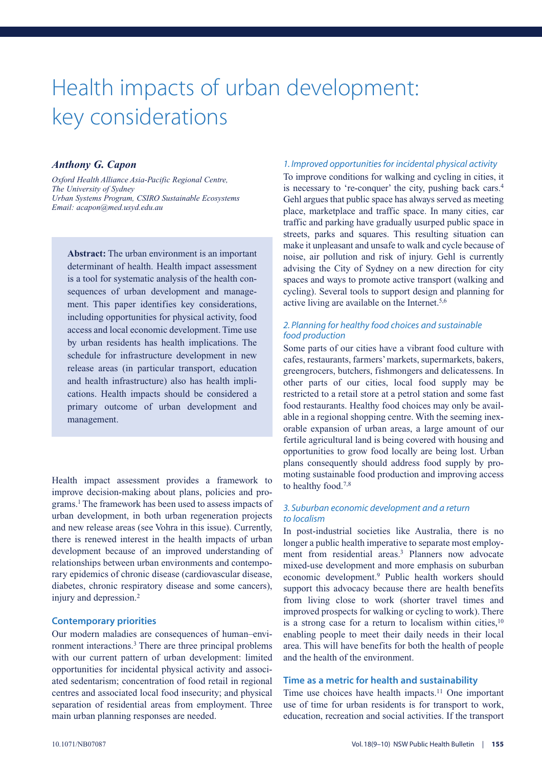# Health impacts of urban development: key considerations

#### *Anthony G. Capon*

*Oxford Health Alliance Asia-Pacific Regional Centre, The University of Sydney Urban Systems Program, CSIRO Sustainable Ecosystems Email: acapon@med.usyd.edu.au*

**Abstract:** The urban environment is an important determinant of health. Health impact assessment is a tool for systematic analysis of the health consequences of urban development and management. This paper identifies key considerations, including opportunities for physical activity, food access and local economic development. Time use by urban residents has health implications. The schedule for infrastructure development in new release areas (in particular transport, education and health infrastructure) also has health implications. Health impacts should be considered a primary outcome of urban development and management.

Health impact assessment provides a framework to improve decision-making about plans, policies and programs.1 The framework has been used to assess impacts of urban development, in both urban regeneration projects and new release areas (see Vohra in this issue). Currently, there is renewed interest in the health impacts of urban development because of an improved understanding of relationships between urban environments and contemporary epidemics of chronic disease (cardiovascular disease, diabetes, chronic respiratory disease and some cancers), injury and depression.2

#### **Contemporary priorities**

Our modern maladies are consequences of human–environment interactions.3 There are three principal problems with our current pattern of urban development: limited opportunities for incidental physical activity and associated sedentarism; concentration of food retail in regional centres and associated local food insecurity; and physical separation of residential areas from employment. Three main urban planning responses are needed.

#### *1. Improved opportunities for incidental physical activity*

To improve conditions for walking and cycling in cities, it is necessary to 're-conquer' the city, pushing back cars.4 Gehl argues that public space has always served as meeting place, marketplace and traffic space. In many cities, car traffic and parking have gradually usurped public space in streets, parks and squares. This resulting situation can make it unpleasant and unsafe to walk and cycle because of noise, air pollution and risk of injury. Gehl is currently advising the City of Sydney on a new direction for city spaces and ways to promote active transport (walking and cycling). Several tools to support design and planning for active living are available on the Internet.<sup>5,6</sup>

#### *2. Planning for healthy food choices and sustainable food production*

Some parts of our cities have a vibrant food culture with cafes, restaurants, farmers'markets, supermarkets, bakers, greengrocers, butchers, fishmongers and delicatessens. In other parts of our cities, local food supply may be restricted to a retail store at a petrol station and some fast food restaurants. Healthy food choices may only be available in a regional shopping centre. With the seeming inexorable expansion of urban areas, a large amount of our fertile agricultural land is being covered with housing and opportunities to grow food locally are being lost. Urban plans consequently should address food supply by promoting sustainable food production and improving access to healthy food.7,8

#### *3. Suburban economic development and a return to localism*

In post-industrial societies like Australia, there is no longer a public health imperative to separate most employment from residential areas.<sup>3</sup> Planners now advocate mixed-use development and more emphasis on suburban economic development.9 Public health workers should support this advocacy because there are health benefits from living close to work (shorter travel times and improved prospects for walking or cycling to work). There is a strong case for a return to localism within cities,10 enabling people to meet their daily needs in their local area. This will have benefits for both the health of people and the health of the environment.

#### **Time as a metric for health and sustainability**

Time use choices have health impacts.11 One important use of time for urban residents is for transport to work, education, recreation and social activities. If the transport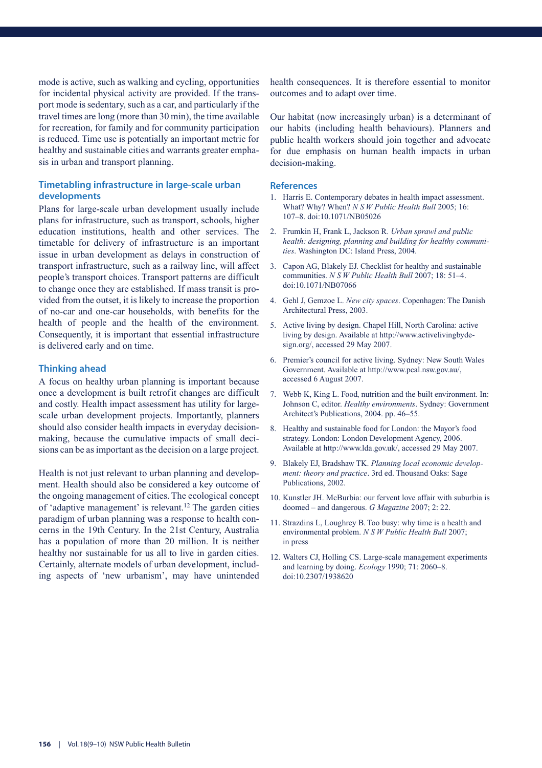mode is active, such as walking and cycling, opportunities for incidental physical activity are provided. If the transport mode is sedentary, such as a car, and particularly if the travel times are long (more than 30 min), the time available for recreation, for family and for community participation is reduced. Time use is potentially an important metric for healthy and sustainable cities and warrants greater emphasis in urban and transport planning.

#### **Timetabling infrastructure in large-scale urban developments**

Plans for large-scale urban development usually include plans for infrastructure, such as transport, schools, higher education institutions, health and other services. The timetable for delivery of infrastructure is an important issue in urban development as delays in construction of transport infrastructure, such as a railway line, will affect people's transport choices. Transport patterns are difficult to change once they are established. If mass transit is provided from the outset, it is likely to increase the proportion of no-car and one-car households, with benefits for the health of people and the health of the environment. Consequently, it is important that essential infrastructure is delivered early and on time.

#### **Thinking ahead**

A focus on healthy urban planning is important because once a development is built retrofit changes are difficult and costly. Health impact assessment has utility for largescale urban development projects. Importantly, planners should also consider health impacts in everyday decisionmaking, because the cumulative impacts of small decisions can be as important as the decision on a large project.

Health is not just relevant to urban planning and development. Health should also be considered a key outcome of the ongoing management of cities. The ecological concept of 'adaptive management' is relevant.12 The garden cities paradigm of urban planning was a response to health concerns in the 19th Century. In the 21st Century, Australia has a population of more than 20 million. It is neither healthy nor sustainable for us all to live in garden cities. Certainly, alternate models of urban development, including aspects of 'new urbanism', may have unintended

health consequences. It is therefore essential to monitor outcomes and to adapt over time.

Our habitat (now increasingly urban) is a determinant of our habits (including health behaviours). Planners and public health workers should join together and advocate for due emphasis on human health impacts in urban decision-making.

- 1. Harris E. Contemporary debates in health impact assessment. What? Why? When? *N S W Public Health Bull* 2005; 16: 107–8. doi:10.1071/NB05026
- 2. Frumkin H, Frank L, Jackson R. *Urban sprawl and public health: designing, planning and building for healthy communities*. Washington DC: Island Press, 2004.
- 3. Capon AG, Blakely EJ. Checklist for healthy and sustainable communities. *N S W Public Health Bull* 2007; 18: 51–4. doi:10.1071/NB07066
- 4. Gehl J, Gemzoe L. *New city spaces*. Copenhagen: The Danish Architectural Press, 2003.
- 5. Active living by design. Chapel Hill, North Carolina: active living by design. Available at http://www.activelivingbydesign.org/, accessed 29 May 2007.
- 6. Premier's council for active living. Sydney: New South Wales Government. Available at http://www.pcal.nsw.gov.au/, accessed 6 August 2007.
- 7. Webb K, King L. Food, nutrition and the built environment. In: Johnson C, editor. *Healthy environments*. Sydney: Government Architect's Publications, 2004. pp. 46–55.
- 8. Healthy and sustainable food for London: the Mayor's food strategy. London: London Development Agency, 2006. Available at http://www.lda.gov.uk/, accessed 29 May 2007.
- 9. Blakely EJ, Bradshaw TK. *Planning local economic development: theory and practice*. 3rd ed. Thousand Oaks: Sage Publications, 2002.
- 10. Kunstler JH. McBurbia: our fervent love affair with suburbia is doomed – and dangerous. *G Magazine* 2007; 2: 22.
- 11. Strazdins L, Loughrey B. Too busy: why time is a health and environmental problem. *N S W Public Health Bull* 2007; in press
- 12. Walters CJ, Holling CS. Large-scale management experiments and learning by doing. *Ecology* 1990; 71: 2060–8. doi:10.2307/1938620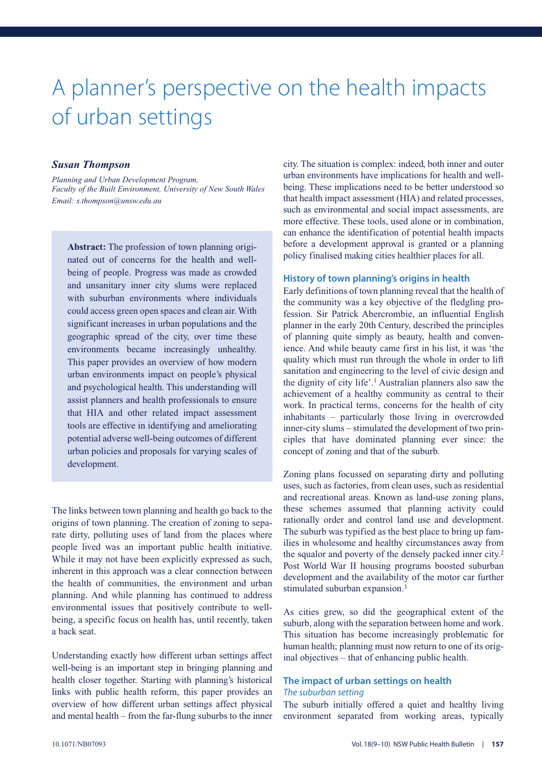### A planner's perspective on the health impacts of urban settings

#### *Susan Thompson*

*Planning and Urban Development Program, Faculty of the Built Environment, University of New South Wales Email: s.thompson@unsw.edu.au*

**Abstract:** The profession of town planning originated out of concerns for the health and wellbeing of people. Progress was made as crowded and unsanitary inner city slums were replaced with suburban environments where individuals could access green open spaces and clean air. With significant increases in urban populations and the geographic spread of the city, over time these environments became increasingly unhealthy. This paper provides an overview of how modern urban environments impact on people's physical and psychological health. This understanding will assist planners and health professionals to ensure that HIA and other related impact assessment tools are effective in identifying and ameliorating potential adverse well-being outcomes of different urban policies and proposals for varying scales of development.

The links between town planning and health go back to the origins of town planning. The creation of zoning to separate dirty, polluting uses of land from the places where people lived was an important public health initiative. While it may not have been explicitly expressed as such, inherent in this approach was a clear connection between the health of communities, the environment and urban planning. And while planning has continued to address environmental issues that positively contribute to wellbeing, a specific focus on health has, until recently, taken a back seat.

Understanding exactly how different urban settings affect well-being is an important step in bringing planning and health closer together. Starting with planning's historical links with public health reform, this paper provides an overview of how different urban settings affect physical and mental health – from the far-flung suburbs to the inner

city. The situation is complex: indeed, both inner and outer urban environments have implications for health and wellbeing. These implications need to be better understood so that health impact assessment (HIA) and related processes, such as environmental and social impact assessments, are more effective. These tools, used alone or in combination, can enhance the identification of potential health impacts before a development approval is granted or a planning policy finalised making cities healthier places for all.

#### **History of town planning's origins in health**

Early definitions of town planning reveal that the health of the community was a key objective of the fledgling profession. Sir Patrick Abercrombie, an influential English planner in the early 20th Century, described the principles of planning quite simply as beauty, health and convenience. And while beauty came first in his list, it was 'the quality which must run through the whole in order to lift sanitation and engineering to the level of civic design and the dignity of city life'.1 Australian planners also saw the achievement of a healthy community as central to their work. In practical terms, concerns for the health of city inhabitants – particularly those living in overcrowded inner-city slums – stimulated the development of two principles that have dominated planning ever since: the concept of zoning and that of the suburb.

Zoning plans focussed on separating dirty and polluting uses, such as factories, from clean uses, such as residential and recreational areas. Known as land-use zoning plans, these schemes assumed that planning activity could rationally order and control land use and development. The suburb was typified as the best place to bring up families in wholesome and healthy circumstances away from the squalor and poverty of the densely packed inner city.2 Post World War II housing programs boosted suburban development and the availability of the motor car further stimulated suburban expansion.<sup>3</sup>

As cities grew, so did the geographical extent of the suburb, along with the separation between home and work. This situation has become increasingly problematic for human health; planning must now return to one of its original objectives – that of enhancing public health.

#### **The impact of urban settings on health** *The suburban setting*

The suburb initially offered a quiet and healthy living environment separated from working areas, typically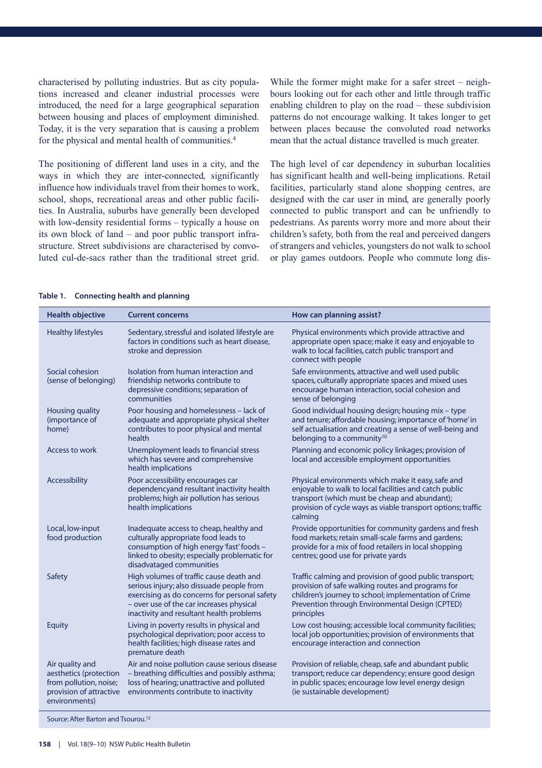characterised by polluting industries. But as city populations increased and cleaner industrial processes were introduced, the need for a large geographical separation between housing and places of employment diminished. Today, it is the very separation that is causing a problem for the physical and mental health of communities.4

The positioning of different land uses in a city, and the ways in which they are inter-connected, significantly influence how individuals travel from their homes to work, school, shops, recreational areas and other public facilities. In Australia, suburbs have generally been developed with low-density residential forms – typically a house on its own block of land – and poor public transport infrastructure. Street subdivisions are characterised by convoluted cul-de-sacs rather than the traditional street grid.

While the former might make for a safer street – neighbours looking out for each other and little through traffic enabling children to play on the road – these subdivision patterns do not encourage walking. It takes longer to get between places because the convoluted road networks mean that the actual distance travelled is much greater.

The high level of car dependency in suburban localities has significant health and well-being implications. Retail facilities, particularly stand alone shopping centres, are designed with the car user in mind, are generally poorly connected to public transport and can be unfriendly to pedestrians. As parents worry more and more about their children's safety, both from the real and perceived dangers of strangers and vehicles, youngsters do not walk to school or play games outdoors. People who commute long dis-

| <b>Health objective</b>                                                                                         | <b>Current concerns</b>                                                                                                                                                                                                       | How can planning assist?                                                                                                                                                                                                                 |
|-----------------------------------------------------------------------------------------------------------------|-------------------------------------------------------------------------------------------------------------------------------------------------------------------------------------------------------------------------------|------------------------------------------------------------------------------------------------------------------------------------------------------------------------------------------------------------------------------------------|
| <b>Healthy lifestyles</b>                                                                                       | Sedentary, stressful and isolated lifestyle are<br>factors in conditions such as heart disease,<br>stroke and depression                                                                                                      | Physical environments which provide attractive and<br>appropriate open space; make it easy and enjoyable to<br>walk to local facilities, catch public transport and<br>connect with people                                               |
| Social cohesion<br>(sense of belonging)                                                                         | Isolation from human interaction and<br>friendship networks contribute to<br>depressive conditions; separation of<br>communities                                                                                              | Safe environments, attractive and well used public<br>spaces, culturally appropriate spaces and mixed uses<br>encourage human interaction, social cohesion and<br>sense of belonging                                                     |
| Housing quality<br>(importance of<br>home)                                                                      | Poor housing and homelessness - lack of<br>adequate and appropriate physical shelter<br>contributes to poor physical and mental<br>health                                                                                     | Good individual housing design; housing mix - type<br>and tenure; affordable housing; importance of 'home' in<br>self actualisation and creating a sense of well-being and<br>belonging to a community <sup>10</sup>                     |
| Access to work                                                                                                  | Unemployment leads to financial stress<br>which has severe and comprehensive<br>health implications                                                                                                                           | Planning and economic policy linkages; provision of<br>local and accessible employment opportunities                                                                                                                                     |
| Accessibility                                                                                                   | Poor accessibility encourages car<br>dependencyand resultant inactivity health<br>problems; high air pollution has serious<br>health implications                                                                             | Physical environments which make it easy, safe and<br>enjoyable to walk to local facilities and catch public<br>transport (which must be cheap and abundant);<br>provision of cycle ways as viable transport options; traffic<br>calming |
| Local, low-input<br>food production                                                                             | Inadequate access to cheap, healthy and<br>culturally appropriate food leads to<br>consumption of high energy 'fast' foods -<br>linked to obesity; especially problematic for<br>disadvataged communities                     | Provide opportunities for community gardens and fresh<br>food markets; retain small-scale farms and gardens;<br>provide for a mix of food retailers in local shopping<br>centres; good use for private yards                             |
| Safety                                                                                                          | High volumes of traffic cause death and<br>serious injury; also dissuade people from<br>exercising as do concerns for personal safety<br>- over use of the car increases physical<br>inactivity and resultant health problems | Traffic calming and provision of good public transport;<br>provision of safe walking routes and programs for<br>children's journey to school; implementation of Crime<br>Prevention through Environmental Design (CPTED)<br>principles   |
| Equity                                                                                                          | Living in poverty results in physical and<br>psychological deprivation; poor access to<br>health facilities; high disease rates and<br>premature death                                                                        | Low cost housing; accessible local community facilities;<br>local job opportunities; provision of environments that<br>encourage interaction and connection                                                                              |
| Air quality and<br>aesthetics (protection<br>from pollution, noise;<br>provision of attractive<br>environments) | Air and noise pollution cause serious disease<br>- breathing difficulties and possibly asthma;<br>loss of hearing; unattractive and polluted<br>environments contribute to inactivity                                         | Provision of reliable, cheap, safe and abundant public<br>transport; reduce car dependency; ensure good design<br>in public spaces; encourage low level energy design<br>(ie sustainable development)                                    |

#### **Table 1. Connecting health and planning**

Source: After Barton and Tsourou.12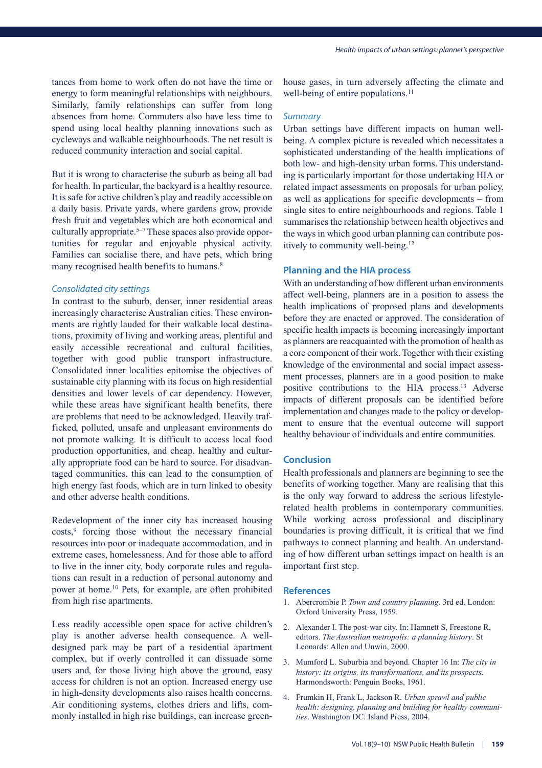tances from home to work often do not have the time or energy to form meaningful relationships with neighbours. Similarly, family relationships can suffer from long absences from home. Commuters also have less time to spend using local healthy planning innovations such as cycleways and walkable neighbourhoods. The net result is reduced community interaction and social capital.

But it is wrong to characterise the suburb as being all bad for health. In particular, the backyard is a healthy resource. It is safe for active children's play and readily accessible on a daily basis. Private yards, where gardens grow, provide fresh fruit and vegetables which are both economical and culturally appropriate.<sup>5-7</sup> These spaces also provide opportunities for regular and enjoyable physical activity. Families can socialise there, and have pets, which bring many recognised health benefits to humans.<sup>8</sup>

#### *Consolidated city settings*

In contrast to the suburb, denser, inner residential areas increasingly characterise Australian cities. These environments are rightly lauded for their walkable local destinations, proximity of living and working areas, plentiful and easily accessible recreational and cultural facilities, together with good public transport infrastructure. Consolidated inner localities epitomise the objectives of sustainable city planning with its focus on high residential densities and lower levels of car dependency. However, while these areas have significant health benefits, there are problems that need to be acknowledged. Heavily trafficked, polluted, unsafe and unpleasant environments do not promote walking. It is difficult to access local food production opportunities, and cheap, healthy and culturally appropriate food can be hard to source. For disadvantaged communities, this can lead to the consumption of high energy fast foods, which are in turn linked to obesity and other adverse health conditions.

Redevelopment of the inner city has increased housing costs,<sup>9</sup> forcing those without the necessary financial resources into poor or inadequate accommodation, and in extreme cases, homelessness. And for those able to afford to live in the inner city, body corporate rules and regulations can result in a reduction of personal autonomy and power at home.10 Pets, for example, are often prohibited from high rise apartments.

Less readily accessible open space for active children's play is another adverse health consequence. A welldesigned park may be part of a residential apartment complex, but if overly controlled it can dissuade some users and, for those living high above the ground, easy access for children is not an option. Increased energy use in high-density developments also raises health concerns. Air conditioning systems, clothes driers and lifts, commonly installed in high rise buildings, can increase greenhouse gases, in turn adversely affecting the climate and well-being of entire populations.<sup>11</sup>

#### *Summary*

Urban settings have different impacts on human wellbeing. A complex picture is revealed which necessitates a sophisticated understanding of the health implications of both low- and high-density urban forms. This understanding is particularly important for those undertaking HIA or related impact assessments on proposals for urban policy, as well as applications for specific developments – from single sites to entire neighbourhoods and regions. Table 1 summarises the relationship between health objectives and the ways in which good urban planning can contribute positively to community well-being.12

#### **Planning and the HIA process**

With an understanding of how different urban environments affect well-being, planners are in a position to assess the health implications of proposed plans and developments before they are enacted or approved. The consideration of specific health impacts is becoming increasingly important as planners are reacquainted with the promotion of health as a core component of their work. Together with their existing knowledge of the environmental and social impact assessment processes, planners are in a good position to make positive contributions to the HIA process.13 Adverse impacts of different proposals can be identified before implementation and changes made to the policy or development to ensure that the eventual outcome will support healthy behaviour of individuals and entire communities.

#### **Conclusion**

Health professionals and planners are beginning to see the benefits of working together. Many are realising that this is the only way forward to address the serious lifestylerelated health problems in contemporary communities. While working across professional and disciplinary boundaries is proving difficult, it is critical that we find pathways to connect planning and health. An understanding of how different urban settings impact on health is an important first step.

- 1. Abercrombie P. *Town and country planning*. 3rd ed. London: Oxford University Press, 1959.
- 2. Alexander I. The post-war city. In: Hamnett S, Freestone R, editors. *The Australian metropolis: a planning history*. St Leonards: Allen and Unwin, 2000.
- 3. Mumford L. Suburbia and beyond. Chapter 16 In: *The city in history: its origins, its transformations, and its prospects*. Harmondsworth: Penguin Books, 1961.
- 4. Frumkin H, Frank L, Jackson R. *Urban sprawl and public health: designing, planning and building for healthy communities*. Washington DC: Island Press, 2004.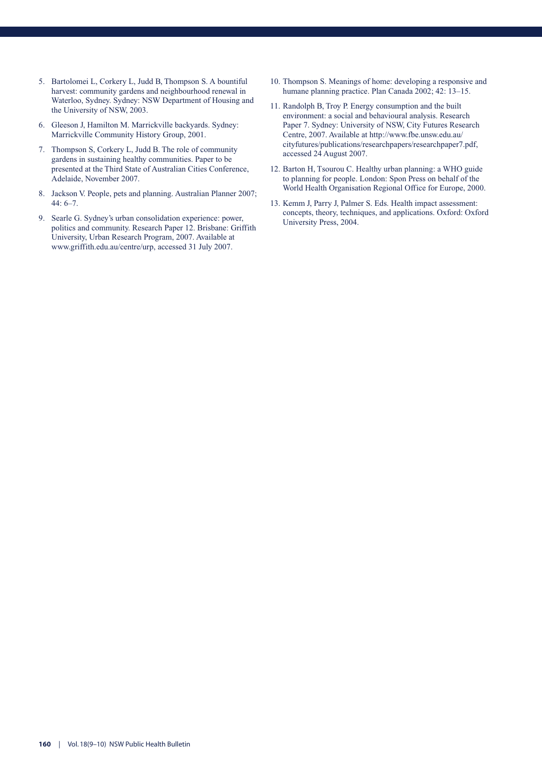- 5. Bartolomei L, Corkery L, Judd B, Thompson S. A bountiful harvest: community gardens and neighbourhood renewal in Waterloo, Sydney. Sydney: NSW Department of Housing and the University of NSW, 2003.
- 6. Gleeson J, Hamilton M. Marrickville backyards. Sydney: Marrickville Community History Group, 2001.
- 7. Thompson S, Corkery L, Judd B. The role of community gardens in sustaining healthy communities. Paper to be presented at the Third State of Australian Cities Conference, Adelaide, November 2007.
- 8. Jackson V. People, pets and planning. Australian Planner 2007; 44: 6–7.
- 9. Searle G. Sydney's urban consolidation experience: power, politics and community. Research Paper 12. Brisbane: Griffith University, Urban Research Program, 2007. Available at www.griffith.edu.au/centre/urp, accessed 31 July 2007.
- 10. Thompson S. Meanings of home: developing a responsive and humane planning practice. Plan Canada 2002; 42: 13–15.
- 11. Randolph B, Troy P. Energy consumption and the built environment: a social and behavioural analysis. Research Paper 7. Sydney: University of NSW, City Futures Research Centre, 2007. Available at http://www.fbe.unsw.edu.au/ cityfutures/publications/researchpapers/researchpaper7.pdf, accessed 24 August 2007.
- 12. Barton H, Tsourou C. Healthy urban planning: a WHO guide to planning for people. London: Spon Press on behalf of the World Health Organisation Regional Office for Europe, 2000.
- 13. Kemm J, Parry J, Palmer S. Eds. Health impact assessment: concepts, theory, techniques, and applications. Oxford: Oxford University Press, 2004.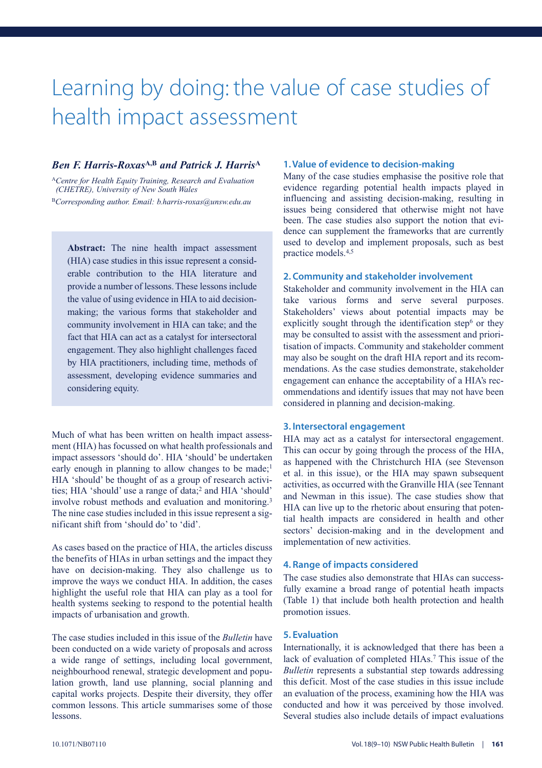### Learning by doing: the value of case studies of health impact assessment

#### *Ben F. Harris-Roxas***A,B** *and Patrick J. Harris***<sup>A</sup>**

<sup>A</sup>*Centre for Health Equity Training, Research and Evaluation (CHETRE), University of New South Wales* <sup>B</sup>*Corresponding author. Email: b.harris-roxas@unsw.edu.au*

**Abstract:** The nine health impact assessment (HIA) case studies in this issue represent a considerable contribution to the HIA literature and provide a number of lessons. These lessons include the value of using evidence in HIA to aid decisionmaking; the various forms that stakeholder and community involvement in HIA can take; and the fact that HIA can act as a catalyst for intersectoral engagement. They also highlight challenges faced by HIA practitioners, including time, methods of assessment, developing evidence summaries and considering equity.

Much of what has been written on health impact assessment (HIA) has focussed on what health professionals and impact assessors 'should do'. HIA 'should' be undertaken early enough in planning to allow changes to be made;<sup>1</sup> HIA 'should' be thought of as a group of research activities; HIA 'should' use a range of data;<sup>2</sup> and HIA 'should' involve robust methods and evaluation and monitoring.3 The nine case studies included in this issue represent a significant shift from 'should do' to 'did'.

As cases based on the practice of HIA, the articles discuss the benefits of HIAs in urban settings and the impact they have on decision-making. They also challenge us to improve the ways we conduct HIA. In addition, the cases highlight the useful role that HIA can play as a tool for health systems seeking to respond to the potential health impacts of urbanisation and growth.

The case studies included in this issue of the *Bulletin* have been conducted on a wide variety of proposals and across a wide range of settings, including local government, neighbourhood renewal, strategic development and population growth, land use planning, social planning and capital works projects. Despite their diversity, they offer common lessons. This article summarises some of those lessons.

#### **1. Value of evidence to decision-making**

Many of the case studies emphasise the positive role that evidence regarding potential health impacts played in influencing and assisting decision-making, resulting in issues being considered that otherwise might not have been. The case studies also support the notion that evidence can supplement the frameworks that are currently used to develop and implement proposals, such as best practice models.4,5

#### **2. Community and stakeholder involvement**

Stakeholder and community involvement in the HIA can take various forms and serve several purposes. Stakeholders' views about potential impacts may be explicitly sought through the identification step $6$  or they may be consulted to assist with the assessment and prioritisation of impacts. Community and stakeholder comment may also be sought on the draft HIA report and its recommendations. As the case studies demonstrate, stakeholder engagement can enhance the acceptability of a HIA's recommendations and identify issues that may not have been considered in planning and decision-making.

#### **3. Intersectoral engagement**

HIA may act as a catalyst for intersectoral engagement. This can occur by going through the process of the HIA, as happened with the Christchurch HIA (see Stevenson et al. in this issue), or the HIA may spawn subsequent activities, as occurred with the Granville HIA (see Tennant and Newman in this issue). The case studies show that HIA can live up to the rhetoric about ensuring that potential health impacts are considered in health and other sectors' decision-making and in the development and implementation of new activities.

#### **4. Range of impacts considered**

The case studies also demonstrate that HIAs can successfully examine a broad range of potential heath impacts (Table 1) that include both health protection and health promotion issues.

#### **5. Evaluation**

Internationally, it is acknowledged that there has been a lack of evaluation of completed HIAs.<sup>7</sup> This issue of the *Bulletin* represents a substantial step towards addressing this deficit. Most of the case studies in this issue include an evaluation of the process, examining how the HIA was conducted and how it was perceived by those involved. Several studies also include details of impact evaluations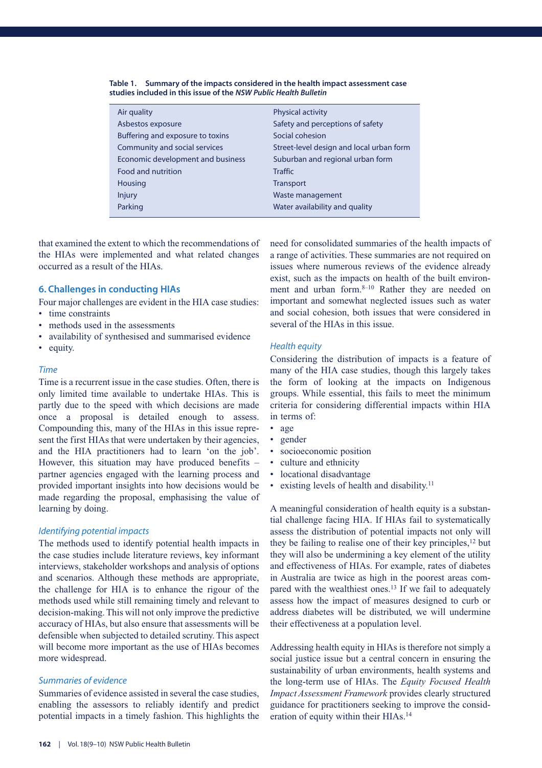| <b>Physical activity</b>                 |
|------------------------------------------|
| Safety and perceptions of safety         |
| Social cohesion                          |
| Street-level design and local urban form |
| Suburban and regional urban form         |
| <b>Traffic</b>                           |
| Transport                                |
| Waste management                         |
| Water availability and quality           |
|                                          |

**Table 1. Summary of the impacts considered in the health impact assessment case studies included in this issue of the** *NSW Public Health Bulletin*

that examined the extent to which the recommendations of the HIAs were implemented and what related changes occurred as a result of the HIAs.

#### **6. Challenges in conducting HIAs**

Four major challenges are evident in the HIA case studies:

- time constraints
- methods used in the assessments
- availability of synthesised and summarised evidence
- equity.

#### *Time*

Time is a recurrent issue in the case studies. Often, there is only limited time available to undertake HIAs. This is partly due to the speed with which decisions are made once a proposal is detailed enough to assess. Compounding this, many of the HIAs in this issue represent the first HIAs that were undertaken by their agencies, and the HIA practitioners had to learn 'on the job'. However, this situation may have produced benefits – partner agencies engaged with the learning process and provided important insights into how decisions would be made regarding the proposal, emphasising the value of learning by doing.

#### *Identifying potential impacts*

The methods used to identify potential health impacts in the case studies include literature reviews, key informant interviews, stakeholder workshops and analysis of options and scenarios. Although these methods are appropriate, the challenge for HIA is to enhance the rigour of the methods used while still remaining timely and relevant to decision-making. This will not only improve the predictive accuracy of HIAs, but also ensure that assessments will be defensible when subjected to detailed scrutiny. This aspect will become more important as the use of HIAs becomes more widespread.

#### *Summaries of evidence*

Summaries of evidence assisted in several the case studies, enabling the assessors to reliably identify and predict potential impacts in a timely fashion. This highlights the

need for consolidated summaries of the health impacts of a range of activities. These summaries are not required on issues where numerous reviews of the evidence already exist, such as the impacts on health of the built environment and urban form.<sup>8–10</sup> Rather they are needed on important and somewhat neglected issues such as water and social cohesion, both issues that were considered in several of the HIAs in this issue.

#### *Health equity*

Considering the distribution of impacts is a feature of many of the HIA case studies, though this largely takes the form of looking at the impacts on Indigenous groups. While essential, this fails to meet the minimum criteria for considering differential impacts within HIA in terms of:

- age
- gender
- socioeconomic position
- culture and ethnicity
- locational disadvantage
- existing levels of health and disability.<sup>11</sup>

A meaningful consideration of health equity is a substantial challenge facing HIA. If HIAs fail to systematically assess the distribution of potential impacts not only will they be failing to realise one of their key principles,<sup>12</sup> but they will also be undermining a key element of the utility and effectiveness of HIAs. For example, rates of diabetes in Australia are twice as high in the poorest areas compared with the wealthiest ones.13 If we fail to adequately assess how the impact of measures designed to curb or address diabetes will be distributed, we will undermine their effectiveness at a population level.

Addressing health equity in HIAs is therefore not simply a social justice issue but a central concern in ensuring the sustainability of urban environments, health systems and the long-term use of HIAs. The *Equity Focused Health Impact Assessment Framework* provides clearly structured guidance for practitioners seeking to improve the consideration of equity within their HIAs.14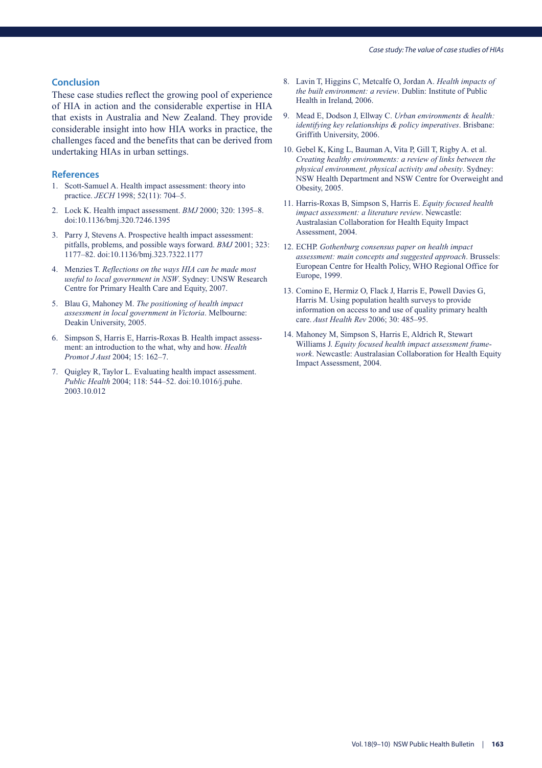#### **Conclusion**

These case studies reflect the growing pool of experience of HIA in action and the considerable expertise in HIA that exists in Australia and New Zealand. They provide considerable insight into how HIA works in practice, the challenges faced and the benefits that can be derived from undertaking HIAs in urban settings.

- 1. Scott-Samuel A. Health impact assessment: theory into practice. *JECH* 1998; 52(11): 704–5.
- 2. Lock K. Health impact assessment. *BMJ* 2000; 320: 1395–8. doi:10.1136/bmj.320.7246.1395
- 3. Parry J, Stevens A. Prospective health impact assessment: pitfalls, problems, and possible ways forward. *BMJ* 2001; 323: 1177–82. doi:10.1136/bmj.323.7322.1177
- 4. Menzies T. *Reflections on the ways HIA can be made most useful to local government in NSW*. Sydney: UNSW Research Centre for Primary Health Care and Equity, 2007.
- 5. Blau G, Mahoney M. *The positioning of health impact assessment in local government in Victoria*. Melbourne: Deakin University, 2005.
- 6. Simpson S, Harris E, Harris-Roxas B. Health impact assessment: an introduction to the what, why and how. *Health Promot J Aust* 2004; 15: 162–7.
- 7. Quigley R, Taylor L. Evaluating health impact assessment. *Public Health* 2004; 118: 544–52. doi:10.1016/j.puhe. 2003.10.012
- 8. Lavin T, Higgins C, Metcalfe O, Jordan A. *Health impacts of the built environment: a review*. Dublin: Institute of Public Health in Ireland, 2006.
- 9. Mead E, Dodson J, Ellway C. *Urban environments & health: identifying key relationships & policy imperatives*. Brisbane: Griffith University, 2006.
- 10. Gebel K, King L, Bauman A, Vita P, Gill T, Rigby A. et al. *Creating healthy environments: a review of links between the physical environment, physical activity and obesity*. Sydney: NSW Health Department and NSW Centre for Overweight and Obesity, 2005.
- 11. Harris-Roxas B, Simpson S, Harris E. *Equity focused health impact assessment: a literature review*. Newcastle: Australasian Collaboration for Health Equity Impact Assessment, 2004.
- 12. ECHP. *Gothenburg consensus paper on health impact assessment: main concepts and suggested approach*. Brussels: European Centre for Health Policy, WHO Regional Office for Europe, 1999.
- 13. Comino E, Hermiz O, Flack J, Harris E, Powell Davies G, Harris M. Using population health surveys to provide information on access to and use of quality primary health care. *Aust Health Rev* 2006; 30: 485–95.
- 14. Mahoney M, Simpson S, Harris E, Aldrich R, Stewart Williams J. *Equity focused health impact assessment framework*. Newcastle: Australasian Collaboration for Health Equity Impact Assessment, 2004.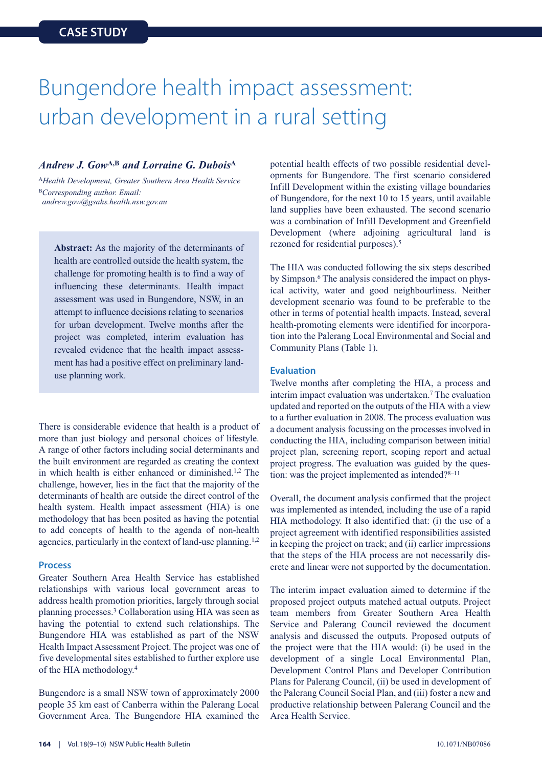### Bungendore health impact assessment: urban development in a rural setting

#### *Andrew J. Gow***A,B** *and Lorraine G. Dubois***<sup>A</sup>**

<sup>A</sup>*Health Development, Greater Southern Area Health Service* <sup>B</sup>*Corresponding author. Email: andrew.gow@gsahs.health.nsw.gov.au*

**Abstract:** As the majority of the determinants of health are controlled outside the health system, the challenge for promoting health is to find a way of influencing these determinants. Health impact assessment was used in Bungendore, NSW, in an attempt to influence decisions relating to scenarios for urban development. Twelve months after the project was completed, interim evaluation has revealed evidence that the health impact assessment has had a positive effect on preliminary landuse planning work.

There is considerable evidence that health is a product of more than just biology and personal choices of lifestyle. A range of other factors including social determinants and the built environment are regarded as creating the context in which health is either enhanced or diminished.1,2 The challenge, however, lies in the fact that the majority of the determinants of health are outside the direct control of the health system. Health impact assessment (HIA) is one methodology that has been posited as having the potential to add concepts of health to the agenda of non-health agencies, particularly in the context of land-use planning.<sup>1,2</sup>

#### **Process**

Greater Southern Area Health Service has established relationships with various local government areas to address health promotion priorities, largely through social planning processes.3 Collaboration using HIA was seen as having the potential to extend such relationships. The Bungendore HIA was established as part of the NSW Health Impact Assessment Project. The project was one of five developmental sites established to further explore use of the HIA methodology.4

Bungendore is a small NSW town of approximately 2000 people 35 km east of Canberra within the Palerang Local Government Area. The Bungendore HIA examined the potential health effects of two possible residential developments for Bungendore. The first scenario considered Infill Development within the existing village boundaries of Bungendore, for the next 10 to 15 years, until available land supplies have been exhausted. The second scenario was a combination of Infill Development and Greenfield Development (where adjoining agricultural land is rezoned for residential purposes).5

The HIA was conducted following the six steps described by Simpson.6 The analysis considered the impact on physical activity, water and good neighbourliness. Neither development scenario was found to be preferable to the other in terms of potential health impacts. Instead, several health-promoting elements were identified for incorporation into the Palerang Local Environmental and Social and Community Plans (Table 1).

#### **Evaluation**

Twelve months after completing the HIA, a process and interim impact evaluation was undertaken.<sup>7</sup> The evaluation updated and reported on the outputs of the HIA with a view to a further evaluation in 2008. The process evaluation was a document analysis focussing on the processes involved in conducting the HIA, including comparison between initial project plan, screening report, scoping report and actual project progress. The evaluation was guided by the question: was the project implemented as intended?<sup>8–11</sup>

Overall, the document analysis confirmed that the project was implemented as intended, including the use of a rapid HIA methodology. It also identified that: (i) the use of a project agreement with identified responsibilities assisted in keeping the project on track; and (ii) earlier impressions that the steps of the HIA process are not necessarily discrete and linear were not supported by the documentation.

The interim impact evaluation aimed to determine if the proposed project outputs matched actual outputs. Project team members from Greater Southern Area Health Service and Palerang Council reviewed the document analysis and discussed the outputs. Proposed outputs of the project were that the HIA would: (i) be used in the development of a single Local Environmental Plan, Development Control Plans and Developer Contribution Plans for Palerang Council, (ii) be used in development of the Palerang Council Social Plan, and (iii) foster a new and productive relationship between Palerang Council and the Area Health Service.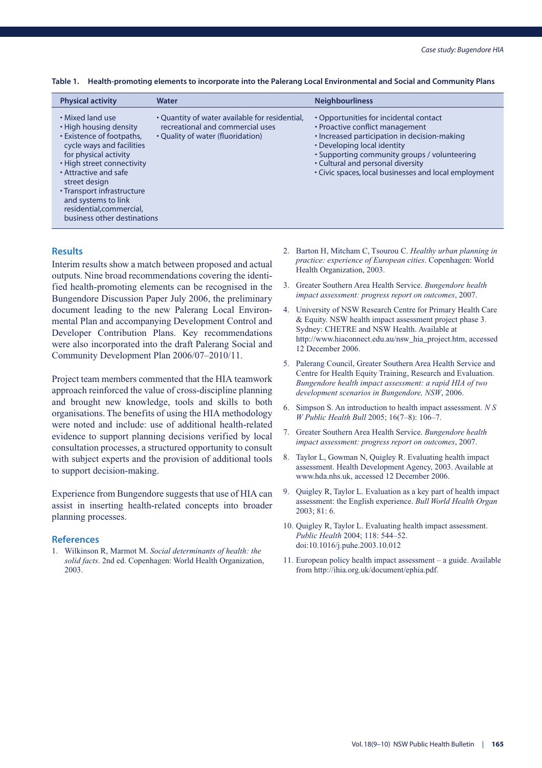| <b>Physical activity</b>                                                                                                                                                                                                                                                                                              | <b>Water</b>                                                                                                            | <b>Neighbourliness</b>                                                                                                                                                                                                                                                                                 |
|-----------------------------------------------------------------------------------------------------------------------------------------------------------------------------------------------------------------------------------------------------------------------------------------------------------------------|-------------------------------------------------------------------------------------------------------------------------|--------------------------------------------------------------------------------------------------------------------------------------------------------------------------------------------------------------------------------------------------------------------------------------------------------|
| • Mixed land use<br>• High housing density<br>• Existence of footpaths,<br>cycle ways and facilities<br>for physical activity<br>• High street connectivity<br>• Attractive and safe<br>street design<br>• Transport infrastructure<br>and systems to link<br>residential, commercial,<br>business other destinations | • Quantity of water available for residential,<br>recreational and commercial uses<br>• Quality of water (fluoridation) | • Opportunities for incidental contact<br>• Proactive conflict management<br>• Increased participation in decision-making<br>• Developing local identity<br>• Supporting community groups / volunteering<br>• Cultural and personal diversity<br>• Civic spaces, local businesses and local employment |

**Table 1. Health-promoting elements to incorporate into the Palerang Local Environmental and Social and Community Plans**

#### **Results**

Interim results show a match between proposed and actual outputs. Nine broad recommendations covering the identified health-promoting elements can be recognised in the Bungendore Discussion Paper July 2006, the preliminary document leading to the new Palerang Local Environmental Plan and accompanying Development Control and Developer Contribution Plans. Key recommendations were also incorporated into the draft Palerang Social and Community Development Plan 2006/07–2010/11.

Project team members commented that the HIA teamwork approach reinforced the value of cross-discipline planning and brought new knowledge, tools and skills to both organisations. The benefits of using the HIA methodology were noted and include: use of additional health-related evidence to support planning decisions verified by local consultation processes, a structured opportunity to consult with subject experts and the provision of additional tools to support decision-making.

Experience from Bungendore suggests that use of HIA can assist in inserting health-related concepts into broader planning processes.

#### **References**

1. Wilkinson R, Marmot M. *Social determinants of health: the solid facts*. 2nd ed. Copenhagen: World Health Organization, 2003.

- 2. Barton H, Mitcham C, Tsourou C. *Healthy urban planning in practice: experience of European cities*. Copenhagen: World Health Organization, 2003.
- 3. Greater Southern Area Health Service. *Bungendore health impact assessment: progress report on outcomes*, 2007.
- 4. University of NSW Research Centre for Primary Health Care & Equity. NSW health impact assessment project phase 3. Sydney: CHETRE and NSW Health. Available at http://www.hiaconnect.edu.au/nsw\_hia\_project.htm, accessed 12 December 2006.
- 5. Palerang Council, Greater Southern Area Health Service and Centre for Health Equity Training, Research and Evaluation. *Bungendore health impact assessment: a rapid HIA of two development scenarios in Bungendore, NSW*, 2006.
- 6. Simpson S. An introduction to health impact assessment. *N S W Public Health Bull* 2005; 16(7–8): 106–7.
- 7. Greater Southern Area Health Service. *Bungendore health impact assessment: progress report on outcomes*, 2007.
- 8. Taylor L, Gowman N, Quigley R. Evaluating health impact assessment. Health Development Agency, 2003. Available at www.hda.nhs.uk, accessed 12 December 2006.
- 9. Quigley R, Taylor L. Evaluation as a key part of health impact assessment: the English experience. *Bull World Health Organ* 2003; 81: 6.
- 10. Quigley R, Taylor L. Evaluating health impact assessment. *Public Health* 2004; 118: 544–52. doi:10.1016/j.puhe.2003.10.012
- 11. European policy health impact assessment a guide. Available from http://ihia.org.uk/document/ephia.pdf.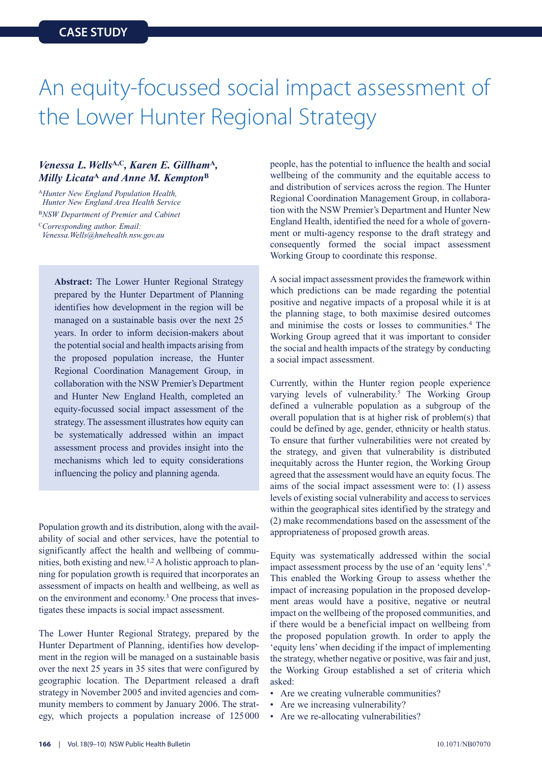### An equity-focussed social impact assessment of the Lower Hunter Regional Strategy

#### *Venessa L. Wells***A,C***, Karen E. Gillham***<sup>A</sup>***, Milly Licata***<sup>A</sup>** *and Anne M. Kempton***<sup>B</sup>**

<sup>A</sup>*Hunter New England Population Health, Hunter New England Area Health Service* <sup>B</sup>*NSW Department of Premier and Cabinet* <sup>C</sup>*Corresponding author. Email: Venessa.Wells@hnehealth.nsw.gov.au*

> **Abstract:** The Lower Hunter Regional Strategy prepared by the Hunter Department of Planning identifies how development in the region will be managed on a sustainable basis over the next 25 years. In order to inform decision-makers about the potential social and health impacts arising from the proposed population increase, the Hunter Regional Coordination Management Group, in collaboration with the NSW Premier's Department and Hunter New England Health, completed an equity-focussed social impact assessment of the strategy. The assessment illustrates how equity can be systematically addressed within an impact assessment process and provides insight into the mechanisms which led to equity considerations influencing the policy and planning agenda.

Population growth and its distribution, along with the availability of social and other services, have the potential to significantly affect the health and wellbeing of communities, both existing and new.1,2A holistic approach to planning for population growth is required that incorporates an assessment of impacts on health and wellbeing, as well as on the environment and economy.3 One process that investigates these impacts is social impact assessment.

The Lower Hunter Regional Strategy, prepared by the Hunter Department of Planning, identifies how development in the region will be managed on a sustainable basis over the next 25 years in 35 sites that were configured by geographic location. The Department released a draft strategy in November 2005 and invited agencies and community members to comment by January 2006. The strategy, which projects a population increase of 125000

people, has the potential to influence the health and social wellbeing of the community and the equitable access to and distribution of services across the region. The Hunter Regional Coordination Management Group, in collaboration with the NSW Premier's Department and Hunter New England Health, identified the need for a whole of government or multi-agency response to the draft strategy and consequently formed the social impact assessment Working Group to coordinate this response.

A social impact assessment provides the framework within which predictions can be made regarding the potential positive and negative impacts of a proposal while it is at the planning stage, to both maximise desired outcomes and minimise the costs or losses to communities.4 The Working Group agreed that it was important to consider the social and health impacts of the strategy by conducting a social impact assessment.

Currently, within the Hunter region people experience varying levels of vulnerability.<sup>5</sup> The Working Group defined a vulnerable population as a subgroup of the overall population that is at higher risk of problem(s) that could be defined by age, gender, ethnicity or health status. To ensure that further vulnerabilities were not created by the strategy, and given that vulnerability is distributed inequitably across the Hunter region, the Working Group agreed that the assessment would have an equity focus. The aims of the social impact assessment were to: (1) assess levels of existing social vulnerability and access to services within the geographical sites identified by the strategy and (2) make recommendations based on the assessment of the appropriateness of proposed growth areas.

Equity was systematically addressed within the social impact assessment process by the use of an 'equity lens'.6 This enabled the Working Group to assess whether the impact of increasing population in the proposed development areas would have a positive, negative or neutral impact on the wellbeing of the proposed communities, and if there would be a beneficial impact on wellbeing from the proposed population growth. In order to apply the 'equity lens' when deciding if the impact of implementing the strategy, whether negative or positive, was fair and just, the Working Group established a set of criteria which asked:

- Are we creating vulnerable communities?
- Are we increasing vulnerability?
- Are we re-allocating vulnerabilities?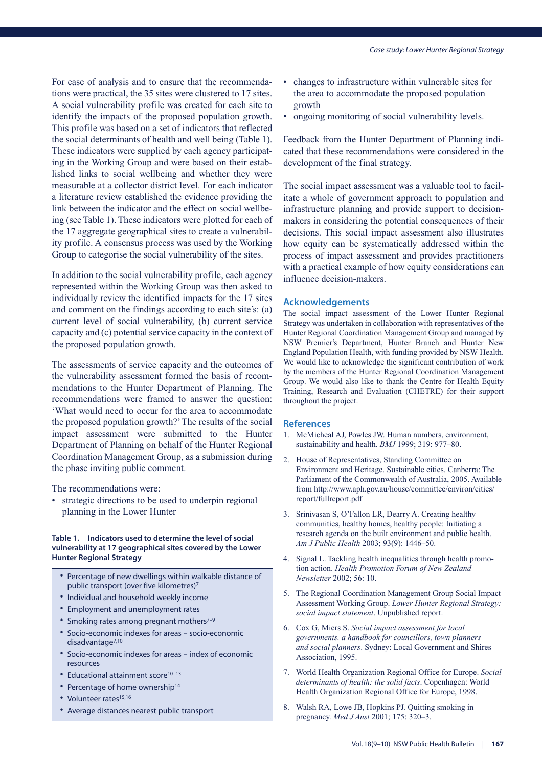For ease of analysis and to ensure that the recommendations were practical, the 35 sites were clustered to 17 sites. A social vulnerability profile was created for each site to identify the impacts of the proposed population growth. This profile was based on a set of indicators that reflected the social determinants of health and well being (Table 1). These indicators were supplied by each agency participating in the Working Group and were based on their established links to social wellbeing and whether they were measurable at a collector district level. For each indicator a literature review established the evidence providing the link between the indicator and the effect on social wellbeing (see Table 1). These indicators were plotted for each of the 17 aggregate geographical sites to create a vulnerability profile. A consensus process was used by the Working Group to categorise the social vulnerability of the sites.

In addition to the social vulnerability profile, each agency represented within the Working Group was then asked to individually review the identified impacts for the 17 sites and comment on the findings according to each site's: (a) current level of social vulnerability, (b) current service capacity and (c) potential service capacity in the context of the proposed population growth.

The assessments of service capacity and the outcomes of the vulnerability assessment formed the basis of recommendations to the Hunter Department of Planning. The recommendations were framed to answer the question: 'What would need to occur for the area to accommodate the proposed population growth?'The results of the social impact assessment were submitted to the Hunter Department of Planning on behalf of the Hunter Regional Coordination Management Group, as a submission during the phase inviting public comment.

The recommendations were:

• strategic directions to be used to underpin regional planning in the Lower Hunter

#### **Table 1. Indicators used to determine the level of social vulnerability at 17 geographical sites covered by the Lower Hunter Regional Strategy**

- Percentage of new dwellings within walkable distance of public transport (over five kilometres)7
- Individual and household weekly income
- Employment and unemployment rates
- Smoking rates among pregnant mothers<sup>7-9</sup>
- Socio-economic indexes for areas socio-economic disadvantage<sup>7,10</sup>
- Socio-economic indexes for areas index of economic resources
- Educational attainment score $10-13$
- Percentage of home ownership<sup>14</sup>
- Volunteer rates<sup>15,16</sup>
- Average distances nearest public transport
- changes to infrastructure within vulnerable sites for the area to accommodate the proposed population growth
- ongoing monitoring of social vulnerability levels.

Feedback from the Hunter Department of Planning indicated that these recommendations were considered in the development of the final strategy.

The social impact assessment was a valuable tool to facilitate a whole of government approach to population and infrastructure planning and provide support to decisionmakers in considering the potential consequences of their decisions. This social impact assessment also illustrates how equity can be systematically addressed within the process of impact assessment and provides practitioners with a practical example of how equity considerations can influence decision-makers.

#### **Acknowledgements**

The social impact assessment of the Lower Hunter Regional Strategy was undertaken in collaboration with representatives of the Hunter Regional Coordination Management Group and managed by NSW Premier's Department, Hunter Branch and Hunter New England Population Health, with funding provided by NSW Health. We would like to acknowledge the significant contribution of work by the members of the Hunter Regional Coordination Management Group. We would also like to thank the Centre for Health Equity Training, Research and Evaluation (CHETRE) for their support throughout the project.

- 1. McMicheal AJ, Powles JW. Human numbers, environment, sustainability and health. *BMJ* 1999; 319: 977–80.
- 2. House of Representatives, Standing Committee on Environment and Heritage. Sustainable cities. Canberra: The Parliament of the Commonwealth of Australia, 2005. Available from http://www.aph.gov.au/house/committee/environ/cities/ report/fullreport.pdf
- 3. Srinivasan S, O'Fallon LR, Dearry A. Creating healthy communities, healthy homes, healthy people: Initiating a research agenda on the built environment and public health. *Am J Public Health* 2003; 93(9): 1446–50.
- 4. Signal L. Tackling health inequalities through health promotion action. *Health Promotion Forum of New Zealand Newsletter* 2002; 56: 10.
- 5. The Regional Coordination Management Group Social Impact Assessment Working Group. *Lower Hunter Regional Strategy: social impact statement*. Unpublished report.
- 6. Cox G, Miers S. *Social impact assessment for local governments. a handbook for councillors, town planners and social planners*. Sydney: Local Government and Shires Association, 1995.
- 7. World Health Organization Regional Office for Europe. *Social determinants of health: the solid facts*. Copenhagen: World Health Organization Regional Office for Europe, 1998.
- 8. Walsh RA, Lowe JB, Hopkins PJ. Quitting smoking in pregnancy. *Med J Aust* 2001; 175: 320–3.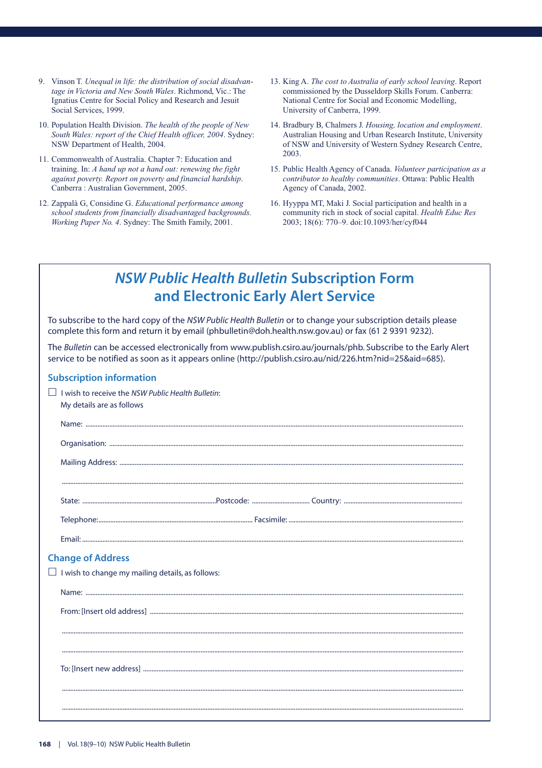- 9. Vinson T. *Unequal in life: the distribution of social disadvantage in Victoria and New South Wales*. Richmond, Vic.: The Ignatius Centre for Social Policy and Research and Jesuit Social Services, 1999.
- 10. Population Health Division. *The health of the people of New South Wales: report of the Chief Health officer, 2004*. Sydney: NSW Department of Health, 2004.
- 11. Commonwealth of Australia. Chapter 7: Education and training. In: *A hand up not a hand out: renewing the fight against poverty. Report on poverty and financial hardship*. Canberra : Australian Government, 2005.
- 12. Zappalà G, Considine G. *Educational performance among school students from financially disadvantaged backgrounds. Working Paper No. 4*. Sydney: The Smith Family, 2001.
- 13. King A. *The cost to Australia of early school leaving*. Report commissioned by the Dusseldorp Skills Forum. Canberra: National Centre for Social and Economic Modelling, University of Canberra, 1999.
- 14. Bradbury B, Chalmers J. *Housing, location and employment*. Australian Housing and Urban Research Institute, University of NSW and University of Western Sydney Research Centre, 2003.
- 15. Public Health Agency of Canada. *Volunteer participation as a contributor to healthy communities*. Ottawa: Public Health Agency of Canada, 2002.
- 16. Hyyppa MT, Maki J. Social participation and health in a community rich in stock of social capital. *Health Educ Res* 2003; 18(6): 770–9. doi:10.1093/her/cyf044

### *NSW Public Health Bulletin* **Subscription Form and Electronic Early Alert Service**

To subscribe to the hard copy of the *NSW Public Health Bulletin* or to change your subscription details please complete this form and return it by email (phbulletin@doh.health.nsw.gov.au) or fax (61 2 9391 9232).

The *Bulletin* can be accessed electronically from www.publish.csiro.au/journals/phb. Subscribe to the Early Alert service to be notified as soon as it appears online (http://publish.csiro.au/nid/226.htm?nid=25&aid=685).

#### **Subscription information**

| I wish to receive the NSW Public Health Bulletin:<br>My details are as follows |
|--------------------------------------------------------------------------------|
|                                                                                |
|                                                                                |
|                                                                                |
|                                                                                |
|                                                                                |
|                                                                                |
|                                                                                |
| <b>Change of Address</b>                                                       |
| $\Box$ I wish to change my mailing details, as follows:                        |
|                                                                                |
|                                                                                |
|                                                                                |
|                                                                                |
|                                                                                |
|                                                                                |
|                                                                                |
|                                                                                |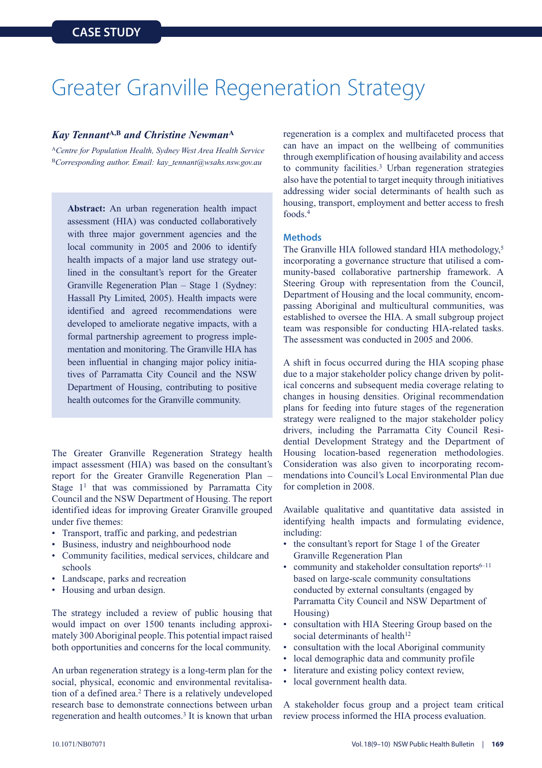### Greater Granville Regeneration Strategy

#### *Kay Tennant***A,B** *and Christine Newman***<sup>A</sup>**

<sup>A</sup>*Centre for Population Health, Sydney West Area Health Service* <sup>B</sup>*Corresponding author. Email: kay\_tennant@wsahs.nsw.gov.au*

**Abstract:** An urban regeneration health impact assessment (HIA) was conducted collaboratively with three major government agencies and the local community in 2005 and 2006 to identify health impacts of a major land use strategy outlined in the consultant's report for the Greater Granville Regeneration Plan – Stage 1 (Sydney: Hassall Pty Limited, 2005). Health impacts were identified and agreed recommendations were developed to ameliorate negative impacts, with a formal partnership agreement to progress implementation and monitoring. The Granville HIA has been influential in changing major policy initiatives of Parramatta City Council and the NSW Department of Housing, contributing to positive health outcomes for the Granville community.

The Greater Granville Regeneration Strategy health impact assessment (HIA) was based on the consultant's report for the Greater Granville Regeneration Plan – Stage  $1<sup>1</sup>$  that was commissioned by Parramatta City Council and the NSW Department of Housing. The report identified ideas for improving Greater Granville grouped under five themes:

- Transport, traffic and parking, and pedestrian
- Business, industry and neighbourhood node
- Community facilities, medical services, childcare and schools
- Landscape, parks and recreation
- Housing and urban design.

The strategy included a review of public housing that would impact on over 1500 tenants including approximately 300 Aboriginal people. This potential impact raised both opportunities and concerns for the local community.

An urban regeneration strategy is a long-term plan for the social, physical, economic and environmental revitalisation of a defined area.<sup>2</sup> There is a relatively undeveloped research base to demonstrate connections between urban regeneration and health outcomes.<sup>3</sup> It is known that urban regeneration is a complex and multifaceted process that can have an impact on the wellbeing of communities through exemplification of housing availability and access to community facilities.3 Urban regeneration strategies also have the potential to target inequity through initiatives addressing wider social determinants of health such as housing, transport, employment and better access to fresh foods.4

#### **Methods**

The Granville HIA followed standard HIA methodology,<sup>5</sup> incorporating a governance structure that utilised a community-based collaborative partnership framework. A Steering Group with representation from the Council, Department of Housing and the local community, encompassing Aboriginal and multicultural communities, was established to oversee the HIA. A small subgroup project team was responsible for conducting HIA-related tasks. The assessment was conducted in 2005 and 2006.

A shift in focus occurred during the HIA scoping phase due to a major stakeholder policy change driven by political concerns and subsequent media coverage relating to changes in housing densities. Original recommendation plans for feeding into future stages of the regeneration strategy were realigned to the major stakeholder policy drivers, including the Parramatta City Council Residential Development Strategy and the Department of Housing location-based regeneration methodologies. Consideration was also given to incorporating recommendations into Council's Local Environmental Plan due for completion in 2008.

Available qualitative and quantitative data assisted in identifying health impacts and formulating evidence, including:

- the consultant's report for Stage 1 of the Greater Granville Regeneration Plan
- community and stakeholder consultation reports $6-11$ based on large-scale community consultations conducted by external consultants (engaged by Parramatta City Council and NSW Department of Housing)
- consultation with HIA Steering Group based on the social determinants of health<sup>12</sup>
- consultation with the local Aboriginal community
- local demographic data and community profile
- literature and existing policy context review,
- local government health data.

A stakeholder focus group and a project team critical review process informed the HIA process evaluation.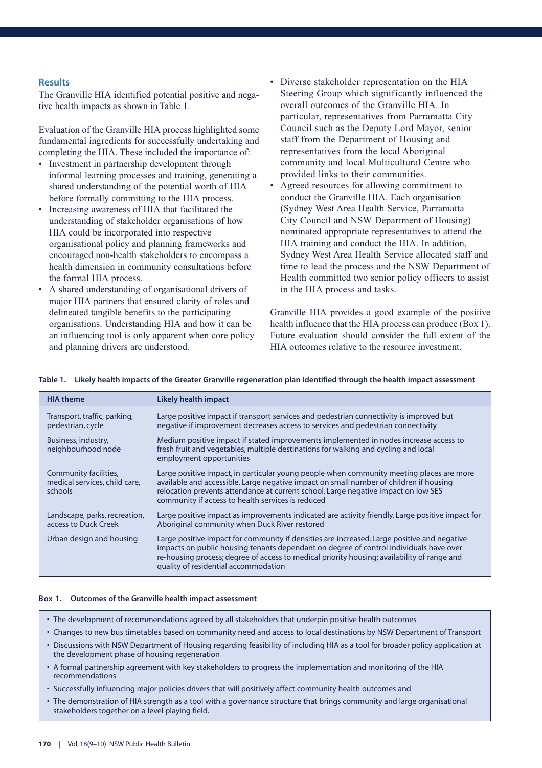#### **Results**

The Granville HIA identified potential positive and negative health impacts as shown in Table 1.

Evaluation of the Granville HIA process highlighted some fundamental ingredients for successfully undertaking and completing the HIA. These included the importance of:

- Investment in partnership development through informal learning processes and training, generating a shared understanding of the potential worth of HIA before formally committing to the HIA process.
- Increasing awareness of HIA that facilitated the understanding of stakeholder organisations of how HIA could be incorporated into respective organisational policy and planning frameworks and encouraged non-health stakeholders to encompass a health dimension in community consultations before the formal HIA process.
- A shared understanding of organisational drivers of major HIA partners that ensured clarity of roles and delineated tangible benefits to the participating organisations. Understanding HIA and how it can be an influencing tool is only apparent when core policy and planning drivers are understood.
- Diverse stakeholder representation on the HIA Steering Group which significantly influenced the overall outcomes of the Granville HIA. In particular, representatives from Parramatta City Council such as the Deputy Lord Mayor, senior staff from the Department of Housing and representatives from the local Aboriginal community and local Multicultural Centre who provided links to their communities.
- Agreed resources for allowing commitment to conduct the Granville HIA. Each organisation (Sydney West Area Health Service, Parramatta City Council and NSW Department of Housing) nominated appropriate representatives to attend the HIA training and conduct the HIA. In addition, Sydney West Area Health Service allocated staff and time to lead the process and the NSW Department of Health committed two senior policy officers to assist in the HIA process and tasks.

Granville HIA provides a good example of the positive health influence that the HIA process can produce (Box 1). Future evaluation should consider the full extent of the HIA outcomes relative to the resource investment.

| <b>HIA theme</b>                                                  | <b>Likely health impact</b>                                                                                                                                                                                                                                                                                                   |
|-------------------------------------------------------------------|-------------------------------------------------------------------------------------------------------------------------------------------------------------------------------------------------------------------------------------------------------------------------------------------------------------------------------|
| Transport, traffic, parking,<br>pedestrian, cycle                 | Large positive impact if transport services and pedestrian connectivity is improved but<br>negative if improvement decreases access to services and pedestrian connectivity                                                                                                                                                   |
| Business, industry,<br>neighbourhood node                         | Medium positive impact if stated improvements implemented in nodes increase access to<br>fresh fruit and vegetables, multiple destinations for walking and cycling and local<br>employment opportunities                                                                                                                      |
| Community facilities,<br>medical services, child care,<br>schools | Large positive impact, in particular young people when community meeting places are more<br>available and accessible. Large negative impact on small number of children if housing<br>relocation prevents attendance at current school. Large negative impact on low SES<br>community if access to health services is reduced |
| Landscape, parks, recreation,<br>access to Duck Creek             | Large positive impact as improvements indicated are activity friendly. Large positive impact for<br>Aboriginal community when Duck River restored                                                                                                                                                                             |
| Urban design and housing                                          | Large positive impact for community if densities are increased. Large positive and negative<br>impacts on public housing tenants dependant on degree of control individuals have over<br>re-housing process; degree of access to medical priority housing; availability of range and<br>quality of residential accommodation  |

#### **Table 1. Likely health impacts of the Greater Granville regeneration plan identified through the health impact assessment**

#### **Box 1. Outcomes of the Granville health impact assessment**

- The development of recommendations agreed by all stakeholders that underpin positive health outcomes
- Changes to new bus timetables based on community need and access to local destinations by NSW Department of Transport
- Discussions with NSW Department of Housing regarding feasibility of including HIA as a tool for broader policy application at the development phase of housing regeneration
- A formal partnership agreement with key stakeholders to progress the implementation and monitoring of the HIA recommendations
- Successfully influencing major policies drivers that will positively affect community health outcomes and
- The demonstration of HIA strength as a tool with a governance structure that brings community and large organisational stakeholders together on a level playing field.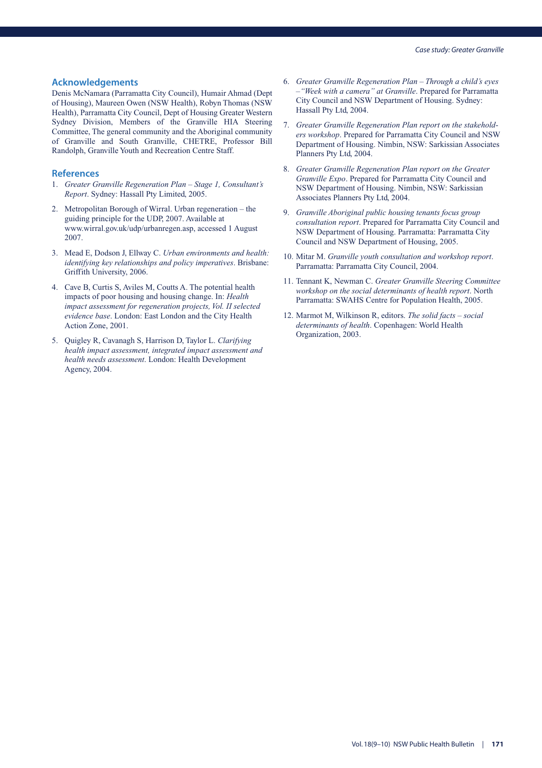#### **Acknowledgements**

Denis McNamara (Parramatta City Council), Humair Ahmad (Dept of Housing), Maureen Owen (NSW Health), Robyn Thomas (NSW Health), Parramatta City Council, Dept of Housing Greater Western Sydney Division, Members of the Granville HIA Steering Committee, The general community and the Aboriginal community of Granville and South Granville, CHETRE, Professor Bill Randolph, Granville Youth and Recreation Centre Staff.

- 1. *Greater Granville Regeneration Plan Stage 1, Consultant's Report*. Sydney: Hassall Pty Limited, 2005.
- 2. Metropolitan Borough of Wirral. Urban regeneration the guiding principle for the UDP, 2007. Available at www.wirral.gov.uk/udp/urbanregen.asp, accessed 1 August 2007.
- 3. Mead E, Dodson J, Ellway C. *Urban environments and health: identifying key relationships and policy imperatives*. Brisbane: Griffith University, 2006.
- 4. Cave B, Curtis S, Aviles M, Coutts A. The potential health impacts of poor housing and housing change. In: *Health impact assessment for regeneration projects, Vol. II selected evidence base*. London: East London and the City Health Action Zone, 2001.
- 5. Quigley R, Cavanagh S, Harrison D, Taylor L. *Clarifying health impact assessment, integrated impact assessment and health needs assessment*. London: Health Development Agency, 2004.
- 6. *Greater Granville Regeneration Plan Through a child's eyes –"Week with a camera" at Granville*. Prepared for Parramatta City Council and NSW Department of Housing. Sydney: Hassall Pty Ltd, 2004.
- 7. *Greater Granville Regeneration Plan report on the stakeholders workshop*. Prepared for Parramatta City Council and NSW Department of Housing. Nimbin, NSW: Sarkissian Associates Planners Pty Ltd, 2004.
- 8. *Greater Granville Regeneration Plan report on the Greater Granville Expo*. Prepared for Parramatta City Council and NSW Department of Housing. Nimbin, NSW: Sarkissian Associates Planners Pty Ltd, 2004.
- 9. *Granville Aboriginal public housing tenants focus group consultation report*. Prepared for Parramatta City Council and NSW Department of Housing. Parramatta: Parramatta City Council and NSW Department of Housing, 2005.
- 10. Mitar M. *Granville youth consultation and workshop report*. Parramatta: Parramatta City Council, 2004.
- 11. Tennant K, Newman C. *Greater Granville Steering Committee workshop on the social determinants of health report*. North Parramatta: SWAHS Centre for Population Health, 2005.
- 12. Marmot M, Wilkinson R, editors. *The solid facts social determinants of health*. Copenhagen: World Health Organization, 2003.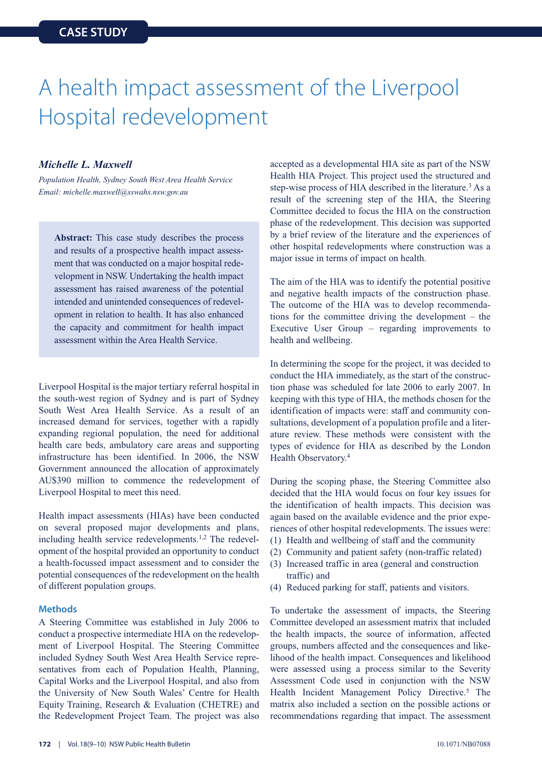# A health impact assessment of the Liverpool Hospital redevelopment

#### *Michelle L. Maxwell*

*Population Health, Sydney South West Area Health Service Email: michelle.maxwell@sswahs.nsw.gov.au*

**Abstract:** This case study describes the process and results of a prospective health impact assessment that was conducted on a major hospital redevelopment in NSW. Undertaking the health impact assessment has raised awareness of the potential intended and unintended consequences of redevelopment in relation to health. It has also enhanced the capacity and commitment for health impact assessment within the Area Health Service.

Liverpool Hospital is the major tertiary referral hospital in the south-west region of Sydney and is part of Sydney South West Area Health Service. As a result of an increased demand for services, together with a rapidly expanding regional population, the need for additional health care beds, ambulatory care areas and supporting infrastructure has been identified. In 2006, the NSW Government announced the allocation of approximately AU\$390 million to commence the redevelopment of Liverpool Hospital to meet this need.

Health impact assessments (HIAs) have been conducted on several proposed major developments and plans, including health service redevelopments.<sup>1,2</sup> The redevelopment of the hospital provided an opportunity to conduct a health-focussed impact assessment and to consider the potential consequences of the redevelopment on the health of different population groups.

#### **Methods**

A Steering Committee was established in July 2006 to conduct a prospective intermediate HIA on the redevelopment of Liverpool Hospital. The Steering Committee included Sydney South West Area Health Service representatives from each of Population Health, Planning, Capital Works and the Liverpool Hospital, and also from the University of New South Wales' Centre for Health Equity Training, Research & Evaluation (CHETRE) and the Redevelopment Project Team. The project was also accepted as a developmental HIA site as part of the NSW Health HIA Project. This project used the structured and step-wise process of HIA described in the literature.<sup>3</sup> As a result of the screening step of the HIA, the Steering Committee decided to focus the HIA on the construction phase of the redevelopment. This decision was supported by a brief review of the literature and the experiences of other hospital redevelopments where construction was a major issue in terms of impact on health.

The aim of the HIA was to identify the potential positive and negative health impacts of the construction phase. The outcome of the HIA was to develop recommendations for the committee driving the development – the Executive User Group – regarding improvements to health and wellbeing.

In determining the scope for the project, it was decided to conduct the HIA immediately, as the start of the construction phase was scheduled for late 2006 to early 2007. In keeping with this type of HIA, the methods chosen for the identification of impacts were: staff and community consultations, development of a population profile and a literature review. These methods were consistent with the types of evidence for HIA as described by the London Health Observatory.4

During the scoping phase, the Steering Committee also decided that the HIA would focus on four key issues for the identification of health impacts. This decision was again based on the available evidence and the prior experiences of other hospital redevelopments. The issues were:

- (1) Health and wellbeing of staff and the community
- (2) Community and patient safety (non-traffic related)
- (3) Increased traffic in area (general and construction traffic) and
- (4) Reduced parking for staff, patients and visitors.

To undertake the assessment of impacts, the Steering Committee developed an assessment matrix that included the health impacts, the source of information, affected groups, numbers affected and the consequences and likelihood of the health impact. Consequences and likelihood were assessed using a process similar to the Severity Assessment Code used in conjunction with the NSW Health Incident Management Policy Directive.<sup>5</sup> The matrix also included a section on the possible actions or recommendations regarding that impact. The assessment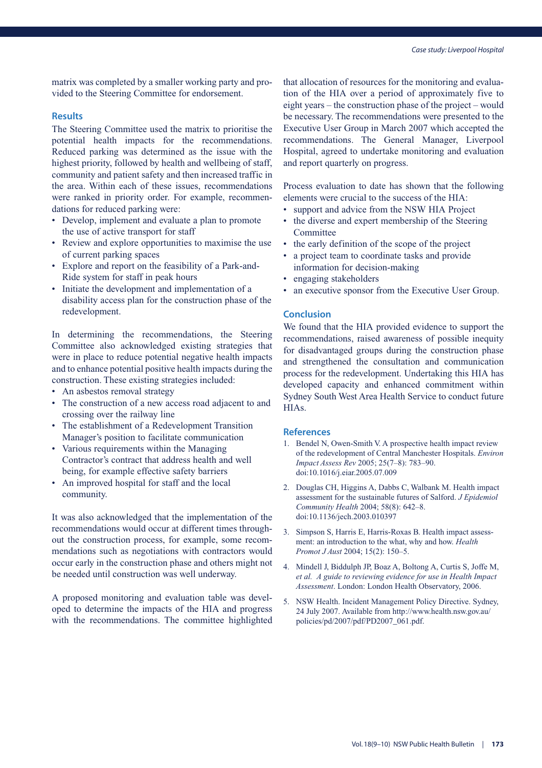matrix was completed by a smaller working party and provided to the Steering Committee for endorsement.

#### **Results**

The Steering Committee used the matrix to prioritise the potential health impacts for the recommendations. Reduced parking was determined as the issue with the highest priority, followed by health and wellbeing of staff, community and patient safety and then increased traffic in the area. Within each of these issues, recommendations were ranked in priority order. For example, recommendations for reduced parking were:

- Develop, implement and evaluate a plan to promote the use of active transport for staff
- Review and explore opportunities to maximise the use of current parking spaces
- Explore and report on the feasibility of a Park-and-Ride system for staff in peak hours
- Initiate the development and implementation of a disability access plan for the construction phase of the redevelopment.

In determining the recommendations, the Steering Committee also acknowledged existing strategies that were in place to reduce potential negative health impacts and to enhance potential positive health impacts during the construction. These existing strategies included:

- An asbestos removal strategy
- The construction of a new access road adjacent to and crossing over the railway line
- The establishment of a Redevelopment Transition Manager's position to facilitate communication
- Various requirements within the Managing Contractor's contract that address health and well being, for example effective safety barriers
- An improved hospital for staff and the local community.

It was also acknowledged that the implementation of the recommendations would occur at different times throughout the construction process, for example, some recommendations such as negotiations with contractors would occur early in the construction phase and others might not be needed until construction was well underway.

A proposed monitoring and evaluation table was developed to determine the impacts of the HIA and progress with the recommendations. The committee highlighted that allocation of resources for the monitoring and evaluation of the HIA over a period of approximately five to eight years – the construction phase of the project – would be necessary. The recommendations were presented to the Executive User Group in March 2007 which accepted the recommendations. The General Manager, Liverpool Hospital, agreed to undertake monitoring and evaluation and report quarterly on progress.

Process evaluation to date has shown that the following elements were crucial to the success of the HIA:

- support and advice from the NSW HIA Project
- the diverse and expert membership of the Steering Committee
- the early definition of the scope of the project
- a project team to coordinate tasks and provide information for decision-making
- engaging stakeholders
- an executive sponsor from the Executive User Group.

#### **Conclusion**

We found that the HIA provided evidence to support the recommendations, raised awareness of possible inequity for disadvantaged groups during the construction phase and strengthened the consultation and communication process for the redevelopment. Undertaking this HIA has developed capacity and enhanced commitment within Sydney South West Area Health Service to conduct future HIAs.

- 1. Bendel N, Owen-Smith V. A prospective health impact review of the redevelopment of Central Manchester Hospitals. *Environ Impact Assess Rev* 2005; 25(7–8): 783–90. doi:10.1016/j.eiar.2005.07.009
- 2. Douglas CH, Higgins A, Dabbs C, Walbank M. Health impact assessment for the sustainable futures of Salford. *J Epidemiol Community Health* 2004; 58(8): 642–8. doi:10.1136/jech.2003.010397
- 3. Simpson S, Harris E, Harris-Roxas B. Health impact assessment: an introduction to the what, why and how. *Health Promot J Aust* 2004; 15(2): 150–5.
- 4. Mindell J, Biddulph JP, Boaz A, Boltong A, Curtis S, Joffe M, *et al. A guide to reviewing evidence for use in Health Impact Assessment*. London: London Health Observatory, 2006.
- 5. NSW Health. Incident Management Policy Directive. Sydney, 24 July 2007. Available from http://www.health.nsw.gov.au/ policies/pd/2007/pdf/PD2007\_061.pdf.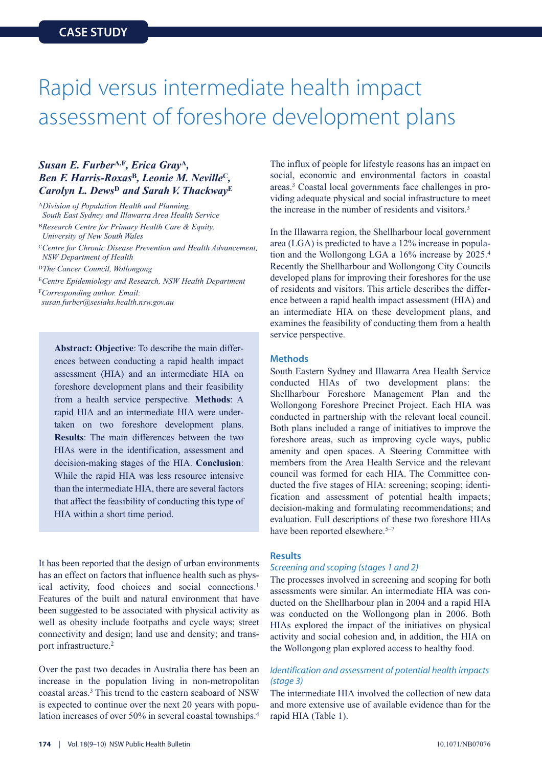### Rapid versus intermediate health impact assessment of foreshore development plans

#### *Susan E. Furber***A,F***, Erica Gray***<sup>A</sup>***, Ben F. Harris-Roxas***<sup>B</sup>***, Leonie M. Neville***<sup>C</sup>***, Carolyn L. Dews***<sup>D</sup>** *and Sarah V. Thackway***<sup>E</sup>**

<sup>A</sup>*Division of Population Health and Planning, South East Sydney and Illawarra Area Health Service* <sup>B</sup>*Research Centre for Primary Health Care & Equity, University of New South Wales*

<sup>C</sup>*Centre for Chronic Disease Prevention and Health Advancement, NSW Department of Health*

<sup>D</sup>*The Cancer Council, Wollongong*

<sup>E</sup>*Centre Epidemiology and Research, NSW Health Department*

<sup>F</sup>*Corresponding author. Email: susan.furber@sesiahs.health.nsw.gov.au*

> **Abstract: Objective**: To describe the main differences between conducting a rapid health impact assessment (HIA) and an intermediate HIA on foreshore development plans and their feasibility from a health service perspective. **Methods**: A rapid HIA and an intermediate HIA were undertaken on two foreshore development plans. **Results**: The main differences between the two HIAs were in the identification, assessment and decision-making stages of the HIA. **Conclusion**: While the rapid HIA was less resource intensive than the intermediate HIA, there are several factors that affect the feasibility of conducting this type of HIA within a short time period.

It has been reported that the design of urban environments has an effect on factors that influence health such as physical activity, food choices and social connections.<sup>1</sup> Features of the built and natural environment that have been suggested to be associated with physical activity as well as obesity include footpaths and cycle ways; street connectivity and design; land use and density; and transport infrastructure.2

Over the past two decades in Australia there has been an increase in the population living in non-metropolitan coastal areas.3 This trend to the eastern seaboard of NSW is expected to continue over the next 20 years with population increases of over 50% in several coastal townships.<sup>4</sup> The influx of people for lifestyle reasons has an impact on social, economic and environmental factors in coastal areas.3 Coastal local governments face challenges in providing adequate physical and social infrastructure to meet the increase in the number of residents and visitors.3

In the Illawarra region, the Shellharbour local government area (LGA) is predicted to have a 12% increase in population and the Wollongong LGA a 16% increase by 2025.4 Recently the Shellharbour and Wollongong City Councils developed plans for improving their foreshores for the use of residents and visitors. This article describes the difference between a rapid health impact assessment (HIA) and an intermediate HIA on these development plans, and examines the feasibility of conducting them from a health service perspective.

#### **Methods**

South Eastern Sydney and Illawarra Area Health Service conducted HIAs of two development plans: the Shellharbour Foreshore Management Plan and the Wollongong Foreshore Precinct Project. Each HIA was conducted in partnership with the relevant local council. Both plans included a range of initiatives to improve the foreshore areas, such as improving cycle ways, public amenity and open spaces. A Steering Committee with members from the Area Health Service and the relevant council was formed for each HIA. The Committee conducted the five stages of HIA: screening; scoping; identification and assessment of potential health impacts; decision-making and formulating recommendations; and evaluation. Full descriptions of these two foreshore HIAs have been reported elsewhere.<sup>5–7</sup>

#### **Results**

#### *Screening and scoping (stages 1 and 2)*

The processes involved in screening and scoping for both assessments were similar. An intermediate HIA was conducted on the Shellharbour plan in 2004 and a rapid HIA was conducted on the Wollongong plan in 2006. Both HIAs explored the impact of the initiatives on physical activity and social cohesion and, in addition, the HIA on the Wollongong plan explored access to healthy food.

#### *Identification and assessment of potential health impacts (stage 3)*

The intermediate HIA involved the collection of new data and more extensive use of available evidence than for the rapid HIA (Table 1).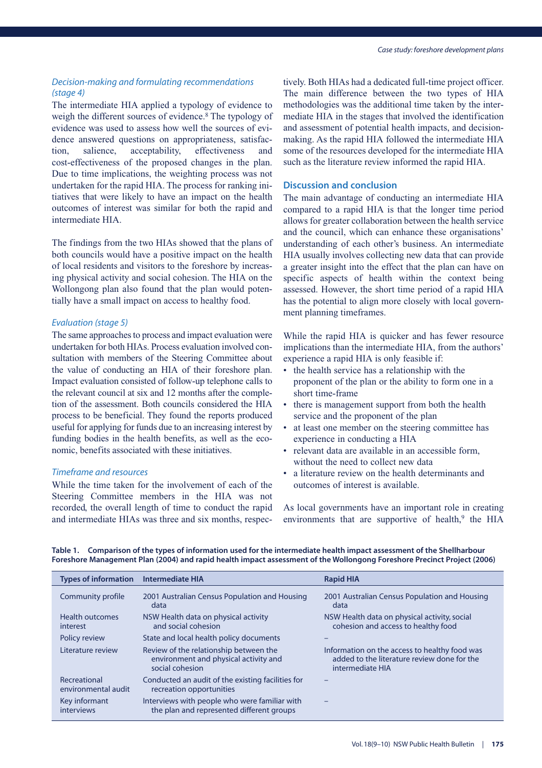#### *Decision-making and formulating recommendations (stage 4)*

The intermediate HIA applied a typology of evidence to weigh the different sources of evidence.<sup>8</sup> The typology of evidence was used to assess how well the sources of evidence answered questions on appropriateness, satisfaction, salience, acceptability, effectiveness and cost-effectiveness of the proposed changes in the plan. Due to time implications, the weighting process was not undertaken for the rapid HIA. The process for ranking initiatives that were likely to have an impact on the health outcomes of interest was similar for both the rapid and intermediate HIA.

The findings from the two HIAs showed that the plans of both councils would have a positive impact on the health of local residents and visitors to the foreshore by increasing physical activity and social cohesion. The HIA on the Wollongong plan also found that the plan would potentially have a small impact on access to healthy food.

#### *Evaluation (stage 5)*

The same approaches to process and impact evaluation were undertaken for both HIAs. Process evaluation involved consultation with members of the Steering Committee about the value of conducting an HIA of their foreshore plan. Impact evaluation consisted of follow-up telephone calls to the relevant council at six and 12 months after the completion of the assessment. Both councils considered the HIA process to be beneficial. They found the reports produced useful for applying for funds due to an increasing interest by funding bodies in the health benefits, as well as the economic, benefits associated with these initiatives.

#### *Timeframe and resources*

While the time taken for the involvement of each of the Steering Committee members in the HIA was not recorded, the overall length of time to conduct the rapid and intermediate HIAs was three and six months, respec-

tively. Both HIAs had a dedicated full-time project officer. The main difference between the two types of HIA methodologies was the additional time taken by the intermediate HIA in the stages that involved the identification and assessment of potential health impacts, and decisionmaking. As the rapid HIA followed the intermediate HIA some of the resources developed for the intermediate HIA such as the literature review informed the rapid HIA.

#### **Discussion and conclusion**

The main advantage of conducting an intermediate HIA compared to a rapid HIA is that the longer time period allows for greater collaboration between the health service and the council, which can enhance these organisations' understanding of each other's business. An intermediate HIA usually involves collecting new data that can provide a greater insight into the effect that the plan can have on specific aspects of health within the context being assessed. However, the short time period of a rapid HIA has the potential to align more closely with local government planning timeframes.

While the rapid HIA is quicker and has fewer resource implications than the intermediate HIA, from the authors' experience a rapid HIA is only feasible if:

- the health service has a relationship with the proponent of the plan or the ability to form one in a short time-frame
- there is management support from both the health service and the proponent of the plan
- at least one member on the steering committee has experience in conducting a HIA
- relevant data are available in an accessible form, without the need to collect new data
- a literature review on the health determinants and outcomes of interest is available.

As local governments have an important role in creating environments that are supportive of health, $9$  the HIA

| Table 1. Comparison of the types of information used for the intermediate health impact assessment of the Shellharbour  |
|-------------------------------------------------------------------------------------------------------------------------|
| Foreshore Management Plan (2004) and rapid health impact assessment of the Wollongong Foreshore Precinct Project (2006) |

| Types of information Intermediate HIA |                                                                                                    | <b>Rapid HIA</b>                                                                                                 |
|---------------------------------------|----------------------------------------------------------------------------------------------------|------------------------------------------------------------------------------------------------------------------|
| Community profile                     | 2001 Australian Census Population and Housing<br>data                                              | 2001 Australian Census Population and Housing<br>data                                                            |
| <b>Health outcomes</b><br>interest    | NSW Health data on physical activity<br>and social cohesion                                        | NSW Health data on physical activity, social<br>cohesion and access to healthy food                              |
| Policy review                         | State and local health policy documents                                                            |                                                                                                                  |
| Literature review                     | Review of the relationship between the<br>environment and physical activity and<br>social cohesion | Information on the access to healthy food was<br>added to the literature review done for the<br>intermediate HIA |
| Recreational<br>environmental audit   | Conducted an audit of the existing facilities for<br>recreation opportunities                      |                                                                                                                  |
| Key informant<br>interviews           | Interviews with people who were familiar with<br>the plan and represented different groups         |                                                                                                                  |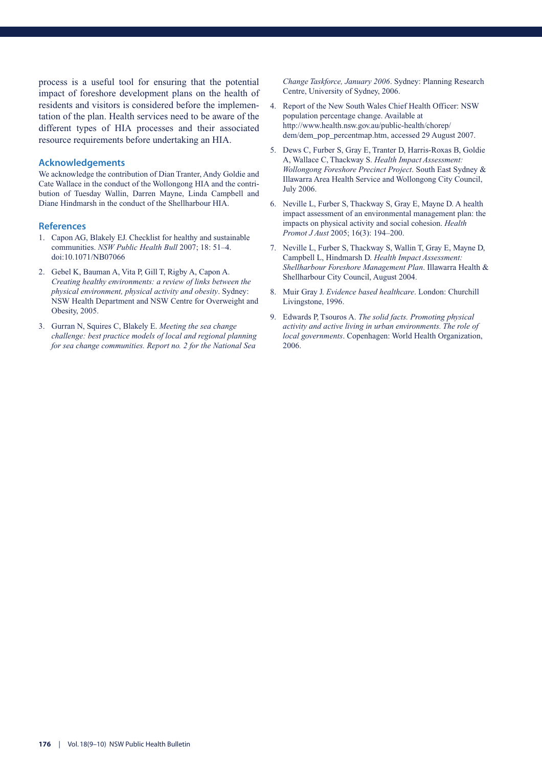process is a useful tool for ensuring that the potential impact of foreshore development plans on the health of residents and visitors is considered before the implementation of the plan. Health services need to be aware of the different types of HIA processes and their associated resource requirements before undertaking an HIA.

#### **Acknowledgements**

We acknowledge the contribution of Dian Tranter, Andy Goldie and Cate Wallace in the conduct of the Wollongong HIA and the contribution of Tuesday Wallin, Darren Mayne, Linda Campbell and Diane Hindmarsh in the conduct of the Shellharbour HIA.

#### **References**

- 1. Capon AG, Blakely EJ. Checklist for healthy and sustainable communities. *NSW Public Health Bull* 2007; 18: 51–4. doi:10.1071/NB07066
- 2. Gebel K, Bauman A, Vita P, Gill T, Rigby A, Capon A. *Creating healthy environments: a review of links between the physical environment, physical activity and obesity*. Sydney: NSW Health Department and NSW Centre for Overweight and Obesity, 2005.
- 3. Gurran N, Squires C, Blakely E. *Meeting the sea change challenge: best practice models of local and regional planning for sea change communities. Report no. 2 for the National Sea*

*Change Taskforce, January 2006*. Sydney: Planning Research Centre, University of Sydney, 2006.

- 4. Report of the New South Wales Chief Health Officer: NSW population percentage change. Available at http://www.health.nsw.gov.au/public-health/chorep/ dem/dem\_pop\_percentmap.htm, accessed 29 August 2007.
- 5. Dews C, Furber S, Gray E, Tranter D, Harris-Roxas B, Goldie A, Wallace C, Thackway S. *Health Impact Assessment: Wollongong Foreshore Precinct Project*. South East Sydney & Illawarra Area Health Service and Wollongong City Council, July 2006.
- 6. Neville L, Furber S, Thackway S, Gray E, Mayne D. A health impact assessment of an environmental management plan: the impacts on physical activity and social cohesion. *Health Promot J Aust* 2005; 16(3): 194–200.
- 7. Neville L, Furber S, Thackway S, Wallin T, Gray E, Mayne D, Campbell L, Hindmarsh D. *Health Impact Assessment: Shellharbour Foreshore Management Plan*. Illawarra Health & Shellharbour City Council, August 2004.
- 8. Muir Gray J. *Evidence based healthcare*. London: Churchill Livingstone, 1996.
- 9. Edwards P, Tsouros A. *The solid facts. Promoting physical activity and active living in urban environments. The role of local governments*. Copenhagen: World Health Organization, 2006.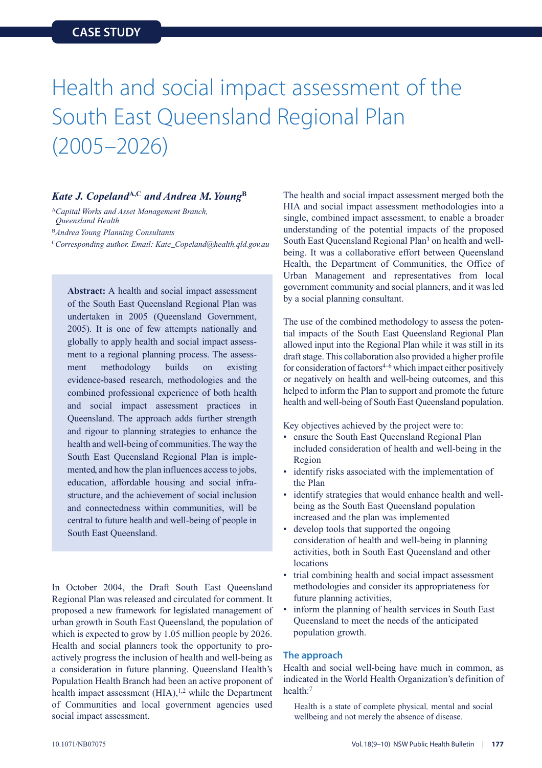### Health and social impact assessment of the South East Queensland Regional Plan (2005–2026)

#### *Kate J. Copeland***A,C** *and Andrea M.Young***<sup>B</sup>**

<sup>A</sup>*Capital Works and Asset Management Branch, Queensland Health* <sup>B</sup>*Andrea Young Planning Consultants* <sup>C</sup>*Corresponding author. Email: Kate\_Copeland@health.qld.gov.au*

**Abstract:** A health and social impact assessment of the South East Queensland Regional Plan was undertaken in 2005 (Queensland Government, 2005). It is one of few attempts nationally and globally to apply health and social impact assessment to a regional planning process. The assessment methodology builds on existing evidence-based research, methodologies and the combined professional experience of both health and social impact assessment practices in Queensland. The approach adds further strength and rigour to planning strategies to enhance the health and well-being of communities. The way the South East Queensland Regional Plan is implemented, and how the plan influences access to jobs, education, affordable housing and social infrastructure, and the achievement of social inclusion and connectedness within communities, will be central to future health and well-being of people in South East Queensland.

In October 2004, the Draft South East Queensland Regional Plan was released and circulated for comment. It proposed a new framework for legislated management of urban growth in South East Queensland, the population of which is expected to grow by 1.05 million people by 2026. Health and social planners took the opportunity to proactively progress the inclusion of health and well-being as a consideration in future planning. Queensland Health's Population Health Branch had been an active proponent of health impact assessment (HIA),<sup>1,2</sup> while the Department of Communities and local government agencies used social impact assessment.

The health and social impact assessment merged both the HIA and social impact assessment methodologies into a single, combined impact assessment, to enable a broader understanding of the potential impacts of the proposed South East Queensland Regional Plan<sup>3</sup> on health and wellbeing. It was a collaborative effort between Queensland Health, the Department of Communities, the Office of Urban Management and representatives from local government community and social planners, and it was led by a social planning consultant.

The use of the combined methodology to assess the potential impacts of the South East Queensland Regional Plan allowed input into the Regional Plan while it was still in its draft stage. This collaboration also provided a higher profile for consideration of factors $4-6$  which impact either positively or negatively on health and well-being outcomes, and this helped to inform the Plan to support and promote the future health and well-being of South East Queensland population.

Key objectives achieved by the project were to:

- ensure the South East Queensland Regional Plan included consideration of health and well-being in the Region
- identify risks associated with the implementation of the Plan
- identify strategies that would enhance health and wellbeing as the South East Queensland population increased and the plan was implemented
- develop tools that supported the ongoing consideration of health and well-being in planning activities, both in South East Queensland and other locations
- trial combining health and social impact assessment methodologies and consider its appropriateness for future planning activities,
- inform the planning of health services in South East Queensland to meet the needs of the anticipated population growth.

#### **The approach**

Health and social well-being have much in common, as indicated in the World Health Organization's definition of health:7

Health is a state of complete physical*,* mental and social wellbeing and not merely the absence of disease.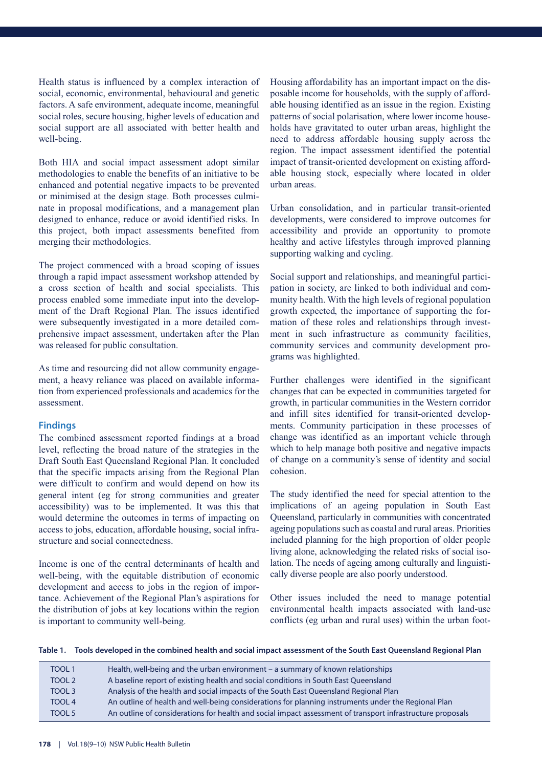Health status is influenced by a complex interaction of social, economic, environmental, behavioural and genetic factors. A safe environment, adequate income, meaningful social roles, secure housing, higher levels of education and social support are all associated with better health and well-being.

Both HIA and social impact assessment adopt similar methodologies to enable the benefits of an initiative to be enhanced and potential negative impacts to be prevented or minimised at the design stage. Both processes culminate in proposal modifications, and a management plan designed to enhance, reduce or avoid identified risks. In this project, both impact assessments benefited from merging their methodologies.

The project commenced with a broad scoping of issues through a rapid impact assessment workshop attended by a cross section of health and social specialists. This process enabled some immediate input into the development of the Draft Regional Plan. The issues identified were subsequently investigated in a more detailed comprehensive impact assessment, undertaken after the Plan was released for public consultation.

As time and resourcing did not allow community engagement, a heavy reliance was placed on available information from experienced professionals and academics for the assessment.

#### **Findings**

The combined assessment reported findings at a broad level, reflecting the broad nature of the strategies in the Draft South East Queensland Regional Plan. It concluded that the specific impacts arising from the Regional Plan were difficult to confirm and would depend on how its general intent (eg for strong communities and greater accessibility) was to be implemented. It was this that would determine the outcomes in terms of impacting on access to jobs, education, affordable housing, social infrastructure and social connectedness.

Income is one of the central determinants of health and well-being, with the equitable distribution of economic development and access to jobs in the region of importance. Achievement of the Regional Plan's aspirations for the distribution of jobs at key locations within the region is important to community well-being.

Housing affordability has an important impact on the disposable income for households, with the supply of affordable housing identified as an issue in the region. Existing patterns of social polarisation, where lower income households have gravitated to outer urban areas, highlight the need to address affordable housing supply across the region. The impact assessment identified the potential impact of transit-oriented development on existing affordable housing stock, especially where located in older urban areas.

Urban consolidation, and in particular transit-oriented developments, were considered to improve outcomes for accessibility and provide an opportunity to promote healthy and active lifestyles through improved planning supporting walking and cycling.

Social support and relationships, and meaningful participation in society, are linked to both individual and community health. With the high levels of regional population growth expected, the importance of supporting the formation of these roles and relationships through investment in such infrastructure as community facilities, community services and community development programs was highlighted.

Further challenges were identified in the significant changes that can be expected in communities targeted for growth, in particular communities in the Western corridor and infill sites identified for transit-oriented developments. Community participation in these processes of change was identified as an important vehicle through which to help manage both positive and negative impacts of change on a community's sense of identity and social cohesion.

The study identified the need for special attention to the implications of an ageing population in South East Queensland, particularly in communities with concentrated ageing populations such as coastal and rural areas. Priorities included planning for the high proportion of older people living alone, acknowledging the related risks of social isolation. The needs of ageing among culturally and linguistically diverse people are also poorly understood.

Other issues included the need to manage potential environmental health impacts associated with land-use conflicts (eg urban and rural uses) within the urban foot-

**Table 1. Tools developed in the combined health and social impact assessment of the South East Queensland Regional Plan**

| <b>TOOL 1</b> | Health, well-being and the urban environment – a summary of known relationships                            |
|---------------|------------------------------------------------------------------------------------------------------------|
| TOOL 2        | A baseline report of existing health and social conditions in South East Queensland                        |
| TOOL 3        | Analysis of the health and social impacts of the South East Queensland Regional Plan                       |
| TOOL 4        | An outline of health and well-being considerations for planning instruments under the Regional Plan        |
| TOOL 5        | An outline of considerations for health and social impact assessment of transport infrastructure proposals |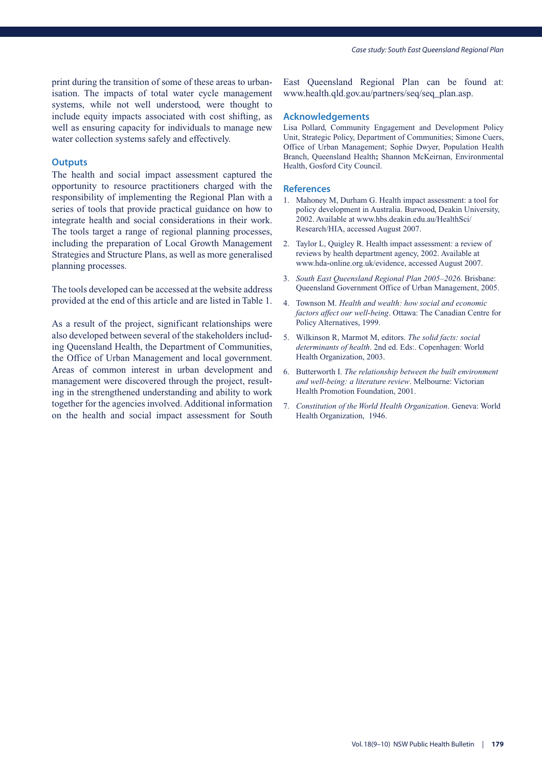print during the transition of some of these areas to urbanisation. The impacts of total water cycle management systems, while not well understood, were thought to include equity impacts associated with cost shifting, as well as ensuring capacity for individuals to manage new water collection systems safely and effectively.

#### **Outputs**

The health and social impact assessment captured the opportunity to resource practitioners charged with the responsibility of implementing the Regional Plan with a series of tools that provide practical guidance on how to integrate health and social considerations in their work. The tools target a range of regional planning processes, including the preparation of Local Growth Management Strategies and Structure Plans, as well as more generalised planning processes.

The tools developed can be accessed at the website address provided at the end of this article and are listed in Table 1.

As a result of the project, significant relationships were also developed between several of the stakeholders including Queensland Health, the Department of Communities, the Office of Urban Management and local government. Areas of common interest in urban development and management were discovered through the project, resulting in the strengthened understanding and ability to work together for the agencies involved. Additional information on the health and social impact assessment for South

East Queensland Regional Plan can be found at: www.health.qld.gov.au/partners/seq/seq\_plan.asp.

#### **Acknowledgements**

Lisa Pollard, Community Engagement and Development Policy Unit, Strategic Policy, Department of Communities; Simone Cuers, Office of Urban Management; Sophie Dwyer, Population Health Branch, Queensland Health**;** Shannon McKeirnan, Environmental Health, Gosford City Council.

- 1. Mahoney M, Durham G. Health impact assessment: a tool for policy development in Australia. Burwood, Deakin University, 2002. Available at www.hbs.deakin.edu.au/HealthSci/ Research/HIA, accessed August 2007.
- 2. Taylor L, Quigley R. Health impact assessment: a review of reviews by health department agency, 2002. Available at www.hda-online.org.uk/evidence, accessed August 2007.
- 3. *South East Queensland Regional Plan 2005–2026.* Brisbane: Queensland Government Office of Urban Management, 2005.
- 4. Townson M. *Health and wealth: how social and economic factors affect our well-being*. Ottawa: The Canadian Centre for Policy Alternatives, 1999.
- 5. Wilkinson R, Marmot M, editors. *The solid facts: social determinants of health*. 2nd ed. Eds:. Copenhagen: World Health Organization, 2003.
- 6. Butterworth I. *The relationship between the built environment and well-being: a literature review*. Melbourne: Victorian Health Promotion Foundation, 2001.
- 7. *Constitution of the World Health Organization*. Geneva: World Health Organization, 1946.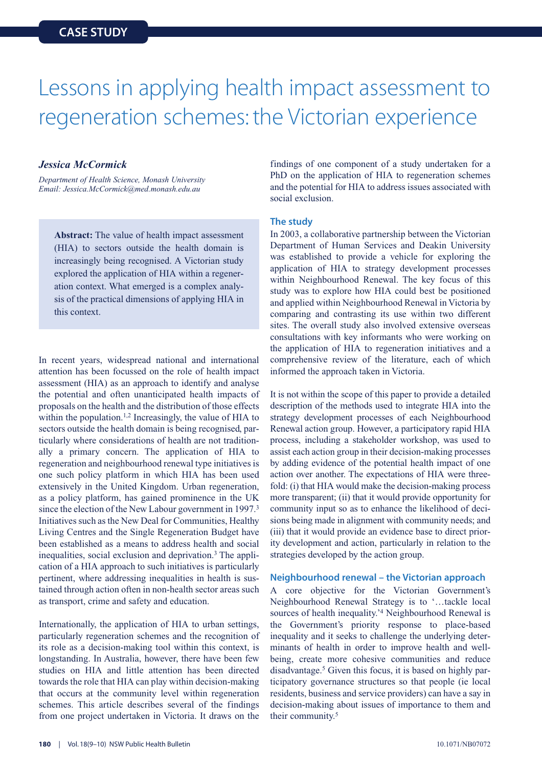### Lessons in applying health impact assessment to regeneration schemes: the Victorian experience

#### *Jessica McCormick*

*Department of Health Science, Monash University Email: Jessica.McCormick@med.monash.edu.au*

**Abstract:** The value of health impact assessment (HIA) to sectors outside the health domain is increasingly being recognised. A Victorian study explored the application of HIA within a regeneration context. What emerged is a complex analysis of the practical dimensions of applying HIA in this context.

In recent years, widespread national and international attention has been focussed on the role of health impact assessment (HIA) as an approach to identify and analyse the potential and often unanticipated health impacts of proposals on the health and the distribution of those effects within the population.<sup>1,2</sup> Increasingly, the value of HIA to sectors outside the health domain is being recognised, particularly where considerations of health are not traditionally a primary concern. The application of HIA to regeneration and neighbourhood renewal type initiatives is one such policy platform in which HIA has been used extensively in the United Kingdom. Urban regeneration, as a policy platform, has gained prominence in the UK since the election of the New Labour government in 1997.<sup>3</sup> Initiatives such as the New Deal for Communities, Healthy Living Centres and the Single Regeneration Budget have been established as a means to address health and social inequalities, social exclusion and deprivation.<sup>3</sup> The application of a HIA approach to such initiatives is particularly pertinent, where addressing inequalities in health is sustained through action often in non-health sector areas such as transport, crime and safety and education.

Internationally, the application of HIA to urban settings, particularly regeneration schemes and the recognition of its role as a decision-making tool within this context, is longstanding. In Australia, however, there have been few studies on HIA and little attention has been directed towards the role that HIA can play within decision-making that occurs at the community level within regeneration schemes. This article describes several of the findings from one project undertaken in Victoria. It draws on the

findings of one component of a study undertaken for a PhD on the application of HIA to regeneration schemes and the potential for HIA to address issues associated with social exclusion.

#### **The study**

In 2003, a collaborative partnership between the Victorian Department of Human Services and Deakin University was established to provide a vehicle for exploring the application of HIA to strategy development processes within Neighbourhood Renewal. The key focus of this study was to explore how HIA could best be positioned and applied within Neighbourhood Renewal in Victoria by comparing and contrasting its use within two different sites. The overall study also involved extensive overseas consultations with key informants who were working on the application of HIA to regeneration initiatives and a comprehensive review of the literature, each of which informed the approach taken in Victoria.

It is not within the scope of this paper to provide a detailed description of the methods used to integrate HIA into the strategy development processes of each Neighbourhood Renewal action group. However, a participatory rapid HIA process, including a stakeholder workshop, was used to assist each action group in their decision-making processes by adding evidence of the potential health impact of one action over another. The expectations of HIA were threefold: (i) that HIA would make the decision-making process more transparent; (ii) that it would provide opportunity for community input so as to enhance the likelihood of decisions being made in alignment with community needs; and (iii) that it would provide an evidence base to direct priority development and action, particularly in relation to the strategies developed by the action group.

#### **Neighbourhood renewal – the Victorian approach**

A core objective for the Victorian Government's Neighbourhood Renewal Strategy is to '…tackle local sources of health inequality.<sup>'4</sup> Neighbourhood Renewal is the Government's priority response to place-based inequality and it seeks to challenge the underlying determinants of health in order to improve health and wellbeing, create more cohesive communities and reduce disadvantage.5 Given this focus, it is based on highly participatory governance structures so that people (ie local residents, business and service providers) can have a say in decision-making about issues of importance to them and their community.5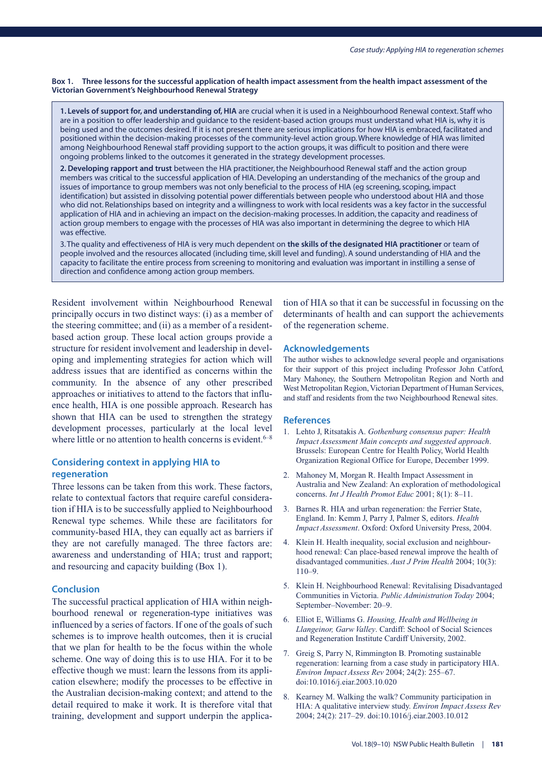#### **Box 1. Three lessons for the successful application of health impact assessment from the health impact assessment of the Victorian Government's Neighbourhood Renewal Strategy**

**1. Levels of support for, and understanding of, HIA** are crucial when it is used in a Neighbourhood Renewal context. Staff who are in a position to offer leadership and guidance to the resident-based action groups must understand what HIA is, why it is being used and the outcomes desired. If it is not present there are serious implications for how HIA is embraced, facilitated and positioned within the decision-making processes of the community-level action group. Where knowledge of HIA was limited among Neighbourhood Renewal staff providing support to the action groups, it was difficult to position and there were ongoing problems linked to the outcomes it generated in the strategy development processes.

**2. Developing rapport and trust** between the HIA practitioner, the Neighbourhood Renewal staff and the action group members was critical to the successful application of HIA. Developing an understanding of the mechanics of the group and issues of importance to group members was not only beneficial to the process of HIA (eg screening, scoping, impact identification) but assisted in dissolving potential power differentials between people who understood about HIA and those who did not. Relationships based on integrity and a willingness to work with local residents was a key factor in the successful application of HIA and in achieving an impact on the decision-making processes. In addition, the capacity and readiness of action group members to engage with the processes of HIA was also important in determining the degree to which HIA was effective.

3. The quality and effectiveness of HIA is very much dependent on **the skills of the designated HIA practitioner** or team of people involved and the resources allocated (including time, skill level and funding). A sound understanding of HIA and the capacity to facilitate the entire process from screening to monitoring and evaluation was important in instilling a sense of direction and confidence among action group members.

Resident involvement within Neighbourhood Renewal principally occurs in two distinct ways: (i) as a member of the steering committee; and (ii) as a member of a residentbased action group. These local action groups provide a structure for resident involvement and leadership in developing and implementing strategies for action which will address issues that are identified as concerns within the community. In the absence of any other prescribed approaches or initiatives to attend to the factors that influence health, HIA is one possible approach. Research has shown that HIA can be used to strengthen the strategy development processes, particularly at the local level where little or no attention to health concerns is evident.  $6-8$ 

#### **Considering context in applying HIA to regeneration**

Three lessons can be taken from this work. These factors, relate to contextual factors that require careful consideration if HIA is to be successfully applied to Neighbourhood Renewal type schemes. While these are facilitators for community-based HIA, they can equally act as barriers if they are not carefully managed. The three factors are: awareness and understanding of HIA; trust and rapport; and resourcing and capacity building (Box 1).

#### **Conclusion**

The successful practical application of HIA within neighbourhood renewal or regeneration-type initiatives was influenced by a series of factors. If one of the goals of such schemes is to improve health outcomes, then it is crucial that we plan for health to be the focus within the whole scheme. One way of doing this is to use HIA. For it to be effective though we must: learn the lessons from its application elsewhere; modify the processes to be effective in the Australian decision-making context; and attend to the detail required to make it work. It is therefore vital that training, development and support underpin the applica-

tion of HIA so that it can be successful in focussing on the determinants of health and can support the achievements of the regeneration scheme.

#### **Acknowledgements**

The author wishes to acknowledge several people and organisations for their support of this project including Professor John Catford, Mary Mahoney, the Southern Metropolitan Region and North and West Metropolitan Region, Victorian Department of Human Services, and staff and residents from the two Neighbourhood Renewal sites.

- 1. Lehto J, Ritsatakis A. *Gothenburg consensus paper: Health Impact Assessment Main concepts and suggested approach*. Brussels: European Centre for Health Policy, World Health Organization Regional Office for Europe, December 1999.
- 2. Mahoney M, Morgan R. Health Impact Assessment in Australia and New Zealand: An exploration of methodological concerns. *Int J Health Promot Educ* 2001; 8(1): 8–11.
- 3. Barnes R. HIA and urban regeneration: the Ferrier State, England. In: Kemm J, Parry J, Palmer S, editors. *Health Impact Assessment*. Oxford: Oxford University Press, 2004.
- 4. Klein H. Health inequality, social exclusion and neighbourhood renewal: Can place-based renewal improve the health of disadvantaged communities. *Aust J Prim Health* 2004; 10(3): 110–9.
- 5. Klein H. Neighbourhood Renewal: Revitalising Disadvantaged Communities in Victoria. *Public Administration Today* 2004; September–November: 20–9.
- 6. Elliot E, Williams G. *Housing, Health and Wellbeing in Llangeinor, Garw Valley*. Cardiff: School of Social Sciences and Regeneration Institute Cardiff University, 2002.
- 7. Greig S, Parry N, Rimmington B. Promoting sustainable regeneration: learning from a case study in participatory HIA. *Environ Impact Assess Rev* 2004; 24(2): 255–67. doi:10.1016/j.eiar.2003.10.020
- 8. Kearney M. Walking the walk? Community participation in HIA: A qualitative interview study. *Environ Impact Assess Rev* 2004; 24(2): 217–29. doi:10.1016/j.eiar.2003.10.012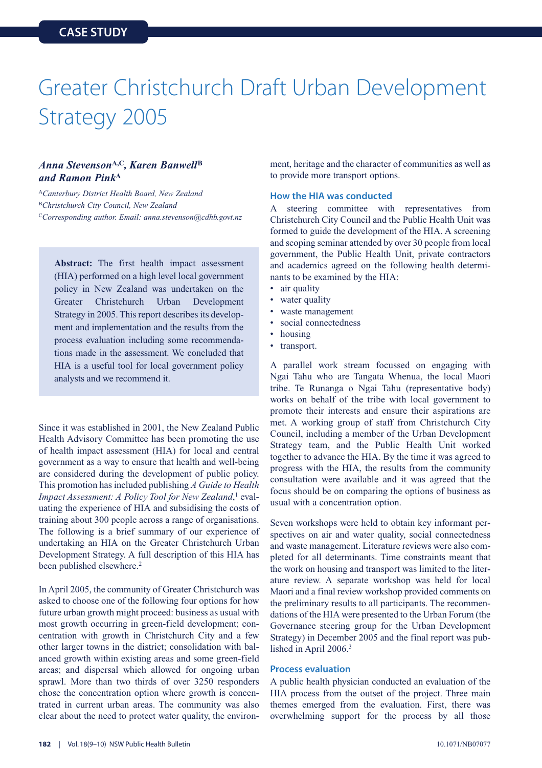# Greater Christchurch Draft Urban Development Strategy 2005

#### *Anna Stevenson***A,C***, Karen Banwell***<sup>B</sup>** *and Ramon Pink***<sup>A</sup>**

<sup>A</sup>*Canterbury District Health Board, New Zealand* <sup>B</sup>*Christchurch City Council, New Zealand* <sup>C</sup>*Corresponding author. Email: anna.stevenson@cdhb.govt.nz*

**Abstract:** The first health impact assessment (HIA) performed on a high level local government policy in New Zealand was undertaken on the Greater Christchurch Urban Development Strategy in 2005. This report describes its development and implementation and the results from the process evaluation including some recommendations made in the assessment. We concluded that HIA is a useful tool for local government policy analysts and we recommend it.

Since it was established in 2001, the New Zealand Public Health Advisory Committee has been promoting the use of health impact assessment (HIA) for local and central government as a way to ensure that health and well-being are considered during the development of public policy. This promotion has included publishing *A Guide to Health Impact Assessment: A Policy Tool for New Zealand*, <sup>1</sup> evaluating the experience of HIA and subsidising the costs of training about 300 people across a range of organisations. The following is a brief summary of our experience of undertaking an HIA on the Greater Christchurch Urban Development Strategy. A full description of this HIA has been published elsewhere.2

In April 2005, the community of Greater Christchurch was asked to choose one of the following four options for how future urban growth might proceed: business as usual with most growth occurring in green-field development; concentration with growth in Christchurch City and a few other larger towns in the district; consolidation with balanced growth within existing areas and some green-field areas; and dispersal which allowed for ongoing urban sprawl. More than two thirds of over 3250 responders chose the concentration option where growth is concentrated in current urban areas. The community was also clear about the need to protect water quality, the environment, heritage and the character of communities as well as to provide more transport options.

#### **How the HIA was conducted**

A steering committee with representatives from Christchurch City Council and the Public Health Unit was formed to guide the development of the HIA. A screening and scoping seminar attended by over 30 people from local government, the Public Health Unit, private contractors and academics agreed on the following health determinants to be examined by the HIA:

- air quality
- water quality
- waste management
- social connectedness
- housing
- transport.

A parallel work stream focussed on engaging with Ngai Tahu who are Tangata Whenua, the local Maori tribe. Te Runanga o Ngai Tahu (representative body) works on behalf of the tribe with local government to promote their interests and ensure their aspirations are met. A working group of staff from Christchurch City Council, including a member of the Urban Development Strategy team, and the Public Health Unit worked together to advance the HIA. By the time it was agreed to progress with the HIA, the results from the community consultation were available and it was agreed that the focus should be on comparing the options of business as usual with a concentration option.

Seven workshops were held to obtain key informant perspectives on air and water quality, social connectedness and waste management. Literature reviews were also completed for all determinants. Time constraints meant that the work on housing and transport was limited to the literature review. A separate workshop was held for local Maori and a final review workshop provided comments on the preliminary results to all participants. The recommendations of the HIA were presented to the Urban Forum (the Governance steering group for the Urban Development Strategy) in December 2005 and the final report was published in April 2006.3

#### **Process evaluation**

A public health physician conducted an evaluation of the HIA process from the outset of the project. Three main themes emerged from the evaluation. First, there was overwhelming support for the process by all those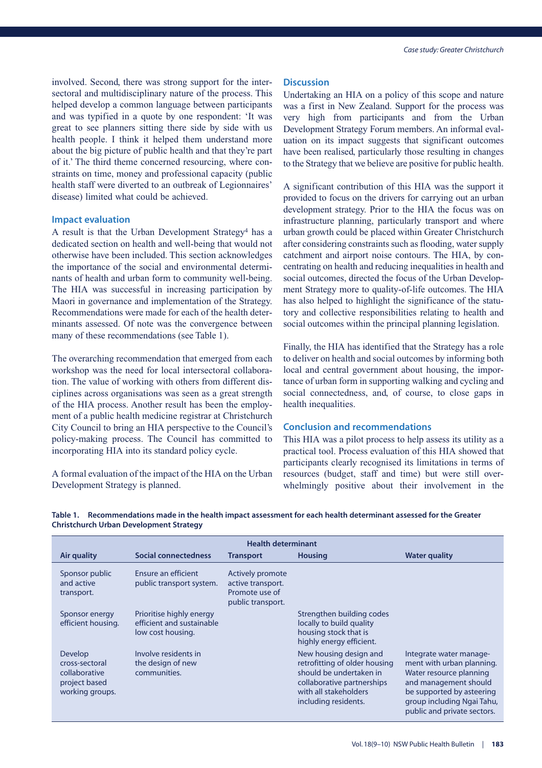involved. Second, there was strong support for the intersectoral and multidisciplinary nature of the process. This helped develop a common language between participants and was typified in a quote by one respondent: 'It was great to see planners sitting there side by side with us health people. I think it helped them understand more about the big picture of public health and that they're part of it.' The third theme concerned resourcing, where constraints on time, money and professional capacity (public health staff were diverted to an outbreak of Legionnaires' disease) limited what could be achieved.

#### **Impact evaluation**

A result is that the Urban Development Strategy<sup>4</sup> has a dedicated section on health and well-being that would not otherwise have been included. This section acknowledges the importance of the social and environmental determinants of health and urban form to community well-being. The HIA was successful in increasing participation by Maori in governance and implementation of the Strategy. Recommendations were made for each of the health determinants assessed. Of note was the convergence between many of these recommendations (see Table 1).

The overarching recommendation that emerged from each workshop was the need for local intersectoral collaboration. The value of working with others from different disciplines across organisations was seen as a great strength of the HIA process. Another result has been the employment of a public health medicine registrar at Christchurch City Council to bring an HIA perspective to the Council's policy-making process. The Council has committed to incorporating HIA into its standard policy cycle.

A formal evaluation of the impact of the HIA on the Urban Development Strategy is planned.

#### **Discussion**

Undertaking an HIA on a policy of this scope and nature was a first in New Zealand. Support for the process was very high from participants and from the Urban Development Strategy Forum members. An informal evaluation on its impact suggests that significant outcomes have been realised, particularly those resulting in changes to the Strategy that we believe are positive for public health.

A significant contribution of this HIA was the support it provided to focus on the drivers for carrying out an urban development strategy. Prior to the HIA the focus was on infrastructure planning, particularly transport and where urban growth could be placed within Greater Christchurch after considering constraints such as flooding, water supply catchment and airport noise contours. The HIA, by concentrating on health and reducing inequalities in health and social outcomes, directed the focus of the Urban Development Strategy more to quality-of-life outcomes. The HIA has also helped to highlight the significance of the statutory and collective responsibilities relating to health and social outcomes within the principal planning legislation.

Finally, the HIA has identified that the Strategy has a role to deliver on health and social outcomes by informing both local and central government about housing, the importance of urban form in supporting walking and cycling and social connectedness, and, of course, to close gaps in health inequalities.

#### **Conclusion and recommendations**

This HIA was a pilot process to help assess its utility as a practical tool. Process evaluation of this HIA showed that participants clearly recognised its limitations in terms of resources (budget, staff and time) but were still overwhelmingly positive about their involvement in the

| <b>Health determinant</b>                                                      |                                                                            |                                                                              |                                                                                                                                                                   |                                                                                                                                                                                                    |  |  |  |  |  |  |  |  |  |  |
|--------------------------------------------------------------------------------|----------------------------------------------------------------------------|------------------------------------------------------------------------------|-------------------------------------------------------------------------------------------------------------------------------------------------------------------|----------------------------------------------------------------------------------------------------------------------------------------------------------------------------------------------------|--|--|--|--|--|--|--|--|--|--|
| Air quality                                                                    | Social connectedness                                                       | <b>Transport</b>                                                             | <b>Housing</b>                                                                                                                                                    | <b>Water quality</b>                                                                                                                                                                               |  |  |  |  |  |  |  |  |  |  |
| Sponsor public<br>and active<br>transport.                                     | Ensure an efficient<br>public transport system.                            | Actively promote<br>active transport.<br>Promote use of<br>public transport. |                                                                                                                                                                   |                                                                                                                                                                                                    |  |  |  |  |  |  |  |  |  |  |
| Sponsor energy<br>efficient housing.                                           | Prioritise highly energy<br>efficient and sustainable<br>low cost housing. |                                                                              | Strengthen building codes<br>locally to build quality<br>housing stock that is<br>highly energy efficient.                                                        |                                                                                                                                                                                                    |  |  |  |  |  |  |  |  |  |  |
| Develop<br>cross-sectoral<br>collaborative<br>project based<br>working groups. | Involve residents in<br>the design of new<br>communities.                  |                                                                              | New housing design and<br>retrofitting of older housing<br>should be undertaken in<br>collaborative partnerships<br>with all stakeholders<br>including residents. | Integrate water manage-<br>ment with urban planning.<br>Water resource planning<br>and management should<br>be supported by asteering<br>group including Ngai Tahu,<br>public and private sectors. |  |  |  |  |  |  |  |  |  |  |

**Table 1. Recommendations made in the health impact assessment for each health determinant assessed for the Greater Christchurch Urban Development Strategy**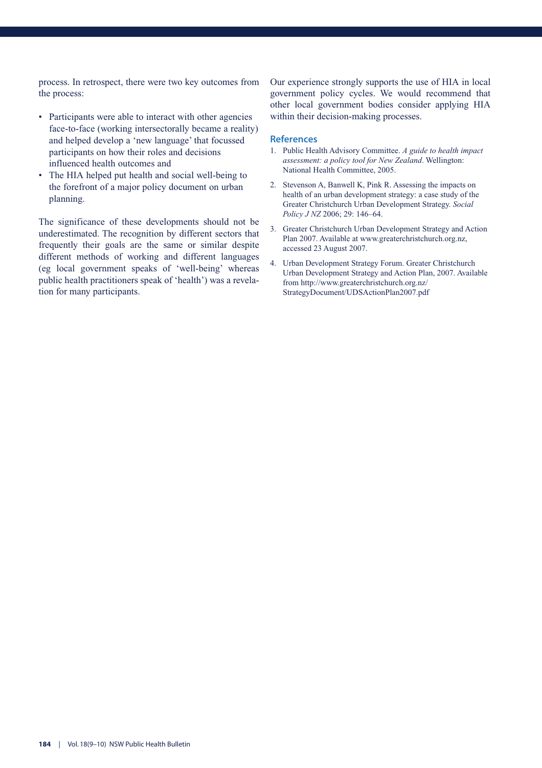process. In retrospect, there were two key outcomes from the process:

- Participants were able to interact with other agencies face-to-face (working intersectorally became a reality) and helped develop a 'new language' that focussed participants on how their roles and decisions influenced health outcomes and
- The HIA helped put health and social well-being to the forefront of a major policy document on urban planning.

The significance of these developments should not be underestimated. The recognition by different sectors that frequently their goals are the same or similar despite different methods of working and different languages (eg local government speaks of 'well-being' whereas public health practitioners speak of 'health') was a revelation for many participants.

Our experience strongly supports the use of HIA in local government policy cycles. We would recommend that other local government bodies consider applying HIA within their decision-making processes.

- 1. Public Health Advisory Committee. *A guide to health impact assessment: a policy tool for New Zealand*. Wellington: National Health Committee, 2005.
- 2. Stevenson A, Banwell K, Pink R. Assessing the impacts on health of an urban development strategy: a case study of the Greater Christchurch Urban Development Strategy. *Social Policy J NZ* 2006; 29: 146–64.
- 3. Greater Christchurch Urban Development Strategy and Action Plan 2007. Available at www.greaterchristchurch.org.nz, accessed 23 August 2007.
- 4. Urban Development Strategy Forum. Greater Christchurch Urban Development Strategy and Action Plan, 2007. Available from http://www.greaterchristchurch.org.nz/ StrategyDocument/UDSActionPlan2007.pdf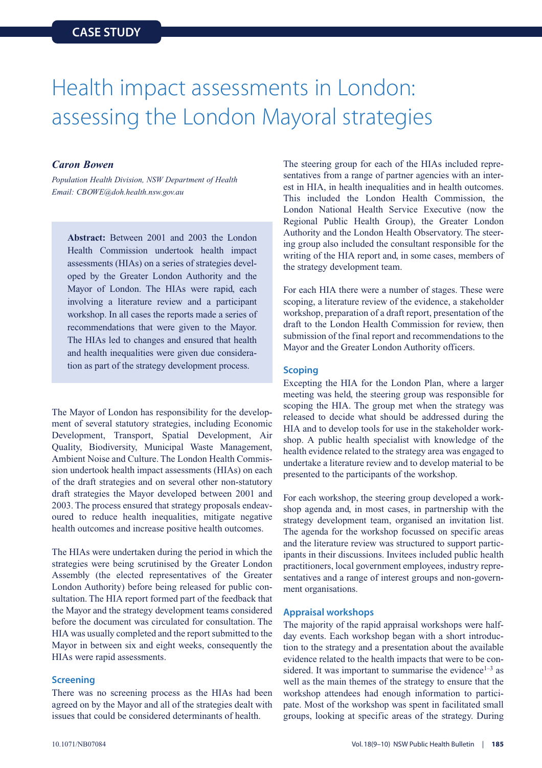### Health impact assessments in London: assessing the London Mayoral strategies

#### *Caron Bowen*

*Population Health Division, NSW Department of Health Email: CBOWE@doh.health.nsw.gov.au*

**Abstract:** Between 2001 and 2003 the London Health Commission undertook health impact assessments (HIAs) on a series of strategies developed by the Greater London Authority and the Mayor of London. The HIAs were rapid, each involving a literature review and a participant workshop. In all cases the reports made a series of recommendations that were given to the Mayor. The HIAs led to changes and ensured that health and health inequalities were given due consideration as part of the strategy development process.

The Mayor of London has responsibility for the development of several statutory strategies, including Economic Development, Transport, Spatial Development, Air Quality, Biodiversity, Municipal Waste Management, Ambient Noise and Culture. The London Health Commission undertook health impact assessments (HIAs) on each of the draft strategies and on several other non-statutory draft strategies the Mayor developed between 2001 and 2003. The process ensured that strategy proposals endeavoured to reduce health inequalities, mitigate negative health outcomes and increase positive health outcomes.

The HIAs were undertaken during the period in which the strategies were being scrutinised by the Greater London Assembly (the elected representatives of the Greater London Authority) before being released for public consultation. The HIA report formed part of the feedback that the Mayor and the strategy development teams considered before the document was circulated for consultation. The HIA was usually completed and the report submitted to the Mayor in between six and eight weeks, consequently the HIAs were rapid assessments.

#### **Screening**

There was no screening process as the HIAs had been agreed on by the Mayor and all of the strategies dealt with issues that could be considered determinants of health.

The steering group for each of the HIAs included representatives from a range of partner agencies with an interest in HIA, in health inequalities and in health outcomes. This included the London Health Commission, the London National Health Service Executive (now the Regional Public Health Group), the Greater London Authority and the London Health Observatory. The steering group also included the consultant responsible for the writing of the HIA report and, in some cases, members of the strategy development team.

For each HIA there were a number of stages. These were scoping, a literature review of the evidence, a stakeholder workshop, preparation of a draft report, presentation of the draft to the London Health Commission for review, then submission of the final report and recommendations to the Mayor and the Greater London Authority officers.

#### **Scoping**

Excepting the HIA for the London Plan, where a larger meeting was held, the steering group was responsible for scoping the HIA. The group met when the strategy was released to decide what should be addressed during the HIA and to develop tools for use in the stakeholder workshop. A public health specialist with knowledge of the health evidence related to the strategy area was engaged to undertake a literature review and to develop material to be presented to the participants of the workshop.

For each workshop, the steering group developed a workshop agenda and, in most cases, in partnership with the strategy development team, organised an invitation list. The agenda for the workshop focussed on specific areas and the literature review was structured to support participants in their discussions. Invitees included public health practitioners, local government employees, industry representatives and a range of interest groups and non-government organisations.

#### **Appraisal workshops**

The majority of the rapid appraisal workshops were halfday events. Each workshop began with a short introduction to the strategy and a presentation about the available evidence related to the health impacts that were to be considered. It was important to summarise the evidence<sup> $1-3$ </sup> as well as the main themes of the strategy to ensure that the workshop attendees had enough information to participate. Most of the workshop was spent in facilitated small groups, looking at specific areas of the strategy. During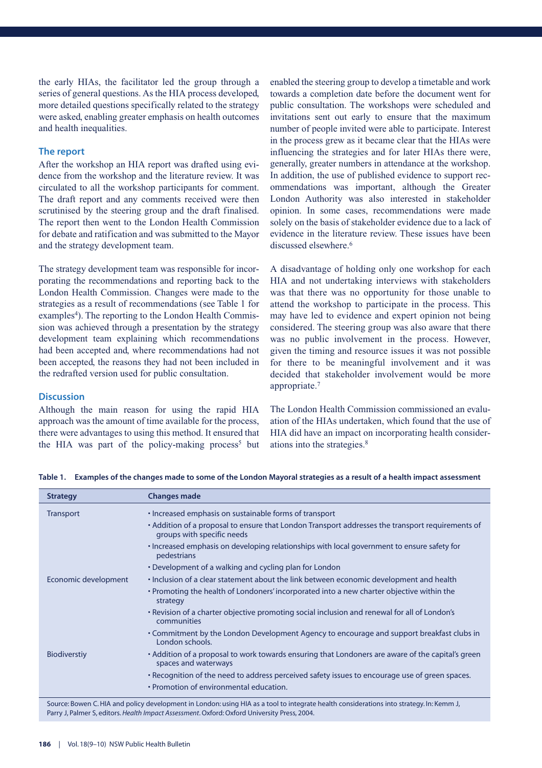the early HIAs, the facilitator led the group through a series of general questions. As the HIA process developed, more detailed questions specifically related to the strategy were asked, enabling greater emphasis on health outcomes and health inequalities.

#### **The report**

After the workshop an HIA report was drafted using evidence from the workshop and the literature review. It was circulated to all the workshop participants for comment. The draft report and any comments received were then scrutinised by the steering group and the draft finalised. The report then went to the London Health Commission for debate and ratification and was submitted to the Mayor and the strategy development team.

The strategy development team was responsible for incorporating the recommendations and reporting back to the London Health Commission. Changes were made to the strategies as a result of recommendations (see Table 1 for examples<sup>4</sup>). The reporting to the London Health Commission was achieved through a presentation by the strategy development team explaining which recommendations had been accepted and, where recommendations had not been accepted, the reasons they had not been included in the redrafted version used for public consultation.

#### **Discussion**

Although the main reason for using the rapid HIA approach was the amount of time available for the process, there were advantages to using this method. It ensured that the HIA was part of the policy-making process<sup>5</sup> but enabled the steering group to develop a timetable and work towards a completion date before the document went for public consultation. The workshops were scheduled and invitations sent out early to ensure that the maximum number of people invited were able to participate. Interest in the process grew as it became clear that the HIAs were influencing the strategies and for later HIAs there were, generally, greater numbers in attendance at the workshop. In addition, the use of published evidence to support recommendations was important, although the Greater London Authority was also interested in stakeholder opinion. In some cases, recommendations were made solely on the basis of stakeholder evidence due to a lack of evidence in the literature review. These issues have been discussed elsewhere.<sup>6</sup>

A disadvantage of holding only one workshop for each HIA and not undertaking interviews with stakeholders was that there was no opportunity for those unable to attend the workshop to participate in the process. This may have led to evidence and expert opinion not being considered. The steering group was also aware that there was no public involvement in the process. However, given the timing and resource issues it was not possible for there to be meaningful involvement and it was decided that stakeholder involvement would be more appropriate.7

The London Health Commission commissioned an evaluation of the HIAs undertaken, which found that the use of HIA did have an impact on incorporating health considerations into the strategies.8

| <b>Strategy</b>      | <b>Changes made</b>                                                                                                                      |
|----------------------|------------------------------------------------------------------------------------------------------------------------------------------|
| <b>Transport</b>     | • Increased emphasis on sustainable forms of transport                                                                                   |
|                      | • Addition of a proposal to ensure that London Transport addresses the transport requirements of<br>groups with specific needs           |
|                      | • Increased emphasis on developing relationships with local government to ensure safety for<br>pedestrians                               |
|                      | • Development of a walking and cycling plan for London                                                                                   |
| Economic development | · Inclusion of a clear statement about the link between economic development and health                                                  |
|                      | • Promoting the health of Londoners' incorporated into a new charter objective within the<br>strategy                                    |
|                      | • Revision of a charter objective promoting social inclusion and renewal for all of London's<br>communities                              |
|                      | • Commitment by the London Development Agency to encourage and support breakfast clubs in<br>London schools.                             |
| <b>Biodiverstiy</b>  | • Addition of a proposal to work towards ensuring that Londoners are aware of the capital's green<br>spaces and waterways                |
|                      | • Recognition of the need to address perceived safety issues to encourage use of green spaces.                                           |
|                      | • Promotion of environmental education.                                                                                                  |
|                      | Source: Bowen C. HIA and policy development in London: using HIA as a tool to integrate health considerations into strategy. In: Kemm J. |

**Table 1. Examples of the changes made to some of the London Mayoral strategies as a result of a health impact assessment**

Source: Bowen C. HIA and policy development in London: using HIA as a tool to integrate health considerations into strategy. In: Kemm J, Parry J, Palmer S, editors. *Health Impact Assessment*. Oxford: Oxford University Press, 2004.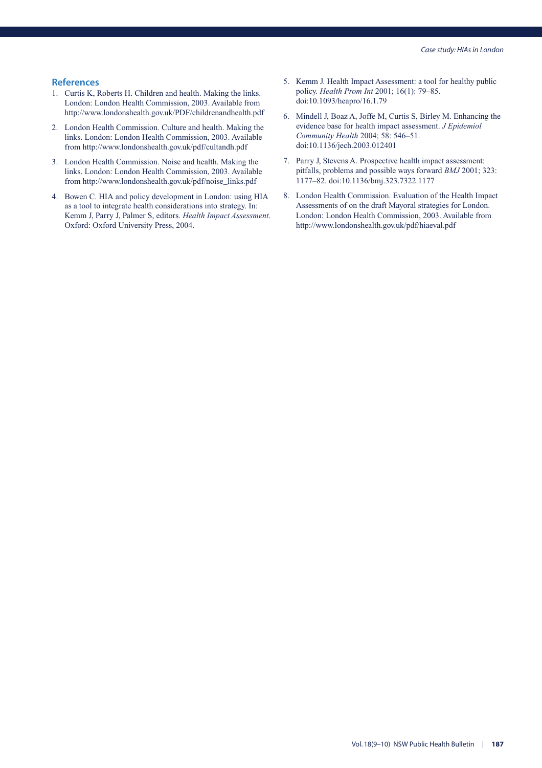- 1. Curtis K, Roberts H. Children and health. Making the links. London: London Health Commission, 2003. Available from http://www.londonshealth.gov.uk/PDF/childrenandhealth.pdf
- 2. London Health Commission. Culture and health. Making the links. London: London Health Commission, 2003. Available from http://www.londonshealth.gov.uk/pdf/cultandh.pdf
- 3. London Health Commission. Noise and health. Making the links. London: London Health Commission, 2003. Available from http://www.londonshealth.gov.uk/pdf/noise\_links.pdf
- 4. Bowen C. HIA and policy development in London: using HIA as a tool to integrate health considerations into strategy. In: Kemm J, Parry J, Palmer S, editors. *Health Impact Assessment*. Oxford: Oxford University Press, 2004.
- 5. Kemm J. Health Impact Assessment: a tool for healthy public policy. *Health Prom Int* 2001; 16(1): 79–85. doi:10.1093/heapro/16.1.79
- 6. Mindell J, Boaz A, Joffe M, Curtis S, Birley M. Enhancing the evidence base for health impact assessment. *J Epidemiol Community Health* 2004; 58: 546–51. doi:10.1136/jech.2003.012401
- 7. Parry J, Stevens A. Prospective health impact assessment: pitfalls, problems and possible ways forward *BMJ* 2001; 323: 1177–82. doi:10.1136/bmj.323.7322.1177
- 8. London Health Commission. Evaluation of the Health Impact Assessments of on the draft Mayoral strategies for London. London: London Health Commission, 2003. Available from http://www.londonshealth.gov.uk/pdf/hiaeval.pdf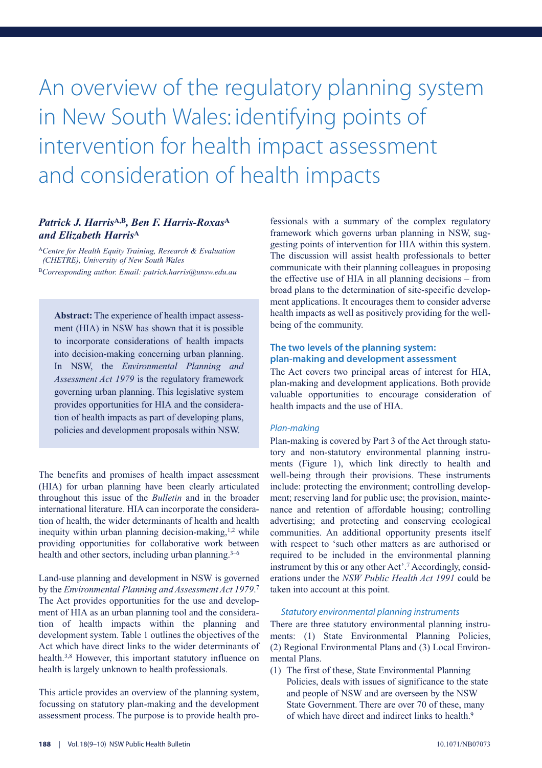# An overview of the regulatory planning system in New South Wales: identifying points of intervention for health impact assessment and consideration of health impacts

#### *Patrick J. Harris***A,B***, Ben F. Harris-Roxas***<sup>A</sup>** *and Elizabeth Harris***<sup>A</sup>**

<sup>A</sup>*Centre for Health Equity Training, Research & Evaluation (CHETRE), University of New South Wales* <sup>B</sup>*Corresponding author. Email: patrick.harris@unsw.edu.au*

**Abstract:** The experience of health impact assessment (HIA) in NSW has shown that it is possible to incorporate considerations of health impacts into decision-making concerning urban planning. In NSW, the *Environmental Planning and Assessment Act 1979* is the regulatory framework governing urban planning. This legislative system provides opportunities for HIA and the consideration of health impacts as part of developing plans, policies and development proposals within NSW.

The benefits and promises of health impact assessment (HIA) for urban planning have been clearly articulated throughout this issue of the *Bulletin* and in the broader international literature. HIA can incorporate the consideration of health, the wider determinants of health and health inequity within urban planning decision-making,<sup>1,2</sup> while providing opportunities for collaborative work between health and other sectors, including urban planning. $3-6$ 

Land-use planning and development in NSW is governed by the *Environmental Planning and Assessment Act 1979*. 7 The Act provides opportunities for the use and development of HIA as an urban planning tool and the consideration of health impacts within the planning and development system. Table 1 outlines the objectives of the Act which have direct links to the wider determinants of health.3,8 However, this important statutory influence on health is largely unknown to health professionals.

This article provides an overview of the planning system, focussing on statutory plan-making and the development assessment process. The purpose is to provide health pro-

fessionals with a summary of the complex regulatory framework which governs urban planning in NSW, suggesting points of intervention for HIA within this system. The discussion will assist health professionals to better communicate with their planning colleagues in proposing the effective use of HIA in all planning decisions – from broad plans to the determination of site-specific development applications. It encourages them to consider adverse health impacts as well as positively providing for the wellbeing of the community.

#### **The two levels of the planning system: plan-making and development assessment**

The Act covers two principal areas of interest for HIA, plan-making and development applications. Both provide valuable opportunities to encourage consideration of health impacts and the use of HIA.

#### *Plan-making*

Plan-making is covered by Part 3 of the Act through statutory and non-statutory environmental planning instruments (Figure 1), which link directly to health and well-being through their provisions. These instruments include: protecting the environment; controlling development; reserving land for public use; the provision, maintenance and retention of affordable housing; controlling advertising; and protecting and conserving ecological communities. An additional opportunity presents itself with respect to 'such other matters as are authorised or required to be included in the environmental planning instrument by this or any other Act'.7 Accordingly, considerations under the *NSW Public Health Act 1991* could be taken into account at this point.

#### *Statutory environmental planning instruments*

There are three statutory environmental planning instruments: (1) State Environmental Planning Policies, (2) Regional Environmental Plans and (3) Local Environmental Plans.

(1) The first of these, State Environmental Planning Policies, deals with issues of significance to the state and people of NSW and are overseen by the NSW State Government. There are over 70 of these, many of which have direct and indirect links to health.9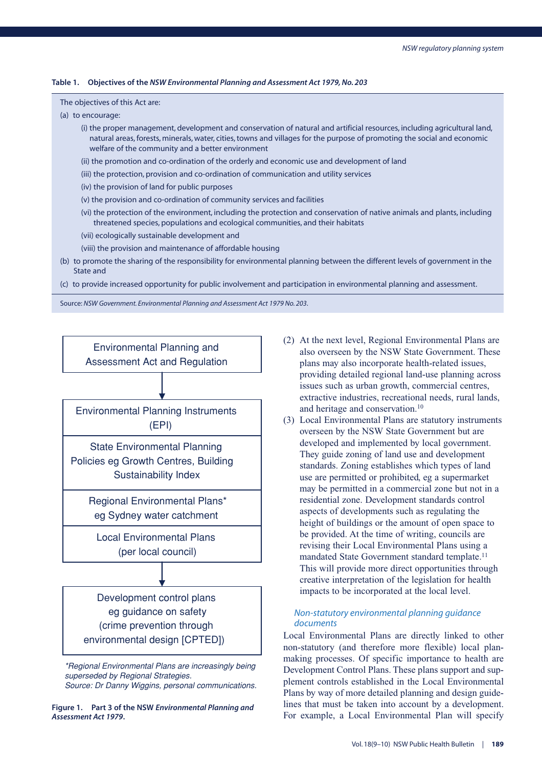#### **Table 1. Objectives of the** *NSW Environmental Planning and Assessment Act 1979, No. 203*

#### The objectives of this Act are:

- (a) to encourage:
	- (i) the proper management, development and conservation of natural and artificial resources, including agricultural land, natural areas, forests, minerals, water, cities, towns and villages for the purpose of promoting the social and economic welfare of the community and a better environment
	- (ii) the promotion and co-ordination of the orderly and economic use and development of land
	- (iii) the protection, provision and co-ordination of communication and utility services
	- (iv) the provision of land for public purposes
	- (v) the provision and co-ordination of community services and facilities
	- (vi) the protection of the environment, including the protection and conservation of native animals and plants, including threatened species, populations and ecological communities, and their habitats
	- (vii) ecologically sustainable development and
	- (viii) the provision and maintenance of affordable housing
- (b) to promote the sharing of the responsibility for environmental planning between the different levels of government in the State and
- (c) to provide increased opportunity for public involvement and participation in environmental planning and assessment.

Source: *NSW Government. Environmental Planning and Assessment Act 1979 No. 203*.



*\*Regional Environmental Plans are increasingly being superseded by Regional Strategies. Source: Dr Danny Wiggins, personal communications.*

**Figure 1. Part 3 of the NSW** *Environmental Planning and Assessment Act 1979***.**

- (2) At the next level, Regional Environmental Plans are also overseen by the NSW State Government. These plans may also incorporate health-related issues, providing detailed regional land-use planning across issues such as urban growth, commercial centres, extractive industries, recreational needs, rural lands, and heritage and conservation.10
- (3) Local Environmental Plans are statutory instruments overseen by the NSW State Government but are developed and implemented by local government. They guide zoning of land use and development standards. Zoning establishes which types of land use are permitted or prohibited, eg a supermarket may be permitted in a commercial zone but not in a residential zone. Development standards control aspects of developments such as regulating the height of buildings or the amount of open space to be provided. At the time of writing, councils are revising their Local Environmental Plans using a mandated State Government standard template.<sup>11</sup> This will provide more direct opportunities through creative interpretation of the legislation for health impacts to be incorporated at the local level.

#### *Non-statutory environmental planning guidance documents*

Local Environmental Plans are directly linked to other non-statutory (and therefore more flexible) local planmaking processes. Of specific importance to health are Development Control Plans. These plans support and supplement controls established in the Local Environmental Plans by way of more detailed planning and design guidelines that must be taken into account by a development. For example, a Local Environmental Plan will specify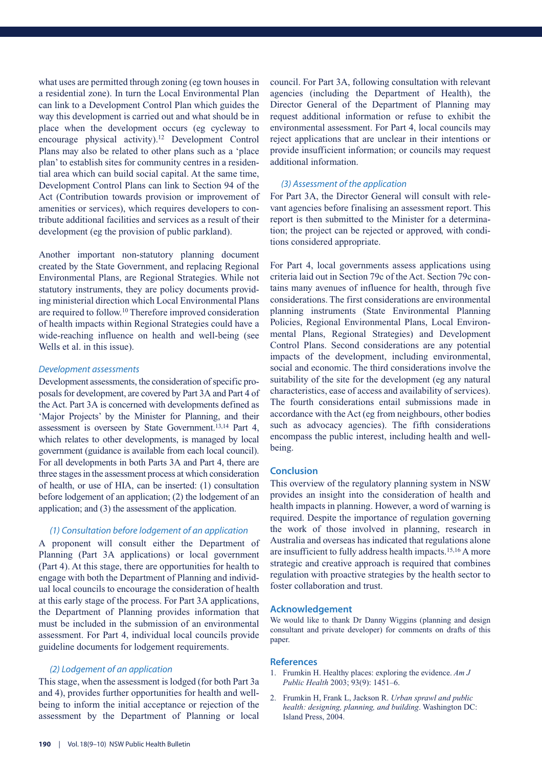what uses are permitted through zoning (eg town houses in a residential zone). In turn the Local Environmental Plan can link to a Development Control Plan which guides the way this development is carried out and what should be in place when the development occurs (eg cycleway to encourage physical activity).12 Development Control Plans may also be related to other plans such as a 'place plan' to establish sites for community centres in a residential area which can build social capital. At the same time, Development Control Plans can link to Section 94 of the Act (Contribution towards provision or improvement of amenities or services), which requires developers to contribute additional facilities and services as a result of their development (eg the provision of public parkland).

Another important non-statutory planning document created by the State Government, and replacing Regional Environmental Plans, are Regional Strategies. While not statutory instruments, they are policy documents providing ministerial direction which Local Environmental Plans are required to follow.10 Therefore improved consideration of health impacts within Regional Strategies could have a wide-reaching influence on health and well-being (see Wells et al. in this issue).

#### *Development assessments*

Development assessments, the consideration of specific proposals for development, are covered by Part 3A and Part 4 of the Act. Part 3A is concerned with developments defined as 'Major Projects' by the Minister for Planning, and their assessment is overseen by State Government.13,14 Part 4, which relates to other developments, is managed by local government (guidance is available from each local council). For all developments in both Parts 3A and Part 4, there are three stages in the assessment process at which consideration of health, or use of HIA, can be inserted: (1) consultation before lodgement of an application; (2) the lodgement of an application; and (3) the assessment of the application.

#### *(1) Consultation before lodgement of an application*

A proponent will consult either the Department of Planning (Part 3A applications) or local government (Part 4). At this stage, there are opportunities for health to engage with both the Department of Planning and individual local councils to encourage the consideration of health at this early stage of the process. For Part 3A applications, the Department of Planning provides information that must be included in the submission of an environmental assessment. For Part 4, individual local councils provide guideline documents for lodgement requirements.

#### *(2) Lodgement of an application*

This stage, when the assessment is lodged (for both Part 3a and 4), provides further opportunities for health and wellbeing to inform the initial acceptance or rejection of the assessment by the Department of Planning or local

council. For Part 3A, following consultation with relevant agencies (including the Department of Health), the Director General of the Department of Planning may request additional information or refuse to exhibit the environmental assessment. For Part 4, local councils may reject applications that are unclear in their intentions or provide insufficient information; or councils may request additional information.

#### *(3) Assessment of the application*

For Part 3A, the Director General will consult with relevant agencies before finalising an assessment report. This report is then submitted to the Minister for a determination; the project can be rejected or approved, with conditions considered appropriate.

For Part 4, local governments assess applications using criteria laid out in Section 79c of the Act. Section 79c contains many avenues of influence for health, through five considerations. The first considerations are environmental planning instruments (State Environmental Planning Policies, Regional Environmental Plans, Local Environmental Plans, Regional Strategies) and Development Control Plans. Second considerations are any potential impacts of the development, including environmental, social and economic. The third considerations involve the suitability of the site for the development (eg any natural characteristics, ease of access and availability of services). The fourth considerations entail submissions made in accordance with the Act (eg from neighbours, other bodies such as advocacy agencies). The fifth considerations encompass the public interest, including health and wellbeing.

#### **Conclusion**

This overview of the regulatory planning system in NSW provides an insight into the consideration of health and health impacts in planning. However, a word of warning is required. Despite the importance of regulation governing the work of those involved in planning, research in Australia and overseas has indicated that regulations alone are insufficient to fully address health impacts.15,16 A more strategic and creative approach is required that combines regulation with proactive strategies by the health sector to foster collaboration and trust.

#### **Acknowledgement**

We would like to thank Dr Danny Wiggins (planning and design consultant and private developer) for comments on drafts of this paper.

- 1. Frumkin H. Healthy places: exploring the evidence. *Am J Public Health* 2003; 93(9): 1451–6.
- 2. Frumkin H, Frank L, Jackson R. *Urban sprawl and public health: designing, planning, and building*. Washington DC: Island Press, 2004.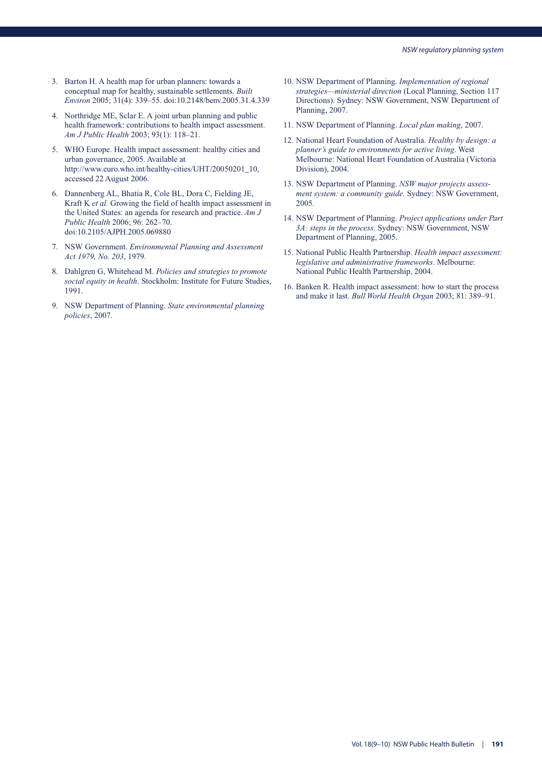- 3. Barton H. A health map for urban planners: towards a conceptual map for healthy, sustainable settlements. *Built Environ* 2005; 31(4): 339–55. doi:10.2148/benv.2005.31.4.339
- 4. Northridge ME, Sclar E. A joint urban planning and public health framework: contributions to health impact assessment. *Am J Public Health* 2003; 93(1): 118–21.
- 5. WHO Europe. Health impact assessment: healthy cities and urban governance, 2005. Available at http://www.euro.who.int/healthy-cities/UHT/20050201\_10, accessed 22 August 2006.
- 6. Dannenberg AL, Bhatia R, Cole BL, Dora C, Fielding JE, Kraft K *et al.* Growing the field of health impact assessment in the United States: an agenda for research and practice. *Am J Public Health* 2006; 96: 262–70. doi:10.2105/AJPH.2005.069880
- 7. NSW Government. *Environmental Planning and Assessment Act 1979, No. 203*, 1979.
- 8. Dahlgren G, Whitehead M. *Policies and strategies to promote social equity in health*. Stockholm: Institute for Future Studies, 1991.
- 9. NSW Department of Planning. *State environmental planning policies*, 2007.
- 10. NSW Department of Planning. *Implementation of regional strategies—ministerial direction* (Local Planning, Section 117 Directions). Sydney: NSW Government, NSW Department of Planning, 2007.
- 11. NSW Department of Planning. *Local plan making*, 2007.
- 12. National Heart Foundation of Australia. *Healthy by design: a planner's guide to environments for active living*. West Melbourne: National Heart Foundation of Australia (Victoria Division), 2004.
- 13. NSW Department of Planning. *NSW major projects assessment system: a community guide.* Sydney: NSW Government, 2005.
- 14. NSW Department of Planning. *Project applications under Part 3A: steps in the process.* Sydney: NSW Government, NSW Department of Planning, 2005.
- 15. National Public Health Partnership. *Health impact assessment: legislative and administrative frameworks*. Melbourne: National Public Health Partnership, 2004.
- 16. Banken R. Health impact assessment: how to start the process and make it last. *Bull World Health Organ* 2003; 81: 389–91.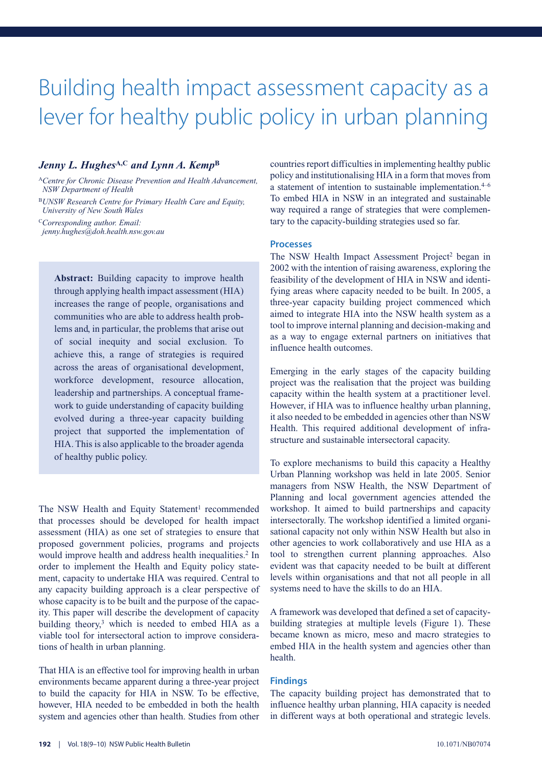### Building health impact assessment capacity as a lever for healthy public policy in urban planning

#### *Jenny L. Hughes***A,C** *and Lynn A. Kemp***<sup>B</sup>**

<sup>A</sup>*Centre for Chronic Disease Prevention and Health Advancement, NSW Department of Health*

<sup>B</sup>*UNSW Research Centre for Primary Health Care and Equity, University of New South Wales*

<sup>C</sup>*Corresponding author. Email:*

*jenny.hughes@doh.health.nsw.gov.au*

**Abstract:** Building capacity to improve health through applying health impact assessment (HIA) increases the range of people, organisations and communities who are able to address health problems and, in particular, the problems that arise out of social inequity and social exclusion. To achieve this, a range of strategies is required across the areas of organisational development, workforce development, resource allocation, leadership and partnerships. A conceptual framework to guide understanding of capacity building evolved during a three-year capacity building project that supported the implementation of HIA. This is also applicable to the broader agenda of healthy public policy.

The NSW Health and Equity Statement<sup>1</sup> recommended that processes should be developed for health impact assessment (HIA) as one set of strategies to ensure that proposed government policies, programs and projects would improve health and address health inequalities.<sup>2</sup> In order to implement the Health and Equity policy statement, capacity to undertake HIA was required. Central to any capacity building approach is a clear perspective of whose capacity is to be built and the purpose of the capacity. This paper will describe the development of capacity building theory,<sup>3</sup> which is needed to embed HIA as a viable tool for intersectoral action to improve considerations of health in urban planning.

That HIA is an effective tool for improving health in urban environments became apparent during a three-year project to build the capacity for HIA in NSW. To be effective, however, HIA needed to be embedded in both the health system and agencies other than health. Studies from other countries report difficulties in implementing healthy public policy and institutionalising HIA in a form that moves from a statement of intention to sustainable implementation. $4-6$ To embed HIA in NSW in an integrated and sustainable way required a range of strategies that were complementary to the capacity-building strategies used so far.

#### **Processes**

The NSW Health Impact Assessment Project<sup>2</sup> began in 2002 with the intention of raising awareness, exploring the feasibility of the development of HIA in NSW and identifying areas where capacity needed to be built. In 2005, a three-year capacity building project commenced which aimed to integrate HIA into the NSW health system as a tool to improve internal planning and decision-making and as a way to engage external partners on initiatives that influence health outcomes.

Emerging in the early stages of the capacity building project was the realisation that the project was building capacity within the health system at a practitioner level. However, if HIA was to influence healthy urban planning, it also needed to be embedded in agencies other than NSW Health. This required additional development of infrastructure and sustainable intersectoral capacity.

To explore mechanisms to build this capacity a Healthy Urban Planning workshop was held in late 2005. Senior managers from NSW Health, the NSW Department of Planning and local government agencies attended the workshop. It aimed to build partnerships and capacity intersectorally. The workshop identified a limited organisational capacity not only within NSW Health but also in other agencies to work collaboratively and use HIA as a tool to strengthen current planning approaches. Also evident was that capacity needed to be built at different levels within organisations and that not all people in all systems need to have the skills to do an HIA.

A framework was developed that defined a set of capacitybuilding strategies at multiple levels (Figure 1). These became known as micro, meso and macro strategies to embed HIA in the health system and agencies other than health.

#### **Findings**

The capacity building project has demonstrated that to influence healthy urban planning, HIA capacity is needed in different ways at both operational and strategic levels.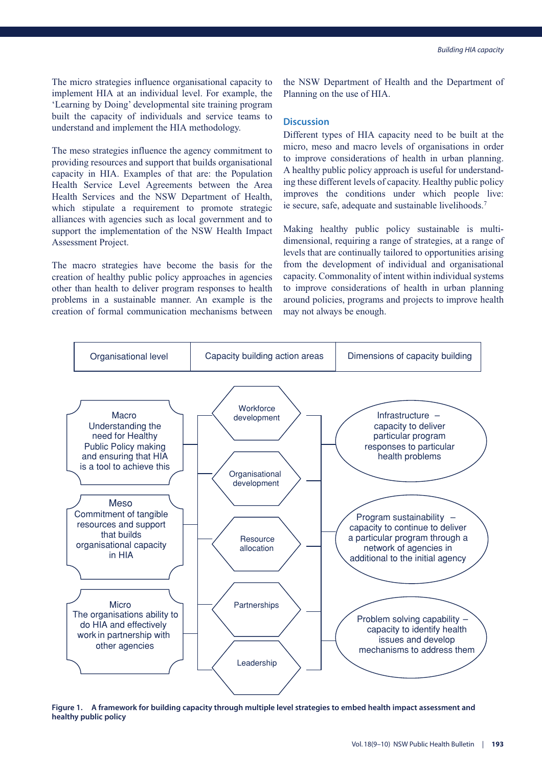The micro strategies influence organisational capacity to implement HIA at an individual level. For example, the 'Learning by Doing' developmental site training program built the capacity of individuals and service teams to understand and implement the HIA methodology.

The meso strategies influence the agency commitment to providing resources and support that builds organisational capacity in HIA. Examples of that are: the Population Health Service Level Agreements between the Area Health Services and the NSW Department of Health, which stipulate a requirement to promote strategic alliances with agencies such as local government and to support the implementation of the NSW Health Impact Assessment Project.

The macro strategies have become the basis for the creation of healthy public policy approaches in agencies other than health to deliver program responses to health problems in a sustainable manner. An example is the creation of formal communication mechanisms between the NSW Department of Health and the Department of Planning on the use of HIA.

#### **Discussion**

Different types of HIA capacity need to be built at the micro, meso and macro levels of organisations in order to improve considerations of health in urban planning. A healthy public policy approach is useful for understanding these different levels of capacity. Healthy public policy improves the conditions under which people live: ie secure, safe, adequate and sustainable livelihoods.7

Making healthy public policy sustainable is multidimensional, requiring a range of strategies, at a range of levels that are continually tailored to opportunities arising from the development of individual and organisational capacity. Commonality of intent within individual systems to improve considerations of health in urban planning around policies, programs and projects to improve health may not always be enough.



**Figure 1. A framework for building capacity through multiple level strategies to embed health impact assessment and healthy public policy**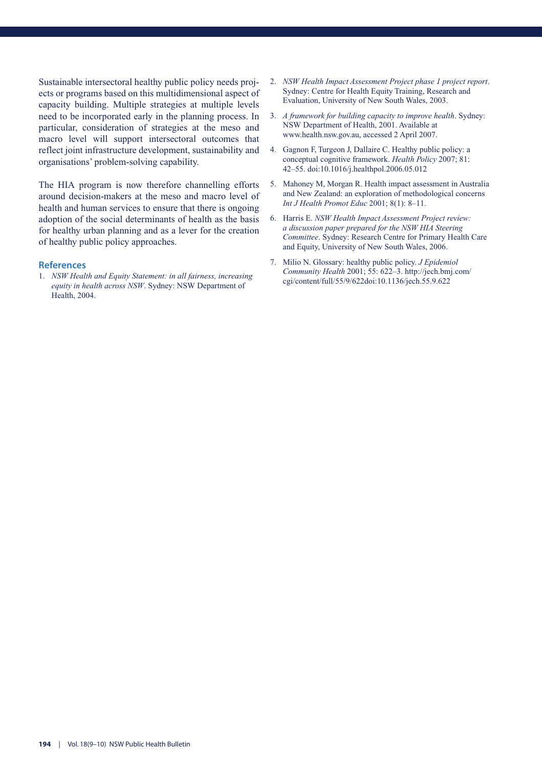Sustainable intersectoral healthy public policy needs projects or programs based on this multidimensional aspect of capacity building. Multiple strategies at multiple levels need to be incorporated early in the planning process. In particular, consideration of strategies at the meso and macro level will support intersectoral outcomes that reflect joint infrastructure development, sustainability and organisations' problem-solving capability.

The HIA program is now therefore channelling efforts around decision-makers at the meso and macro level of health and human services to ensure that there is ongoing adoption of the social determinants of health as the basis for healthy urban planning and as a lever for the creation of healthy public policy approaches.

#### **References**

1. *NSW Health and Equity Statement: in all fairness, increasing equity in health across NSW*. Sydney: NSW Department of Health, 2004.

- 2. *NSW Health Impact Assessment Project phase 1 project report*. Sydney: Centre for Health Equity Training, Research and Evaluation, University of New South Wales, 2003.
- 3. *A framework for building capacity to improve health*. Sydney: NSW Department of Health, 2001. Available at www.health.nsw.gov.au, accessed 2 April 2007.
- 4. Gagnon F, Turgeon J, Dallaire C. Healthy public policy: a conceptual cognitive framework. *Health Policy* 2007; 81: 42–55. doi:10.1016/j.healthpol.2006.05.012
- 5. Mahoney M, Morgan R. Health impact assessment in Australia and New Zealand: an exploration of methodological concerns *Int J Health Promot Educ* 2001; 8(1): 8–11.
- 6. Harris E. *NSW Health Impact Assessment Project review: a discussion paper prepared for the NSW HIA Steering Committee*. Sydney: Research Centre for Primary Health Care and Equity, University of New South Wales, 2006.
- 7. Milio N. Glossary: healthy public policy. *J Epidemiol Community Health* 2001; 55: 622–3. http://jech.bmj.com/ cgi/content/full/55/9/622doi:10.1136/jech.55.9.622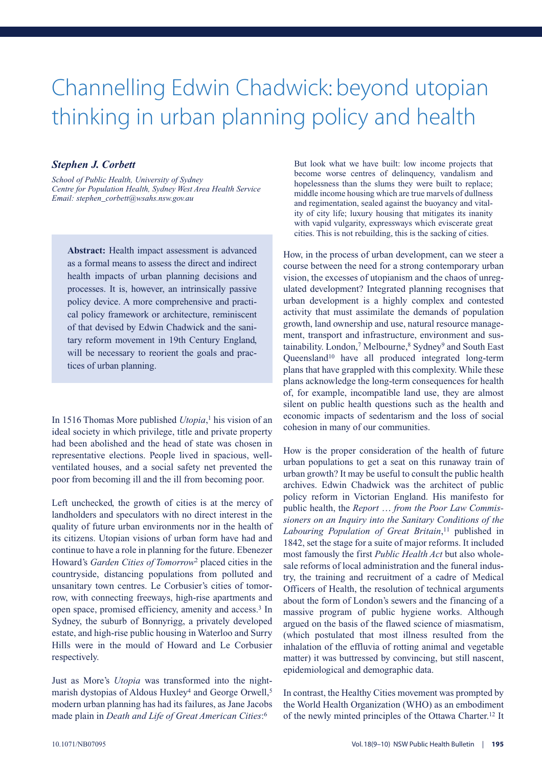# Channelling Edwin Chadwick: beyond utopian thinking in urban planning policy and health

#### *Stephen J. Corbett*

*School of Public Health, University of Sydney Centre for Population Health, Sydney West Area Health Service Email: stephen\_corbett@wsahs.nsw.gov.au*

**Abstract:** Health impact assessment is advanced as a formal means to assess the direct and indirect health impacts of urban planning decisions and processes. It is, however, an intrinsically passive policy device. A more comprehensive and practical policy framework or architecture, reminiscent of that devised by Edwin Chadwick and the sanitary reform movement in 19th Century England, will be necessary to reorient the goals and practices of urban planning.

In 1516 Thomas More published *Utopia*, <sup>1</sup> his vision of an ideal society in which privilege, title and private property had been abolished and the head of state was chosen in representative elections. People lived in spacious, wellventilated houses, and a social safety net prevented the poor from becoming ill and the ill from becoming poor.

Left unchecked, the growth of cities is at the mercy of landholders and speculators with no direct interest in the quality of future urban environments nor in the health of its citizens. Utopian visions of urban form have had and continue to have a role in planning for the future. Ebenezer Howard's *Garden Cities of Tomorrow*<sup>2</sup> placed cities in the countryside, distancing populations from polluted and unsanitary town centres. Le Corbusier's cities of tomorrow, with connecting freeways, high-rise apartments and open space, promised efficiency, amenity and access.<sup>3</sup> In Sydney, the suburb of Bonnyrigg, a privately developed estate, and high-rise public housing in Waterloo and Surry Hills were in the mould of Howard and Le Corbusier respectively.

Just as More's *Utopia* was transformed into the nightmarish dystopias of Aldous Huxley<sup>4</sup> and George Orwell,<sup>5</sup> modern urban planning has had its failures, as Jane Jacobs made plain in *Death and Life of Great American Cities*: 6

But look what we have built: low income projects that become worse centres of delinquency, vandalism and hopelessness than the slums they were built to replace; middle income housing which are true marvels of dullness and regimentation, sealed against the buoyancy and vitality of city life; luxury housing that mitigates its inanity with vapid vulgarity, expressways which eviscerate great cities. This is not rebuilding, this is the sacking of cities.

How, in the process of urban development, can we steer a course between the need for a strong contemporary urban vision, the excesses of utopianism and the chaos of unregulated development? Integrated planning recognises that urban development is a highly complex and contested activity that must assimilate the demands of population growth, land ownership and use, natural resource management, transport and infrastructure, environment and sustainability. London,<sup>7</sup> Melbourne,<sup>8</sup> Sydney<sup>9</sup> and South East Queensland10 have all produced integrated long-term plans that have grappled with this complexity. While these plans acknowledge the long-term consequences for health of, for example, incompatible land use, they are almost silent on public health questions such as the health and economic impacts of sedentarism and the loss of social cohesion in many of our communities.

How is the proper consideration of the health of future urban populations to get a seat on this runaway train of urban growth? It may be useful to consult the public health archives. Edwin Chadwick was the architect of public policy reform in Victorian England. His manifesto for public health, the *Report* … *from the Poor Law Commissioners on an Inquiry into the Sanitary Conditions of the Labouring Population of Great Britain*, <sup>11</sup> published in 1842, set the stage for a suite of major reforms. It included most famously the first *Public Health Act* but also wholesale reforms of local administration and the funeral industry, the training and recruitment of a cadre of Medical Officers of Health, the resolution of technical arguments about the form of London's sewers and the financing of a massive program of public hygiene works. Although argued on the basis of the flawed science of miasmatism, (which postulated that most illness resulted from the inhalation of the effluvia of rotting animal and vegetable matter) it was buttressed by convincing, but still nascent, epidemiological and demographic data.

In contrast, the Healthy Cities movement was prompted by the World Health Organization (WHO) as an embodiment of the newly minted principles of the Ottawa Charter.12 It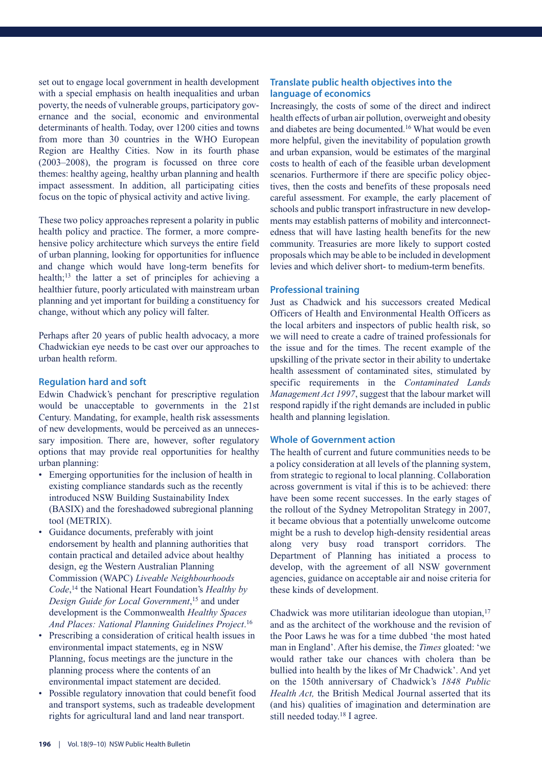set out to engage local government in health development with a special emphasis on health inequalities and urban poverty, the needs of vulnerable groups, participatory governance and the social, economic and environmental determinants of health. Today, over 1200 cities and towns from more than 30 countries in the WHO European Region are Healthy Cities. Now in its fourth phase (2003–2008), the program is focussed on three core themes: healthy ageing, healthy urban planning and health impact assessment. In addition, all participating cities focus on the topic of physical activity and active living.

These two policy approaches represent a polarity in public health policy and practice. The former, a more comprehensive policy architecture which surveys the entire field of urban planning, looking for opportunities for influence and change which would have long-term benefits for health;13 the latter a set of principles for achieving a healthier future, poorly articulated with mainstream urban planning and yet important for building a constituency for change, without which any policy will falter.

Perhaps after 20 years of public health advocacy, a more Chadwickian eye needs to be cast over our approaches to urban health reform.

#### **Regulation hard and soft**

Edwin Chadwick's penchant for prescriptive regulation would be unacceptable to governments in the 21st Century. Mandating, for example, health risk assessments of new developments, would be perceived as an unnecessary imposition. There are, however, softer regulatory options that may provide real opportunities for healthy urban planning:

- Emerging opportunities for the inclusion of health in existing compliance standards such as the recently introduced NSW Building Sustainability Index (BASIX) and the foreshadowed subregional planning tool (METRIX).
- Guidance documents, preferably with joint endorsement by health and planning authorities that contain practical and detailed advice about healthy design, eg the Western Australian Planning Commission (WAPC) *Liveable Neighbourhoods Code*, <sup>14</sup> the National Heart Foundation's *Healthy by Design Guide for Local Government*, <sup>15</sup> and under development is the Commonwealth *Healthy Spaces And Places: National Planning Guidelines Project*. 16
- Prescribing a consideration of critical health issues in environmental impact statements, eg in NSW Planning, focus meetings are the juncture in the planning process where the contents of an environmental impact statement are decided.
- Possible regulatory innovation that could benefit food and transport systems, such as tradeable development rights for agricultural land and land near transport.

#### **Translate public health objectives into the language of economics**

Increasingly, the costs of some of the direct and indirect health effects of urban air pollution, overweight and obesity and diabetes are being documented.16 What would be even more helpful, given the inevitability of population growth and urban expansion, would be estimates of the marginal costs to health of each of the feasible urban development scenarios. Furthermore if there are specific policy objectives, then the costs and benefits of these proposals need careful assessment. For example, the early placement of schools and public transport infrastructure in new developments may establish patterns of mobility and interconnectedness that will have lasting health benefits for the new community. Treasuries are more likely to support costed proposals which may be able to be included in development levies and which deliver short- to medium-term benefits.

#### **Professional training**

Just as Chadwick and his successors created Medical Officers of Health and Environmental Health Officers as the local arbiters and inspectors of public health risk, so we will need to create a cadre of trained professionals for the issue and for the times. The recent example of the upskilling of the private sector in their ability to undertake health assessment of contaminated sites, stimulated by specific requirements in the *Contaminated Lands Management Act 1997*, suggest that the labour market will respond rapidly if the right demands are included in public health and planning legislation.

#### **Whole of Government action**

The health of current and future communities needs to be a policy consideration at all levels of the planning system, from strategic to regional to local planning. Collaboration across government is vital if this is to be achieved: there have been some recent successes. In the early stages of the rollout of the Sydney Metropolitan Strategy in 2007, it became obvious that a potentially unwelcome outcome might be a rush to develop high-density residential areas along very busy road transport corridors. The Department of Planning has initiated a process to develop, with the agreement of all NSW government agencies, guidance on acceptable air and noise criteria for these kinds of development.

Chadwick was more utilitarian ideologue than utopian,<sup>17</sup> and as the architect of the workhouse and the revision of the Poor Laws he was for a time dubbed 'the most hated man in England'. After his demise, the *Times* gloated: 'we would rather take our chances with cholera than be bullied into health by the likes of Mr Chadwick'. And yet on the 150th anniversary of Chadwick's *1848 Public Health Act,* the British Medical Journal asserted that its (and his) qualities of imagination and determination are still needed today.18 I agree.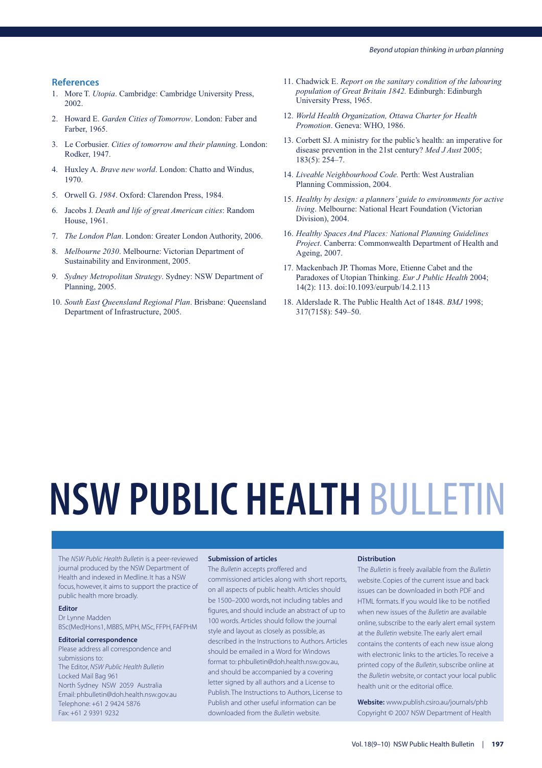#### **References**

- 1. More T. *Utopia*. Cambridge: Cambridge University Press, 2002.
- 2. Howard E. *Garden Cities of Tomorrow*. London: Faber and Farber, 1965.
- 3. Le Corbusier. *Cities of tomorrow and their planning*. London: Rodker, 1947.
- 4. Huxley A. *Brave new world*. London: Chatto and Windus, 1970.
- 5. Orwell G. *1984*. Oxford: Clarendon Press, 1984.
- 6. Jacobs J. *Death and life of great American cities*: Random House, 1961.
- 7. *The London Plan*. London: Greater London Authority, 2006.
- 8. *Melbourne 2030*. Melbourne: Victorian Department of Sustainability and Environment, 2005.
- 9. *Sydney Metropolitan Strategy*. Sydney: NSW Department of Planning, 2005.
- 10. *South East Queensland Regional Plan*. Brisbane: Queensland Department of Infrastructure, 2005.
- 11. Chadwick E. *Report on the sanitary condition of the labouring population of Great Britain 1842.* Edinburgh: Edinburgh University Press, 1965.
- 12. *World Health Organization, Ottawa Charter for Health Promotion*. Geneva: WHO, 1986.
- 13. Corbett SJ. A ministry for the public's health: an imperative for disease prevention in the 21st century? *Med J Aust* 2005; 183(5): 254–7.
- 14. *Liveable Neighbourhood Code.* Perth: West Australian Planning Commission, 2004.
- 15. *Healthy by design: a planners' guide to environments for active living*. Melbourne: National Heart Foundation (Victorian Division), 2004.
- 16. *Healthy Spaces And Places: National Planning Guidelines Project*. Canberra: Commonwealth Department of Health and Ageing, 2007.
- 17. Mackenbach JP. Thomas More, Etienne Cabet and the Paradoxes of Utopian Thinking. *Eur J Public Health* 2004; 14(2): 113. doi:10.1093/eurpub/14.2.113
- 18. Alderslade R. The Public Health Act of 1848. *BMJ* 1998; 317(7158): 549–50.

# **NSW PUBLIC HEALTH** BULLETIN

The *NSW Public Health Bulletin* is a peer-reviewed journal produced by the NSW Department of Health and indexed in Medline. It has a NSW focus, however, it aims to support the practice of public health more broadly.

#### **Editor**

Dr Lynne Madden BSc(Med)Hons1, MBBS, MPH, MSc, FFPH, FAFPHM

#### **Editorial correspondence**

Please address all correspondence and submissions to: The Editor, *NSW Public Health Bulletin* Locked Mail Bag 961 North Sydney NSW 2059 Australia Email: phbulletin@doh.health.nsw.gov.au Telephone: +61 2 9424 5876 Fax: +61 2 9391 9232

#### **Submission of articles**

The *Bulletin* accepts proffered and commissioned articles along with short reports, on all aspects of public health. Articles should be 1500–2000 words, not including tables and figures, and should include an abstract of up to 100 words. Articles should follow the journal style and layout as closely as possible, as described in the Instructions to Authors. Articles should be emailed in a Word for Windows format to: phbulletin@doh.health.nsw.gov.au, and should be accompanied by a covering letter signed by all authors and a License to Publish. The Instructions to Authors, License to Publish and other useful information can be downloaded from the *Bulletin* website.

#### **Distribution**

The *Bulletin* is freely available from the *Bulletin* website. Copies of the current issue and back issues can be downloaded in both PDF and HTML formats. If you would like to be notified when new issues of the *Bulletin* are available online, subscribe to the early alert email system at the *Bulletin* website. The early alert email contains the contents of each new issue along with electronic links to the articles. To receive a printed copy of the *Bulletin*, subscribe online at the *Bulletin* website, or contact your local public health unit or the editorial office.

**Website:** www.publish.csiro.au/journals/phb Copyright © 2007 NSW Department of Health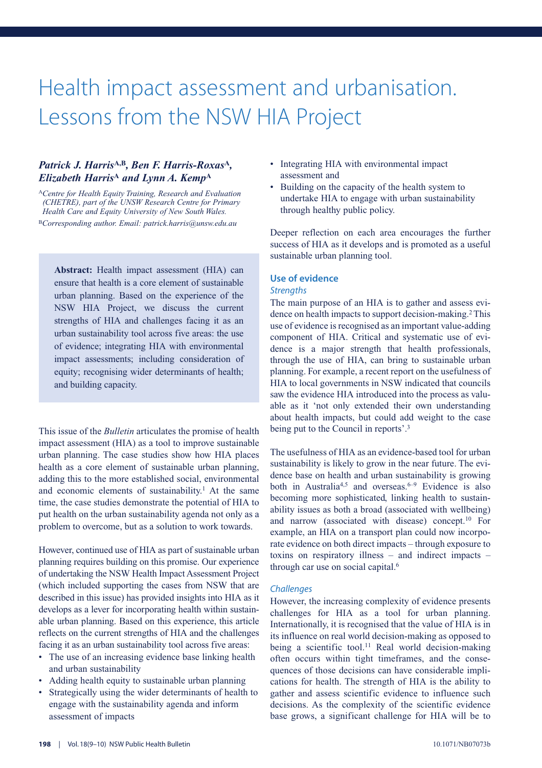### Health impact assessment and urbanisation. Lessons from the NSW HIA Project

#### *Patrick J. Harris***A,B***, Ben F. Harris-Roxas***<sup>A</sup>***, Elizabeth Harris***<sup>A</sup>** *and Lynn A. Kemp***<sup>A</sup>**

<sup>A</sup>*Centre for Health Equity Training, Research and Evaluation (CHETRE), part of the UNSW Research Centre for Primary Health Care and Equity University of New South Wales.* <sup>B</sup>*Corresponding author. Email: patrick.harris@unsw.edu.au*

**Abstract:** Health impact assessment (HIA) can ensure that health is a core element of sustainable urban planning. Based on the experience of the NSW HIA Project, we discuss the current strengths of HIA and challenges facing it as an urban sustainability tool across five areas: the use of evidence; integrating HIA with environmental impact assessments; including consideration of equity; recognising wider determinants of health; and building capacity.

This issue of the *Bulletin* articulates the promise of health impact assessment (HIA) as a tool to improve sustainable urban planning. The case studies show how HIA places health as a core element of sustainable urban planning, adding this to the more established social, environmental and economic elements of sustainability.<sup>1</sup> At the same time, the case studies demonstrate the potential of HIA to put health on the urban sustainability agenda not only as a problem to overcome, but as a solution to work towards.

However, continued use of HIA as part of sustainable urban planning requires building on this promise. Our experience of undertaking the NSW Health Impact Assessment Project (which included supporting the cases from NSW that are described in this issue) has provided insights into HIA as it develops as a lever for incorporating health within sustainable urban planning. Based on this experience, this article reflects on the current strengths of HIA and the challenges facing it as an urban sustainability tool across five areas:

- The use of an increasing evidence base linking health and urban sustainability
- Adding health equity to sustainable urban planning
- Strategically using the wider determinants of health to engage with the sustainability agenda and inform assessment of impacts
- Integrating HIA with environmental impact assessment and
- Building on the capacity of the health system to undertake HIA to engage with urban sustainability through healthy public policy.

Deeper reflection on each area encourages the further success of HIA as it develops and is promoted as a useful sustainable urban planning tool.

#### **Use of evidence** *Strengths*

#### The main purpose of an HIA is to gather and assess evidence on health impacts to support decision-making.<sup>2</sup> This use of evidence is recognised as an important value-adding component of HIA. Critical and systematic use of evidence is a major strength that health professionals, through the use of HIA, can bring to sustainable urban planning. For example, a recent report on the usefulness of HIA to local governments in NSW indicated that councils saw the evidence HIA introduced into the process as valuable as it 'not only extended their own understanding about health impacts, but could add weight to the case being put to the Council in reports'.3

The usefulness of HIA as an evidence-based tool for urban sustainability is likely to grow in the near future. The evidence base on health and urban sustainability is growing both in Australia<sup>4,5</sup> and overseas.<sup>6–9</sup> Evidence is also becoming more sophisticated, linking health to sustainability issues as both a broad (associated with wellbeing) and narrow (associated with disease) concept.10 For example, an HIA on a transport plan could now incorporate evidence on both direct impacts – through exposure to toxins on respiratory illness – and indirect impacts – through car use on social capital.<sup>6</sup>

#### *Challenges*

However, the increasing complexity of evidence presents challenges for HIA as a tool for urban planning. Internationally, it is recognised that the value of HIA is in its influence on real world decision-making as opposed to being a scientific tool.<sup>11</sup> Real world decision-making often occurs within tight timeframes, and the consequences of those decisions can have considerable implications for health. The strength of HIA is the ability to gather and assess scientific evidence to influence such decisions. As the complexity of the scientific evidence base grows, a significant challenge for HIA will be to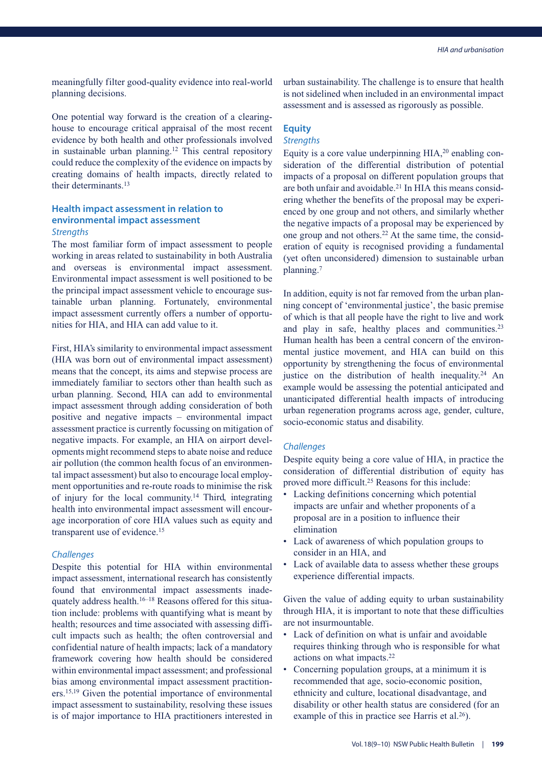meaningfully filter good-quality evidence into real-world planning decisions.

One potential way forward is the creation of a clearinghouse to encourage critical appraisal of the most recent evidence by both health and other professionals involved in sustainable urban planning.<sup>12</sup> This central repository could reduce the complexity of the evidence on impacts by creating domains of health impacts, directly related to their determinants.13

#### **Health impact assessment in relation to environmental impact assessment** *Strengths*

The most familiar form of impact assessment to people working in areas related to sustainability in both Australia and overseas is environmental impact assessment. Environmental impact assessment is well positioned to be the principal impact assessment vehicle to encourage sustainable urban planning. Fortunately, environmental impact assessment currently offers a number of opportunities for HIA, and HIA can add value to it.

First, HIA's similarity to environmental impact assessment (HIA was born out of environmental impact assessment) means that the concept, its aims and stepwise process are immediately familiar to sectors other than health such as urban planning. Second, HIA can add to environmental impact assessment through adding consideration of both positive and negative impacts – environmental impact assessment practice is currently focussing on mitigation of negative impacts. For example, an HIA on airport developments might recommend steps to abate noise and reduce air pollution (the common health focus of an environmental impact assessment) but also to encourage local employment opportunities and re-route roads to minimise the risk of injury for the local community.14 Third, integrating health into environmental impact assessment will encourage incorporation of core HIA values such as equity and transparent use of evidence.<sup>15</sup>

#### *Challenges*

Despite this potential for HIA within environmental impact assessment, international research has consistently found that environmental impact assessments inadequately address health.16–18 Reasons offered for this situation include: problems with quantifying what is meant by health; resources and time associated with assessing difficult impacts such as health; the often controversial and confidential nature of health impacts; lack of a mandatory framework covering how health should be considered within environmental impact assessment; and professional bias among environmental impact assessment practitioners.15,19 Given the potential importance of environmental impact assessment to sustainability, resolving these issues is of major importance to HIA practitioners interested in urban sustainability. The challenge is to ensure that health is not sidelined when included in an environmental impact assessment and is assessed as rigorously as possible.

### **Equity**

#### *Strengths*

Equity is a core value underpinning HIA,<sup>20</sup> enabling consideration of the differential distribution of potential impacts of a proposal on different population groups that are both unfair and avoidable.<sup>21</sup> In HIA this means considering whether the benefits of the proposal may be experienced by one group and not others, and similarly whether the negative impacts of a proposal may be experienced by one group and not others.22 At the same time, the consideration of equity is recognised providing a fundamental (yet often unconsidered) dimension to sustainable urban planning.7

In addition, equity is not far removed from the urban planning concept of 'environmental justice', the basic premise of which is that all people have the right to live and work and play in safe, healthy places and communities.23 Human health has been a central concern of the environmental justice movement, and HIA can build on this opportunity by strengthening the focus of environmental justice on the distribution of health inequality.<sup>24</sup> An example would be assessing the potential anticipated and unanticipated differential health impacts of introducing urban regeneration programs across age, gender, culture, socio-economic status and disability.

#### *Challenges*

Despite equity being a core value of HIA, in practice the consideration of differential distribution of equity has proved more difficult.25 Reasons for this include:

- Lacking definitions concerning which potential impacts are unfair and whether proponents of a proposal are in a position to influence their elimination
- Lack of awareness of which population groups to consider in an HIA, and
- Lack of available data to assess whether these groups experience differential impacts.

Given the value of adding equity to urban sustainability through HIA, it is important to note that these difficulties are not insurmountable.

- Lack of definition on what is unfair and avoidable requires thinking through who is responsible for what actions on what impacts.22
- Concerning population groups, at a minimum it is recommended that age, socio-economic position, ethnicity and culture, locational disadvantage, and disability or other health status are considered (for an example of this in practice see Harris et al. $26$ ).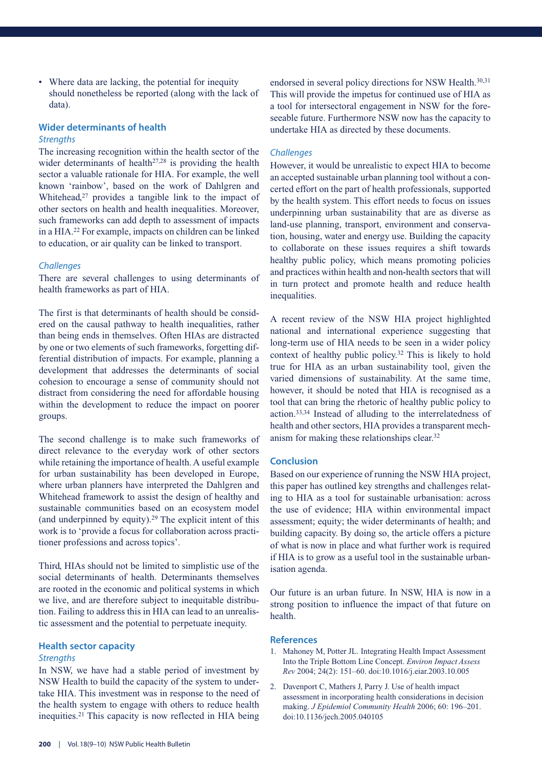Where data are lacking, the potential for inequity should nonetheless be reported (along with the lack of data).

#### **Wider determinants of health** *Strengths*

The increasing recognition within the health sector of the wider determinants of health<sup>27,28</sup> is providing the health sector a valuable rationale for HIA. For example, the well known 'rainbow', based on the work of Dahlgren and Whitehead, $27$  provides a tangible link to the impact of other sectors on health and health inequalities. Moreover, such frameworks can add depth to assessment of impacts in a HIA.22 For example, impacts on children can be linked to education, or air quality can be linked to transport.

#### *Challenges*

There are several challenges to using determinants of health frameworks as part of HIA.

The first is that determinants of health should be considered on the causal pathway to health inequalities, rather than being ends in themselves. Often HIAs are distracted by one or two elements of such frameworks, forgetting differential distribution of impacts. For example, planning a development that addresses the determinants of social cohesion to encourage a sense of community should not distract from considering the need for affordable housing within the development to reduce the impact on poorer groups.

The second challenge is to make such frameworks of direct relevance to the everyday work of other sectors while retaining the importance of health. A useful example for urban sustainability has been developed in Europe, where urban planners have interpreted the Dahlgren and Whitehead framework to assist the design of healthy and sustainable communities based on an ecosystem model (and underpinned by equity).29 The explicit intent of this work is to 'provide a focus for collaboration across practitioner professions and across topics'.

Third, HIAs should not be limited to simplistic use of the social determinants of health. Determinants themselves are rooted in the economic and political systems in which we live, and are therefore subject to inequitable distribution. Failing to address this in HIA can lead to an unrealistic assessment and the potential to perpetuate inequity.

#### **Health sector capacity**

#### *Strengths*

In NSW, we have had a stable period of investment by NSW Health to build the capacity of the system to undertake HIA. This investment was in response to the need of the health system to engage with others to reduce health inequities.21 This capacity is now reflected in HIA being

endorsed in several policy directions for NSW Health.<sup>30,31</sup> This will provide the impetus for continued use of HIA as a tool for intersectoral engagement in NSW for the foreseeable future. Furthermore NSW now has the capacity to undertake HIA as directed by these documents.

#### *Challenges*

However, it would be unrealistic to expect HIA to become an accepted sustainable urban planning tool without a concerted effort on the part of health professionals, supported by the health system. This effort needs to focus on issues underpinning urban sustainability that are as diverse as land-use planning, transport, environment and conservation, housing, water and energy use. Building the capacity to collaborate on these issues requires a shift towards healthy public policy, which means promoting policies and practices within health and non-health sectors that will in turn protect and promote health and reduce health inequalities.

A recent review of the NSW HIA project highlighted national and international experience suggesting that long-term use of HIA needs to be seen in a wider policy context of healthy public policy.32 This is likely to hold true for HIA as an urban sustainability tool, given the varied dimensions of sustainability. At the same time, however, it should be noted that HIA is recognised as a tool that can bring the rhetoric of healthy public policy to action.33,34 Instead of alluding to the interrelatedness of health and other sectors, HIA provides a transparent mechanism for making these relationships clear.32

#### **Conclusion**

Based on our experience of running the NSW HIA project, this paper has outlined key strengths and challenges relating to HIA as a tool for sustainable urbanisation: across the use of evidence; HIA within environmental impact assessment; equity; the wider determinants of health; and building capacity. By doing so, the article offers a picture of what is now in place and what further work is required if HIA is to grow as a useful tool in the sustainable urbanisation agenda.

Our future is an urban future. In NSW, HIA is now in a strong position to influence the impact of that future on health.

- 1. Mahoney M, Potter JL. Integrating Health Impact Assessment Into the Triple Bottom Line Concept. *Environ Impact Assess Rev* 2004; 24(2): 151–60. doi:10.1016/j.eiar.2003.10.005
- 2. Davenport C, Mathers J, Parry J. Use of health impact assessment in incorporating health considerations in decision making. *J Epidemiol Community Health* 2006; 60: 196–201. doi:10.1136/jech.2005.040105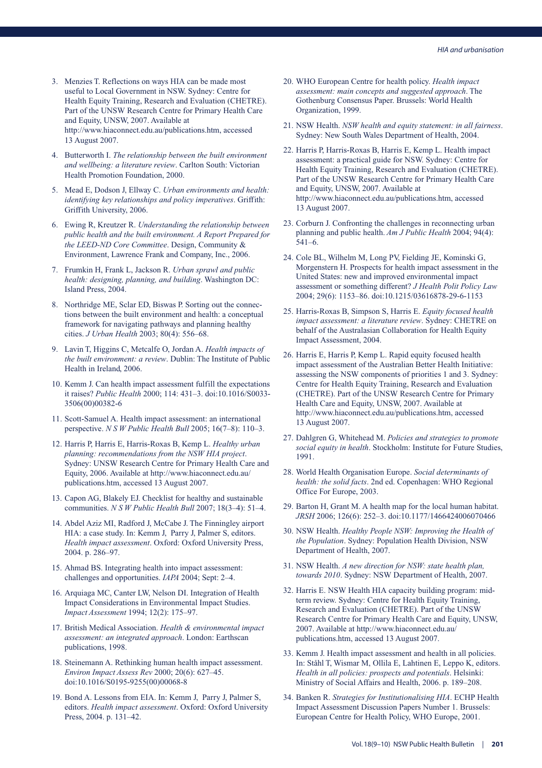- 3. Menzies T. Reflections on ways HIA can be made most useful to Local Government in NSW. Sydney: Centre for Health Equity Training, Research and Evaluation (CHETRE). Part of the UNSW Research Centre for Primary Health Care and Equity, UNSW, 2007. Available at http://www.hiaconnect.edu.au/publications.htm, accessed 13 August 2007.
- 4. Butterworth I. *The relationship between the built environment and wellbeing: a literature review*. Carlton South: Victorian Health Promotion Foundation, 2000.
- 5. Mead E, Dodson J, Ellway C. *Urban environments and health: identifying key relationships and policy imperatives*. Griffith: Griffith University, 2006.
- 6. Ewing R, Kreutzer R. *Understanding the relationship between public health and the built environment. A Report Prepared for the LEED-ND Core Committee*. Design, Community & Environment, Lawrence Frank and Company, Inc., 2006.
- 7. Frumkin H, Frank L, Jackson R. *Urban sprawl and public health: designing, planning, and building*. Washington DC: Island Press, 2004.
- 8. Northridge ME, Sclar ED, Biswas P. Sorting out the connections between the built environment and health: a conceptual framework for navigating pathways and planning healthy cities. *J Urban Health* 2003; 80(4): 556–68.
- 9. Lavin T, Higgins C, Metcalfe O, Jordan A. *Health impacts of the built environment: a review*. Dublin: The Institute of Public Health in Ireland, 2006.
- 10. Kemm J. Can health impact assessment fulfill the expectations it raises? *Public Health* 2000; 114: 431–3. doi:10.1016/S0033- 3506(00)00382-6
- 11. Scott-Samuel A. Health impact assessment: an international perspective. *N S W Public Health Bull* 2005; 16(7–8): 110–3.
- 12. Harris P, Harris E, Harris-Roxas B, Kemp L. *Healthy urban planning: recommendations from the NSW HIA project*. Sydney: UNSW Research Centre for Primary Health Care and Equity, 2006. Available at http://www.hiaconnect.edu.au/ publications.htm, accessed 13 August 2007.
- 13. Capon AG, Blakely EJ. Checklist for healthy and sustainable communities. *N S W Public Health Bull* 2007; 18(3–4): 51–4.
- 14. Abdel Aziz MI, Radford J, McCabe J. The Finningley airport HIA: a case study. In: Kemm J, Parry J, Palmer S, editors. *Health impact assessment*. Oxford: Oxford University Press, 2004. p. 286–97.
- 15. Ahmad BS. Integrating health into impact assessment: challenges and opportunities. *IAPA* 2004; Sept: 2–4.
- 16. Arquiaga MC, Canter LW, Nelson DI. Integration of Health Impact Considerations in Environmental Impact Studies. *Impact Assessment* 1994; 12(2): 175–97.
- 17. British Medical Association. *Health & environmental impact assessment: an integrated approach*. London: Earthscan publications, 1998.
- 18. Steinemann A. Rethinking human health impact assessment. *Environ Impact Assess Rev* 2000; 20(6): 627–45. doi:10.1016/S0195-9255(00)00068-8
- 19. Bond A. Lessons from EIA. In: Kemm J, Parry J, Palmer S, editors. *Health impact assessment*. Oxford: Oxford University Press, 2004. p. 131–42.
- 20. WHO European Centre for health policy. *Health impact assessment: main concepts and suggested approach*. The Gothenburg Consensus Paper. Brussels: World Health Organization, 1999.
- 21. NSW Health. *NSW health and equity statement: in all fairness*. Sydney: New South Wales Department of Health, 2004.
- 22. Harris P, Harris-Roxas B, Harris E, Kemp L. Health impact assessment: a practical guide for NSW. Sydney: Centre for Health Equity Training, Research and Evaluation (CHETRE). Part of the UNSW Research Centre for Primary Health Care and Equity, UNSW, 2007. Available at http://www.hiaconnect.edu.au/publications.htm, accessed 13 August 2007.
- 23. Corburn J. Confronting the challenges in reconnecting urban planning and public health. *Am J Public Health* 2004; 94(4): 541–6.
- 24. Cole BL, Wilhelm M, Long PV, Fielding JE, Kominski G, Morgenstern H. Prospects for health impact assessment in the United States: new and improved environmental impact assessment or something different? *J Health Polit Policy Law* 2004; 29(6): 1153–86. doi:10.1215/03616878-29-6-1153
- 25. Harris-Roxas B, Simpson S, Harris E. *Equity focused health impact assessment: a literature review*. Sydney: CHETRE on behalf of the Australasian Collaboration for Health Equity Impact Assessment, 2004.
- 26. Harris E, Harris P, Kemp L. Rapid equity focused health impact assessment of the Australian Better Health Initiative: assessing the NSW components of priorities 1 and 3. Sydney: Centre for Health Equity Training, Research and Evaluation (CHETRE). Part of the UNSW Research Centre for Primary Health Care and Equity, UNSW, 2007. Available at http://www.hiaconnect.edu.au/publications.htm, accessed 13 August 2007.
- 27. Dahlgren G, Whitehead M. *Policies and strategies to promote social equity in health*. Stockholm: Institute for Future Studies, 1991.
- 28. World Health Organisation Europe. *Social determinants of health: the solid facts*. 2nd ed. Copenhagen: WHO Regional Office For Europe, 2003.
- 29. Barton H, Grant M. A health map for the local human habitat. *JRSH* 2006; 126(6): 252–3. doi:10.1177/1466424006070466
- 30. NSW Health. *Healthy People NSW: Improving the Health of the Population*. Sydney: Population Health Division, NSW Department of Health, 2007.
- 31. NSW Health. *A new direction for NSW: state health plan, towards 2010*. Sydney: NSW Department of Health, 2007.
- 32. Harris E. NSW Health HIA capacity building program: midterm review. Sydney: Centre for Health Equity Training, Research and Evaluation (CHETRE). Part of the UNSW Research Centre for Primary Health Care and Equity, UNSW, 2007. Available at http://www.hiaconnect.edu.au/ publications.htm, accessed 13 August 2007.
- 33. Kemm J. Health impact assessment and health in all policies. In: Ståhl T, Wismar M, Ollila E, Lahtinen E, Leppo K, editors. *Health in all policies: prospects and potentials*. Helsinki: Ministry of Social Affairs and Health, 2006. p. 189–208.
- 34. Banken R. *Strategies for Institutionalising HIA*. ECHP Health Impact Assessment Discussion Papers Number 1. Brussels: European Centre for Health Policy, WHO Europe, 2001.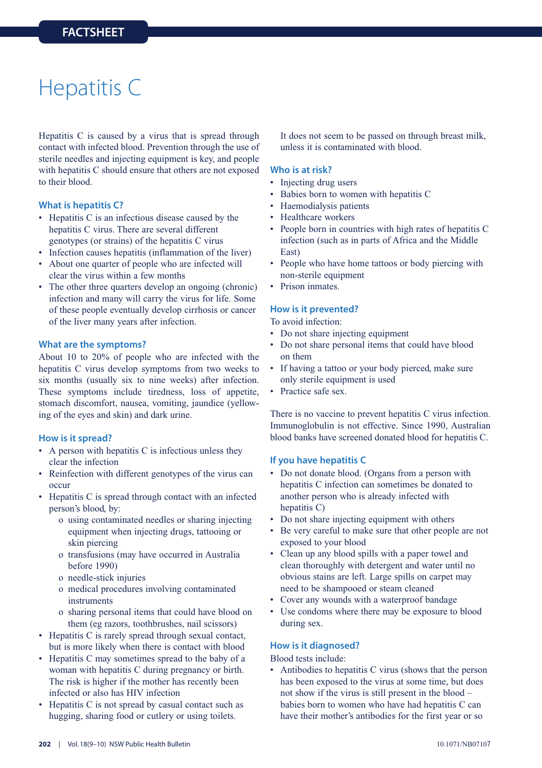### Hepatitis C

Hepatitis C is caused by a virus that is spread through contact with infected blood. Prevention through the use of sterile needles and injecting equipment is key, and people with hepatitis C should ensure that others are not exposed to their blood.

#### **What is hepatitis C?**

- Hepatitis C is an infectious disease caused by the hepatitis C virus. There are several different genotypes (or strains) of the hepatitis C virus
- Infection causes hepatitis (inflammation of the liver)
- About one quarter of people who are infected will clear the virus within a few months
- The other three quarters develop an ongoing (chronic) infection and many will carry the virus for life. Some of these people eventually develop cirrhosis or cancer of the liver many years after infection.

#### **What are the symptoms?**

About 10 to 20% of people who are infected with the hepatitis C virus develop symptoms from two weeks to six months (usually six to nine weeks) after infection. These symptoms include tiredness, loss of appetite, stomach discomfort, nausea, vomiting, jaundice (yellowing of the eyes and skin) and dark urine.

#### **How is it spread?**

- A person with hepatitis C is infectious unless they clear the infection
- Reinfection with different genotypes of the virus can occur
- Hepatitis C is spread through contact with an infected person's blood, by:
	- o using contaminated needles or sharing injecting equipment when injecting drugs, tattooing or skin piercing
	- o transfusions (may have occurred in Australia before 1990)
	- o needle-stick injuries
	- o medical procedures involving contaminated instruments
	- o sharing personal items that could have blood on them (eg razors, toothbrushes, nail scissors)
- Hepatitis C is rarely spread through sexual contact, but is more likely when there is contact with blood
- Hepatitis C may sometimes spread to the baby of a woman with hepatitis C during pregnancy or birth. The risk is higher if the mother has recently been infected or also has HIV infection
- Hepatitis C is not spread by casual contact such as hugging, sharing food or cutlery or using toilets.

It does not seem to be passed on through breast milk, unless it is contaminated with blood.

#### **Who is at risk?**

- Injecting drug users
- Babies born to women with hepatitis C
- Haemodialysis patients
- Healthcare workers
- People born in countries with high rates of hepatitis C infection (such as in parts of Africa and the Middle East)
- People who have home tattoos or body piercing with non-sterile equipment
- Prison inmates.

#### **How is it prevented?**

To avoid infection:

- Do not share injecting equipment
- Do not share personal items that could have blood on them
- If having a tattoo or your body pierced, make sure only sterile equipment is used
- Practice safe sex.

There is no vaccine to prevent hepatitis C virus infection. Immunoglobulin is not effective. Since 1990, Australian blood banks have screened donated blood for hepatitis C.

#### **If you have hepatitis C**

- Do not donate blood. (Organs from a person with hepatitis C infection can sometimes be donated to another person who is already infected with hepatitis C)
- Do not share injecting equipment with others
- Be very careful to make sure that other people are not exposed to your blood
- Clean up any blood spills with a paper towel and clean thoroughly with detergent and water until no obvious stains are left. Large spills on carpet may need to be shampooed or steam cleaned
- Cover any wounds with a waterproof bandage
- Use condoms where there may be exposure to blood during sex.

#### **How is it diagnosed?**

Blood tests include:

• Antibodies to hepatitis C virus (shows that the person has been exposed to the virus at some time, but does not show if the virus is still present in the blood – babies born to women who have had hepatitis C can have their mother's antibodies for the first year or so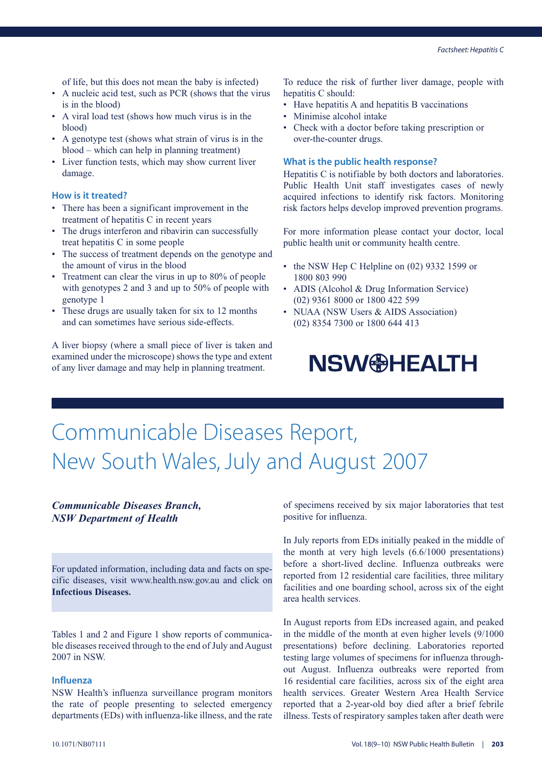of life, but this does not mean the baby is infected)

- A nucleic acid test, such as PCR (shows that the virus is in the blood)
- A viral load test (shows how much virus is in the blood)
- A genotype test (shows what strain of virus is in the blood – which can help in planning treatment)
- Liver function tests, which may show current liver damage.

#### **How is it treated?**

- There has been a significant improvement in the treatment of hepatitis C in recent years
- The drugs interferon and ribavirin can successfully treat hepatitis C in some people
- The success of treatment depends on the genotype and the amount of virus in the blood
- Treatment can clear the virus in up to 80% of people with genotypes 2 and 3 and up to 50% of people with genotype 1
- These drugs are usually taken for six to 12 months and can sometimes have serious side-effects.

A liver biopsy (where a small piece of liver is taken and examined under the microscope) shows the type and extent of any liver damage and may help in planning treatment.

To reduce the risk of further liver damage, people with hepatitis C should:

- Have hepatitis A and hepatitis B vaccinations
- Minimise alcohol intake
- Check with a doctor before taking prescription or over-the-counter drugs.

#### **What is the public health response?**

Hepatitis C is notifiable by both doctors and laboratories. Public Health Unit staff investigates cases of newly acquired infections to identify risk factors. Monitoring risk factors helps develop improved prevention programs.

For more information please contact your doctor, local public health unit or community health centre.

- the NSW Hep C Helpline on (02) 9332 1599 or 1800 803 990
- ADIS (Alcohol & Drug Information Service) (02) 9361 8000 or 1800 422 599
- NUAA (NSW Users & AIDS Association) (02) 8354 7300 or 1800 644 413

### **NSW<sup>®</sup>HEALTH**

### Communicable Diseases Report, New South Wales, July and August 2007

#### *Communicable Diseases Branch, NSW Department of Health*

For updated information, including data and facts on specific diseases, visit www.health.nsw.gov.au and click on **Infectious Diseases.**

Tables 1 and 2 and Figure 1 show reports of communicable diseases received through to the end of July and August 2007 in NSW.

#### **Influenza**

NSW Health's influenza surveillance program monitors the rate of people presenting to selected emergency departments (EDs) with influenza-like illness, and the rate of specimens received by six major laboratories that test positive for influenza.

In July reports from EDs initially peaked in the middle of the month at very high levels (6.6/1000 presentations) before a short-lived decline. Influenza outbreaks were reported from 12 residential care facilities, three military facilities and one boarding school, across six of the eight area health services.

In August reports from EDs increased again, and peaked in the middle of the month at even higher levels (9/1000 presentations) before declining. Laboratories reported testing large volumes of specimens for influenza throughout August. Influenza outbreaks were reported from 16 residential care facilities, across six of the eight area health services. Greater Western Area Health Service reported that a 2-year-old boy died after a brief febrile illness. Tests of respiratory samples taken after death were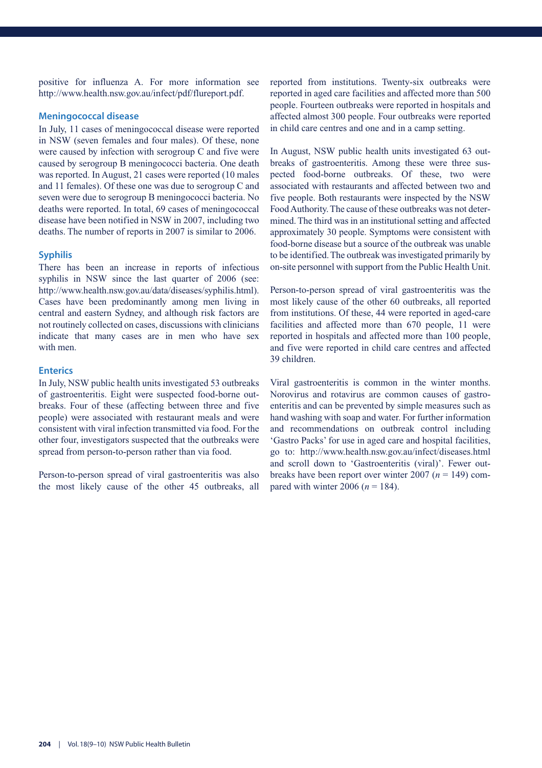positive for influenza A. For more information see http://www.health.nsw.gov.au/infect/pdf/flureport.pdf.

#### **Meningococcal disease**

In July, 11 cases of meningococcal disease were reported in NSW (seven females and four males). Of these, none were caused by infection with serogroup C and five were caused by serogroup B meningococci bacteria. One death was reported. In August, 21 cases were reported (10 males and 11 females). Of these one was due to serogroup C and seven were due to serogroup B meningococci bacteria. No deaths were reported. In total, 69 cases of meningococcal disease have been notified in NSW in 2007, including two deaths. The number of reports in 2007 is similar to 2006.

#### **Syphilis**

There has been an increase in reports of infectious syphilis in NSW since the last quarter of 2006 (see: http://www.health.nsw.gov.au/data/diseases/syphilis.html). Cases have been predominantly among men living in central and eastern Sydney, and although risk factors are not routinely collected on cases, discussions with clinicians indicate that many cases are in men who have sex with men.

#### **Enterics**

In July, NSW public health units investigated 53 outbreaks of gastroenteritis. Eight were suspected food-borne outbreaks. Four of these (affecting between three and five people) were associated with restaurant meals and were consistent with viral infection transmitted via food. For the other four, investigators suspected that the outbreaks were spread from person-to-person rather than via food.

Person-to-person spread of viral gastroenteritis was also the most likely cause of the other 45 outbreaks, all reported from institutions. Twenty-six outbreaks were reported in aged care facilities and affected more than 500 people. Fourteen outbreaks were reported in hospitals and affected almost 300 people. Four outbreaks were reported in child care centres and one and in a camp setting.

In August, NSW public health units investigated 63 outbreaks of gastroenteritis. Among these were three suspected food-borne outbreaks. Of these, two were associated with restaurants and affected between two and five people. Both restaurants were inspected by the NSW Food Authority. The cause of these outbreaks was not determined. The third was in an institutional setting and affected approximately 30 people. Symptoms were consistent with food-borne disease but a source of the outbreak was unable to be identified. The outbreak was investigated primarily by on-site personnel with support from the Public Health Unit.

Person-to-person spread of viral gastroenteritis was the most likely cause of the other 60 outbreaks, all reported from institutions. Of these, 44 were reported in aged-care facilities and affected more than 670 people, 11 were reported in hospitals and affected more than 100 people, and five were reported in child care centres and affected 39 children.

Viral gastroenteritis is common in the winter months. Norovirus and rotavirus are common causes of gastroenteritis and can be prevented by simple measures such as hand washing with soap and water. For further information and recommendations on outbreak control including 'Gastro Packs' for use in aged care and hospital facilities, go to: http://www.health.nsw.gov.au/infect/diseases.html and scroll down to 'Gastroenteritis (viral)'. Fewer outbreaks have been report over winter 2007 (*n* = 149) compared with winter 2006 ( $n = 184$ ).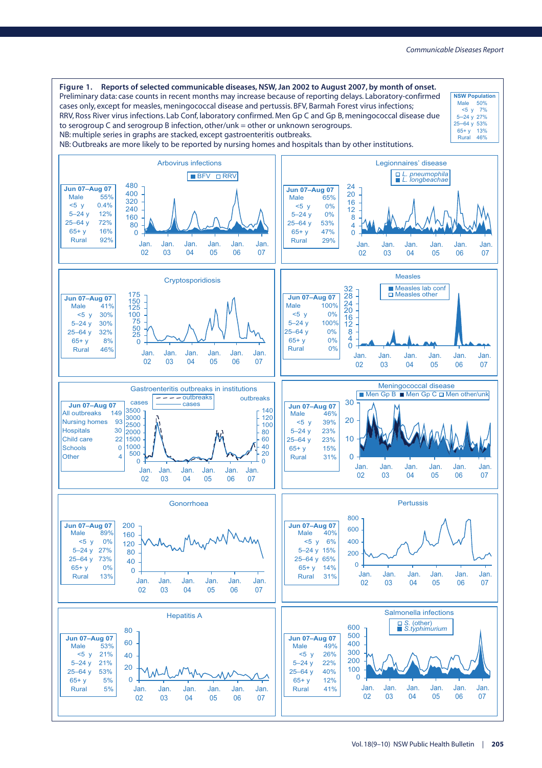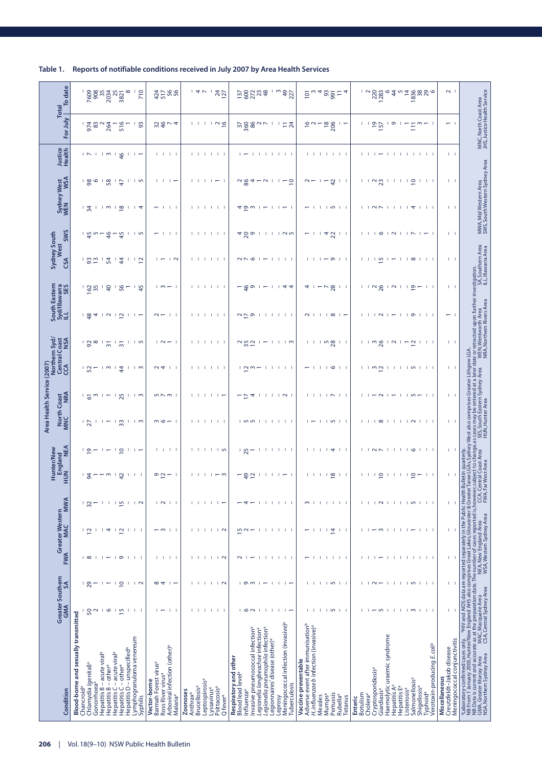|                           | To date<br>Total                                           |                                      |                                  | 2008<br>2008<br>2010<br>2010 |                                                                            |                                                       |                                        |                                        | 710      |                                                  |                               | $477$ 566                                                                       |          |          | 4V                             |                            |                         | <b>24</b><br>127                                                      |                       |                               | 58238                         |                                             |                                                                        |                                            |         | 49<br>227                                             |                     | 101                                           |                                                   |                               | $\frac{25}{25}$  |                                                                                                                                                                                                                                                                                                                            | 4              |                     |                      | $\frac{1}{2}$ $\frac{28}{2}$   |                         | ł                           |                                                      |                          |                            | $\frac{18888}{2}$                                      |                                        |               | $\sim$                                                    |                                                                                                                                                                                                                                      |               |
|---------------------------|------------------------------------------------------------|--------------------------------------|----------------------------------|------------------------------|----------------------------------------------------------------------------|-------------------------------------------------------|----------------------------------------|----------------------------------------|----------|--------------------------------------------------|-------------------------------|---------------------------------------------------------------------------------|----------|----------|--------------------------------|----------------------------|-------------------------|-----------------------------------------------------------------------|-----------------------|-------------------------------|-------------------------------|---------------------------------------------|------------------------------------------------------------------------|--------------------------------------------|---------|-------------------------------------------------------|---------------------|-----------------------------------------------|---------------------------------------------------|-------------------------------|------------------|----------------------------------------------------------------------------------------------------------------------------------------------------------------------------------------------------------------------------------------------------------------------------------------------------------------------------|----------------|---------------------|----------------------|--------------------------------|-------------------------|-----------------------------|------------------------------------------------------|--------------------------|----------------------------|--------------------------------------------------------|----------------------------------------|---------------|-----------------------------------------------------------|--------------------------------------------------------------------------------------------------------------------------------------------------------------------------------------------------------------------------------------|---------------|
|                           | For July                                                   |                                      | $-580$                           |                              | 264                                                                        | 516                                                   |                                        | $\frac{1}{9}$                          |          |                                                  |                               | $\frac{4}{9}$ $\frac{4}{9}$                                                     |          |          |                                |                            |                         | 111199                                                                |                       |                               |                               |                                             |                                                                        | л.                                         |         | $-24$                                                 |                     |                                               | $\frac{16}{10}$ $\sim$ $-$                        |                               | $\frac{18}{206}$ | $\overline{1}$                                                                                                                                                                                                                                                                                                             |                |                     |                      | $-90$                          |                         | $\sqrt{2}$                  | л.                                                   | $\overline{\phantom{0}}$ |                            | $m = 1$                                                |                                        |               | $-1$                                                      | MNC, North Coast Area<br>JHS, Justice Health Service                                                                                                                                                                                 |               |
|                           | <b>Justice</b><br>Health                                   |                                      | 1511m1g                          |                              |                                                                            |                                                       |                                        | $\mathbf{1}$ $\mathbf{1}$ $\mathbf{1}$ |          |                                                  |                               | 1 1 1 1                                                                         |          |          |                                |                            |                         | 1 1 1 1 1 1                                                           |                       |                               | $\overline{1}$ $\overline{1}$ |                                             |                                                                        |                                            |         | <b>TELEVISION</b>                                     |                     |                                               |                                                   |                               |                  | .                                                                                                                                                                                                                                                                                                                          |                |                     |                      |                                |                         |                             |                                                      |                          |                            | . <del>.</del>                                         |                                        |               | $1 - 1$                                                   |                                                                                                                                                                                                                                      |               |
|                           | <b>WSA</b><br>Sydney West<br>WEN WSA                       |                                      | 1801                             |                              | 58                                                                         | $\ddot{t}$                                            |                                        | ၊ ဟ                                    |          |                                                  |                               | $\begin{array}{ccc} \cdot & \cdot & \cdot \\ \cdot & \cdot & \cdot \end{array}$ |          |          | $\mathbf{1}$                   |                            |                         | $\vert \vert$ $\vert$ $\vert$ $\vert$ $\vert$ $\vert$ $\vert$ $\vert$ |                       |                               | $\frac{28}{2}$                |                                             | $\sim$                                                                 |                                            |         | $-5$                                                  |                     | $\sim$ $-$                                    |                                                   |                               | 42               |                                                                                                                                                                                                                                                                                                                            |                |                     |                      | 1122                           |                         |                             | 11112                                                |                          |                            | $1 \cdot 1 \cdot 1$                                    |                                        |               | $1 - 1$                                                   |                                                                                                                                                                                                                                      |               |
|                           |                                                            |                                      | $1\frac{2}{4}$                   |                              |                                                                            | <u>ှုက ၂ ထ</u>                                        |                                        | 114                                    |          |                                                  | $\mathbf{I}$                  | -1. 1                                                                           |          |          |                                |                            |                         | 1 1 1 1 1 1                                                           |                       |                               | ⊄ ღ ო                         |                                             |                                                                        |                                            |         | $\sim$ 1                                              |                     |                                               |                                                   |                               |                  | -                                                                                                                                                                                                                                                                                                                          |                |                     |                      |                                |                         |                             |                                                      |                          |                            | 10011114111                                            |                                        |               | $1 - 1$                                                   | MWA, Mid Western Area<br>SWS, South Western Sydney Area                                                                                                                                                                              |               |
|                           | <b>SWS</b><br>Sydney South<br>West                         |                                      | ၊ ၒၞႍ ၯ ౼                        |                              | \$                                                                         | 유                                                     |                                        | $\sqrt{2}$                             |          |                                                  |                               | $\pm$ $\pm$                                                                     |          | Τ.       |                                |                            |                         | 1 1 1 1                                                               |                       |                               | 480 i                         |                                             |                                                                        |                                            |         | 1.05                                                  |                     | 1                                             |                                                   |                               | 142              |                                                                                                                                                                                                                                                                                                                            |                |                     |                      |                                |                         |                             |                                                      |                          |                            | $101N11N1 -$                                           |                                        |               | $1 - 1$                                                   |                                                                                                                                                                                                                                      |               |
|                           | CSA                                                        |                                      | $-82$                            |                              | 54                                                                         | $\ddot{4}$                                            |                                        | $\frac{1}{2}$                          |          |                                                  |                               | $\overline{2}$                                                                  |          |          |                                |                            |                         | 1.1.1                                                                 |                       |                               | $\sim$ $\sim$ $\sim$          | - 1                                         |                                                                        |                                            |         | $\mathbf{1}$                                          |                     |                                               | $1 - 1$                                           |                               |                  | $ \circ$ $\qquad$ $\qquad$ $\qquad$                                                                                                                                                                                                                                                                                        |                |                     |                      |                                | $\frac{15}{2}$          | $\overline{\phantom{0}}$    |                                                      | $1$ $\infty$             |                            | $1 - 1 - 1$                                            |                                        |               | $1 - 1$                                                   |                                                                                                                                                                                                                                      |               |
|                           | South Eastern<br>Syd/Illawarra<br>ILL SES                  |                                      | 162                              |                              | $\overline{a}$                                                             | 56                                                    |                                        | $-45$                                  |          |                                                  |                               | $1 \omega - 1$                                                                  |          |          | 1 1 1 1 1 1                    |                            |                         |                                                                       |                       |                               | $4^{\circ}$                   |                                             |                                                                        |                                            |         | 44                                                    |                     |                                               | 4 1                                               |                               | $\frac{7}{28}$   | $\mathbf{1}$                                                                                                                                                                                                                                                                                                               |                |                     |                      | 1128                           |                         |                             | $\sqrt{2}$                                           |                          | $\tilde{a}$ –              |                                                        | $\mathbf{1}$                           |               | $1 - 1$                                                   |                                                                                                                                                                                                                                      |               |
|                           |                                                            |                                      | $\frac{4}{9}$ 4                  |                              |                                                                            | 0.12                                                  |                                        | $\overline{1}$                         |          |                                                  |                               | $\sim  \sim$ $\sim$ $\sim$                                                      |          |          |                                |                            |                         | , , , , , ,                                                           |                       |                               | $\sim$ $\sim$ $\sim$          |                                             |                                                                        |                                            |         | $1 \quad 1 \quad 1$                                   |                     |                                               |                                                   |                               |                  | $\begin{array}{c c c c c c} \hline \mathsf{N} &   &   & \mathsf{I} & \mathsf{co} &   & \mathsf{co} &   & \mathsf{co} &   & \mathsf{co} &   & \mathsf{co} &   & \mathsf{co} &   & \mathsf{co} &   & \mathsf{co} &   & \mathsf{co} &   & \mathsf{co} &   & \mathsf{co} &   & \mathsf{co} &   & \mathsf{co} &   & \mathsf{co$ |                |                     |                      |                                |                         |                             |                                                      |                          |                            |                                                        |                                        |               | $-1$                                                      |                                                                                                                                                                                                                                      |               |
|                           | Northern Syd/<br>Central Coast<br>CCA<br>CCA<br><b>NSA</b> |                                      | $180 - 1$                        |                              | $\overline{31}$                                                            | $\overline{3}$                                        | л                                      | $\overline{5}$                         |          |                                                  |                               | $\sqrt{2}$                                                                      |          |          |                                |                            |                         | .                                                                     |                       |                               | 780/2                         |                                             |                                                                        |                                            |         | $1 \pm m$                                             |                     |                                               |                                                   |                               |                  | 1119811                                                                                                                                                                                                                                                                                                                    |                |                     |                      | $1 + m$ $8$                    |                         | $\overline{\phantom{0}}$    |                                                      |                          | $\tilde{c}$                | $1 \quad 1 \quad 1$                                    |                                        |               | $1 - 1$                                                   |                                                                                                                                                                                                                                      |               |
|                           |                                                            |                                      | - 52                             |                              | m <sub>1</sub>                                                             | $\ddot{a}$                                            |                                        | ၂ က                                    |          |                                                  | $\sim 4$                      | -1. 1                                                                           |          |          |                                |                            | .                       |                                                                       |                       |                               | <u>, പ്രധ</u>                 |                                             |                                                                        |                                            |         |                                                       |                     | $-1$                                          |                                                   |                               | ی ا              | $\mathbf{1}$                                                                                                                                                                                                                                                                                                               |                |                     |                      | ്രല                            |                         | л.<br>- 1                   |                                                      |                          |                            | $1 + 2 - 1 = 1$                                        |                                        |               | $1 - 1$                                                   |                                                                                                                                                                                                                                      |               |
| Area Health Service (2007 | North Coast<br>MNC NRA                                     |                                      | , <u>r</u> o <sub>u</sub>        |                              |                                                                            | $-18$                                                 |                                        | $1 + m$                                |          |                                                  |                               | $55$ $\sim$ $-1$                                                                |          |          | . <del>.</del>                 |                            |                         |                                                                       |                       |                               | $-54$                         |                                             |                                                                        |                                            |         | $1$ $1$ $\sim$ $1$                                    |                     |                                               |                                                   |                               |                  | $\mathsf{L} \mathsf{L} \mathsf{L} \mathsf{L} \mathsf{L} \mathsf{N} \mathsf{L} \mathsf{L}$                                                                                                                                                                                                                                  |                |                     |                      | $1 - 0$                        |                         |                             |                                                      |                          |                            | $1 - 2 - 1$                                            |                                        |               | $\mathbf{1}$                                              |                                                                                                                                                                                                                                      |               |
|                           |                                                            |                                      | $\frac{1}{27}$                   |                              |                                                                            | $\frac{3}{2}$                                         |                                        | ၂ က                                    |          |                                                  |                               | $m \circ - 1$                                                                   |          |          |                                |                            |                         | $1 \cdot 1 \cdot 1$                                                   |                       |                               | $ $ n $ $                     |                                             | - 1                                                                    | $\mathbf{I}$                               |         | $1 \cdot 1 \cdot 1$                                   |                     |                                               |                                                   |                               |                  | $1.40 + 1$                                                                                                                                                                                                                                                                                                                 |                |                     |                      | $1 + \infty$                   |                         | $\mathbf{1}$                |                                                      |                          |                            |                                                        |                                        |               | $\mathbf{1}$                                              | Sydney West also comprises Greater Lithgow LGA<br>ct to change,as cases may be entered at a later<br>Coast Area           SES, South Eastern Sydney Area<br>t Area                     HUN, Hunter Area                              |               |
|                           | Hunter/New<br>England<br>HUN<br>HUN                        |                                      |                                  |                              |                                                                            | $- 19$                                                |                                        | $1 + 1 =$                              |          |                                                  |                               | <b>1. 1. 1. 1</b>                                                               |          |          |                                |                            |                         | $1$ $1$ $1$ $1$ $1$ $9$                                               |                       |                               | ' ಸಿ –                        |                                             |                                                                        |                                            |         | <b>TELEST</b>                                         |                     |                                               |                                                   |                               |                  | 1 1 1 1 4 1 1                                                                                                                                                                                                                                                                                                              |                |                     |                      | $ $ $ $ $\sim$ $\sim$ $ $ $ $  |                         |                             |                                                      |                          |                            | $110111$                                               |                                        |               | $1 - 1$                                                   | quarterly                                                                                                                                                                                                                            |               |
|                           |                                                            |                                      |                                  |                              | m                                                                          | G,                                                    |                                        | $\mathbf{1}$                           |          |                                                  | $0.2 -$                       |                                                                                 |          |          |                                |                            |                         | $ \omega$                                                             |                       |                               | ę                             | ₽                                           |                                                                        |                                            |         |                                                       |                     |                                               | $\mathbf{1}$                                      | J.                            | $\frac{8}{2}$    | $\mathbf{1}$                                                                                                                                                                                                                                                                                                               |                |                     | Τ.                   |                                | $\overline{c}$          |                             |                                                      |                          | ₽                          |                                                        | -1. 1                                  |               | $\mathbf{1}$                                              | entral Coast Area<br>LGA <sub>S</sub> .<br>ulletin                                                                                                                                                                                   | Far West Area |
|                           | <b>MWA</b>                                                 |                                      | $\overline{32}$                  | -1                           | т                                                                          | -1<br>$\overline{5}$                                  | -1                                     | $\overline{\phantom{0}}$               |          |                                                  |                               | N                                                                               |          |          |                                | л.                         | $\mathbf{1}$            |                                                                       |                       |                               |                               |                                             | -1                                                                     | -1                                         | Τ.      | л.                                                    |                     | 3                                             |                                                   |                               | <b>11111</b>     |                                                                                                                                                                                                                                                                                                                            |                |                     |                      | $\overline{2}$                 |                         | $\mathbf{1}$                |                                                      |                          |                            | 110111                                                 |                                        |               | т.<br>$\mathbf{I}$                                        |                                                                                                                                                                                                                                      |               |
|                           | Greater Western<br><b>MAC</b>                              |                                      | $\frac{1}{2}$                    | -1                           | 4                                                                          | л.<br>$\overline{\mathbf{C}}$                         | л                                      | т.                                     |          |                                                  | $\frac{1}{2}$                 | -1                                                                              |          | ÷        |                                | п.                         | -1                      | $\overline{\phantom{0}}$                                              |                       |                               | 5<br>2                        |                                             | -1<br>-1                                                               | -1                                         | -1      | л.<br>- 1                                             |                     |                                               | -1                                                | т.<br>$\mathbf{I}$            | 호                | -1                                                                                                                                                                                                                                                                                                                         |                |                     |                      |                                | $\sim$                  | $\mathbf{I}$<br>-1          | л.                                                   | - 1                      | $\overline{\phantom{0}}$   | п.<br>л.                                               |                                        |               | T.<br>- I                                                 |                                                                                                                                                                                                                                      |               |
|                           | <b>FWA</b>                                                 |                                      | $\frac{1}{2}$                    | - 1                          |                                                                            | -11<br>$\circ$                                        | -1                                     | $\mathbf{1}$<br>-1                     |          | т                                                | - 1                           | $\mathbf{1}$                                                                    |          |          |                                | п.                         | -1                      | $\overline{\phantom{0}}$                                              |                       | $\sim$                        | -1                            | $\overline{\phantom{0}}$                    | п.<br>- 1                                                              | -1                                         | Τ.      | $\mathbf{1}$                                          |                     |                                               | л.                                                | -1<br>-1                      | л.               | - 11                                                                                                                                                                                                                                                                                                                       |                |                     |                      |                                | $\overline{ }$          | -1<br>-1                    | л.                                                   | -1                       | л.                         | п.                                                     | $\Box$                                 |               | т                                                         |                                                                                                                                                                                                                                      |               |
|                           | SA                                                         |                                      | 29                               | -1                           | $\overline{\phantom{0}}$                                                   | $\subseteq$<br>-1                                     | -1                                     | $\overline{\phantom{0}}$               |          |                                                  | $\infty$ 4                    | $\overline{\phantom{a}}$                                                        |          |          | л.                             |                            |                         | 111N                                                                  |                       |                               | $1$ $0$ $m$ $1$               |                                             | $\overline{\phantom{0}}$                                               |                                            |         | $\vert \vert$ $\vert$ $\vert$ $\vert$ $\vert$ $\vert$ |                     | т.                                            |                                                   |                               |                  | 111011                                                                                                                                                                                                                                                                                                                     |                |                     |                      | $\sqrt{2}$                     |                         | -11<br>- 11                 |                                                      |                          |                            | 10111                                                  |                                        |               | т<br>- 1                                                  |                                                                                                                                                                                                                                      |               |
|                           | Greater Southern<br>GMA                                    |                                      | 50                               | $\sim$                       | $\circ$                                                                    | - 11                                                  | $\overline{5}$<br>л.                   | $\pm$ $\pm$                            |          |                                                  | $\overline{ }$                | $\pm$                                                                           |          | т.       | -11                            |                            |                         | $1 - 1 - 1 - 1$                                                       |                       |                               | $1 0 1 1 1$                   |                                             |                                                                        | - 11                                       |         | $\mathbf{1}$ $\mathbf{1}$ $\mathbf{1}$                |                     |                                               | $\mathbf{L}$                                      |                               |                  | $1 + 10 + 1$                                                                                                                                                                                                                                                                                                               |                |                     |                      |                                |                         |                             |                                                      |                          |                            | $1 - 1$ $1 + 1$ $1 - 1$                                |                                        |               | T.<br>- 1                                                 |                                                                                                                                                                                                                                      |               |
|                           |                                                            | Blood-borne and sexually transmitted |                                  |                              |                                                                            |                                                       |                                        |                                        |          |                                                  |                               |                                                                                 |          |          |                                |                            |                         |                                                                       |                       |                               |                               |                                             |                                                                        |                                            |         | Meningococcal infection (invasive) <sup>a</sup>       |                     |                                               |                                                   |                               |                  |                                                                                                                                                                                                                                                                                                                            |                |                     |                      |                                |                         |                             |                                                      |                          |                            |                                                        |                                        |               |                                                           | "Laboratory-confirmed cases only. "HIV and AIDS data are reported separately in the Public Health<br>NB: From 1 January 2005. Hunter/New England AHS also comprises Great Lakes Gloucester & Greate<br>NB: A Great is current and ac |               |
|                           |                                                            |                                      |                                  |                              |                                                                            |                                                       | Hepatitis D - unspecified <sup>a</sup> | -ymphogranuloma venereum               |          |                                                  |                               | Arboviral infection (other) <sup>a</sup>                                        |          |          |                                |                            |                         |                                                                       |                       |                               |                               | nvasive pneumococcal infection <sup>a</sup> | Legionella pneumophila infectionª<br>Legionella longbeachae infectionª | Legionnaires' disease (other) <sup>a</sup> |         |                                                       |                     | Adverse event after immunisation <sup>b</sup> | H. influenzae b infection (invasive) <sup>a</sup> |                               |                  |                                                                                                                                                                                                                                                                                                                            |                |                     |                      |                                |                         | Haemolytic uraemic syndrome |                                                      |                          |                            |                                                        | Verotoxin-producing E.col <sup>p</sup> |               | Meningococcal conjunctivitis<br>Creutzfeldt-Jakob disease |                                                                                                                                                                                                                                      |               |
|                           |                                                            |                                      | Chlamydia (genital) <sup>a</sup> | Gonorrhoea <sup>a</sup>      | Hepatitis B – acute viral <sup>a</sup><br>Hepatitis B – other <sup>a</sup> | Hepatitis C - acute viral <sup>a</sup><br>Hepatitis C | - other <sup>a</sup>                   |                                        |          | Barmah Forest virus <sup>a</sup><br>Vector-borne | Ross River virus <sup>a</sup> |                                                                                 |          |          | <b>Brucellosis<sup>a</sup></b> | Leptospirosis <sup>a</sup> |                         |                                                                       | Respiratory and other | Blood lead level <sup>a</sup> |                               |                                             |                                                                        |                                            |         | uberculosis                                           | Vaccine-preventable |                                               |                                                   |                               |                  |                                                                                                                                                                                                                                                                                                                            |                |                     |                      | Cryptosporidiosis <sup>a</sup> |                         |                             | Hepatitis A <sup>a</sup><br>Hepatitis E <sup>a</sup> |                          | Salmonellosis <sup>a</sup> |                                                        |                                        | Miscellaneous |                                                           |                                                                                                                                                                                                                                      |               |
|                           | Condition                                                  |                                      | Chancroid <sup>a</sup>           |                              |                                                                            |                                                       |                                        |                                        | Syphilis |                                                  |                               | Malaria <sup>a</sup>                                                            | Zoonoses | Anthraxª |                                |                            | Lyssavirus <sup>a</sup> | Psittacosis <sup>a</sup><br>Q fever <sup>a</sup>                      |                       |                               | Influenzaª                    |                                             |                                                                        |                                            | -eprosy |                                                       |                     |                                               |                                                   | Mumps <sup>a</sup><br>Measles | Pertussis        | Rubella <sup>a</sup>                                                                                                                                                                                                                                                                                                       | <b>Tetanus</b> | Botulism<br>Enteric | Cholera <sup>a</sup> |                                | Giardiasis <sup>a</sup> |                             |                                                      | Listeriosis <sup>a</sup> |                            | Shigellosis <sup>a</sup><br><b>Typhoid<sup>a</sup></b> |                                        |               |                                                           |                                                                                                                                                                                                                                      |               |

**Table 1. Reports of notifiable conditions received in July 2007 by Area Health Services**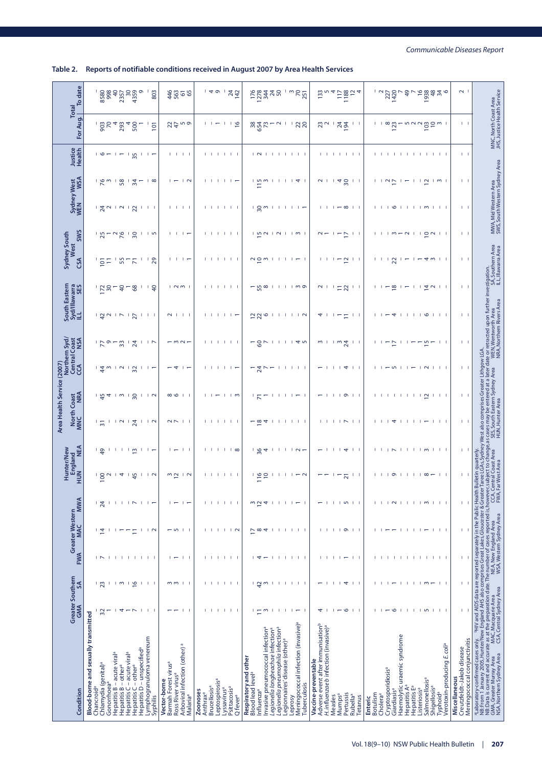#### **Table 2. Reports of notifiable conditions received in August 2007 by Area Health Services**